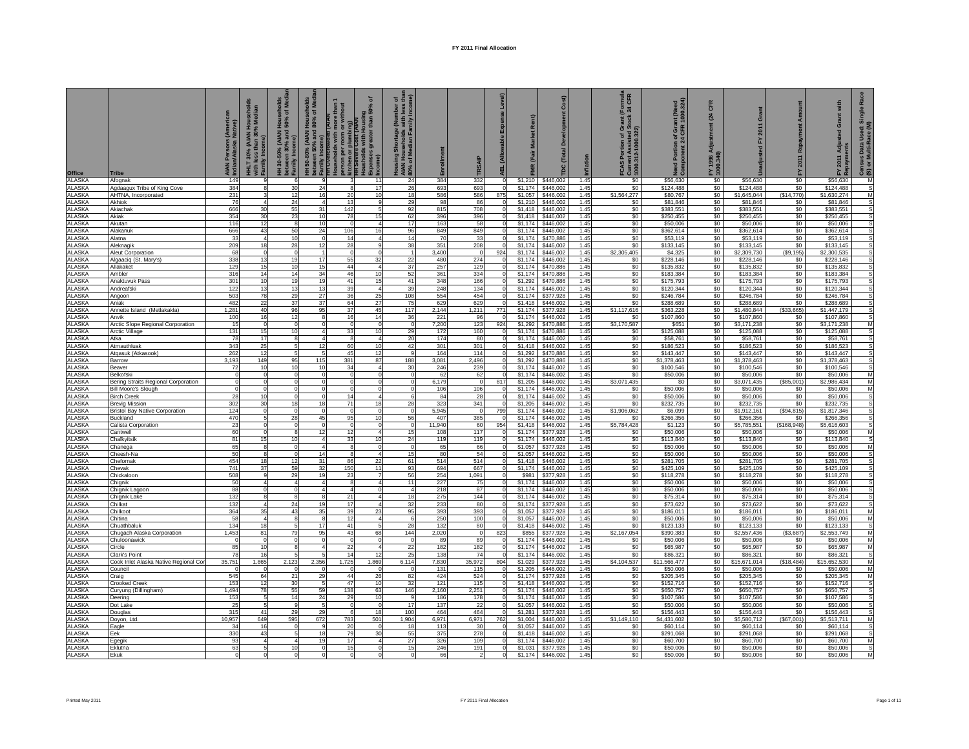| Office<br><b>ALASKA</b>        | <b>Tribe</b>                                | Persons (Ameri<br>n/Alaska Native)<br>AIAN<br>Indian<br>149 | (AIAN Hou<br>30%<br>Family<br>9 | seholds<br>of Med<br>$rac{1}{2}$<br>(AIAN<br>$\widehat{\mathbf{a}}$<br>between 30%<br>Family Incom<br>30-50%<br>6 | 50-80% (AIAN Households<br>ween 50% and 80% of Med<br>rithou<br>৯<br>plum<br>between 50%<br>Family Incom<br>THT Overcrowd<br>Lister<br>$rac{5}{6}$ | ৽<br>lousing<br>than 50%<br>greater<br>3<br>11 | চ £<br>Ł<br>nortage<br>eholds<br>$rac{1}{2}$<br><b>AIAN</b><br>80% c<br>24 | 384          | <b>TRSAI</b><br>332 | $\circ$                          |                    | Cost)<br>Develop<br>(Total<br>ē | 1.45         | (Formula<br>: 24 CFR<br>FCAS Portion of Gra<br>Current Assisted Sto<br>  1000.312-1000.322)<br>\$0 | nt (Need<br>1000.324)<br>f Gra<br>\$56,630 | CFR<br>$\mathbb{R}$<br>FY 1996 A<br>1000.340)<br>\$0 | ō<br>\$56,630            | \$0                | Grant with<br>Adju<br>ents<br>2011<br>ᇫ<br>\$56,630 | œ<br>$rac{1}{\sqrt{2}}$<br>ensus Data User<br>) or Multi-Race<br>ලි ගු<br>M |
|--------------------------------|---------------------------------------------|-------------------------------------------------------------|---------------------------------|-------------------------------------------------------------------------------------------------------------------|----------------------------------------------------------------------------------------------------------------------------------------------------|------------------------------------------------|----------------------------------------------------------------------------|--------------|---------------------|----------------------------------|--------------------|---------------------------------|--------------|----------------------------------------------------------------------------------------------------|--------------------------------------------|------------------------------------------------------|--------------------------|--------------------|-----------------------------------------------------|-----------------------------------------------------------------------------|
| ALASKA                         | Afognak<br>Agdaagux Tribe of King Cove      | 384                                                         | 8                               | 30                                                                                                                | 24                                                                                                                                                 | 17<br>$\mathcal{R}$                            | 26                                                                         | 693          | 693                 | $\Omega$                         | \$1,174            | \$446,002                       | 1.45         | \$0                                                                                                | \$124,488                                  | \$0                                                  | \$124,488                | \$0                | \$124,488                                           | s                                                                           |
| <b>ALASKA</b>                  | AHTNA, Incorporated                         | 231                                                         | 3                               | 12                                                                                                                | 16                                                                                                                                                 | 10<br>20                                       | 18                                                                         | 586          | 586                 | 875                              | \$1.057            | \$446,002                       | 1.45         | \$1,564,277                                                                                        | \$80.767                                   | \$0                                                  | \$1.645.044              | (S14, 770)         | \$1.630.274                                         | M                                                                           |
| <b>ALASKA</b>                  | Akhiok                                      | 76                                                          | $\overline{4}$                  | 24                                                                                                                |                                                                                                                                                    | 13<br>9                                        | 29                                                                         | 98           | 86                  |                                  | \$1,210            | \$446,002                       | 1.45         | \$0                                                                                                | \$81,846                                   | \$0                                                  | \$81,846                 | \$0                | \$81,846                                            |                                                                             |
| <b>ALASKA</b>                  | Akiachal                                    | 666                                                         | 30                              | 55                                                                                                                | 31<br>142                                                                                                                                          | $\overline{5}$                                 | 92                                                                         | 815          | 708                 |                                  | \$1,418            | \$446,002                       | 1.45         | \$0                                                                                                | \$383,551                                  | \$0                                                  | \$383,551                | \$0                | \$383,551                                           | S                                                                           |
| <b>ALASKA</b><br><b>ALASKA</b> | Akiak<br>Akutan                             | 354<br>116                                                  | 30<br>12                        | 23<br>$\overline{\mathbf{8}}$                                                                                     | 10<br>10                                                                                                                                           | 15<br>78<br>$\overline{0}$<br>$\overline{4}$   | 62<br>17                                                                   | 396<br>163   | 396<br>58           | $\overline{0}$<br>$\overline{0}$ | \$1,418<br>\$1,174 | \$446,002<br>\$446,002          | 1.45<br>1.45 | \$0<br>\$0                                                                                         | \$250,455<br>\$50,006                      | \$0<br>\$0                                           | \$250,455<br>\$50,006    | \$0<br>\$0         | \$250,455<br>\$50,006                               | s<br>s                                                                      |
| <b>ALASKA</b>                  | Alakanuk                                    | 666                                                         | 43                              | 50                                                                                                                | 24<br>106                                                                                                                                          | 16                                             | 96                                                                         | 849          | 849                 | $\Omega$                         | \$1.174            | \$446,002                       | 1.45         | \$0                                                                                                | \$362,614                                  | \$0                                                  | \$362,614                | \$0                | \$362,614                                           | s                                                                           |
| <b>ALASKA</b>                  | Alatna                                      | 33                                                          | $\overline{4}$                  | 10                                                                                                                |                                                                                                                                                    | $\overline{4}$<br>14                           | 14                                                                         | 70           | 33                  | $\Omega$                         | \$1,174            | \$470,886                       | 1.45         | \$0                                                                                                | \$53,119                                   | \$0                                                  | \$53,119                 | \$0                | \$53,119                                            | s                                                                           |
| ALASKA                         | Aleknagil                                   | 209                                                         | 18                              | 28                                                                                                                | 12                                                                                                                                                 | 28<br>9                                        | 38                                                                         | 351          | 208                 |                                  | \$1,174            | \$446,002                       | 1.45         | \$0                                                                                                | \$133,145                                  | \$0                                                  | \$133,145                | \$0                | \$133,145                                           | s                                                                           |
| <b>ALASKA</b>                  | Aleut Corporation                           | 68                                                          | $^{\circ}$                      | $\Omega$                                                                                                          |                                                                                                                                                    | $\mathbf 0$<br>$\Omega$                        |                                                                            | 3,400        | $\circ$             | 924                              | \$1,174            | \$446,002                       | 1.45         | \$2,305,405                                                                                        | \$4,325                                    | \$0                                                  | \$2,309,730              | (S9, 195)          | \$2,300,535                                         | s                                                                           |
| <b>ALASKA</b>                  | Algaaciq (St. Mary's)                       | 338                                                         | 13                              | 19                                                                                                                | 17                                                                                                                                                 | 55<br>32                                       | 22                                                                         | 480          | 274                 |                                  | \$1,174            | \$446,002                       | 1.45         | \$0                                                                                                | \$228,146                                  | \$0                                                  | \$228,146                | \$0                | \$228,146                                           | s                                                                           |
| <b>ALASKA</b><br>ALASKA        | Allakake<br>Ambler                          | 129<br>316                                                  | 15<br>14                        | 10<br>14                                                                                                          | 15<br>34<br>46                                                                                                                                     | 44<br>$\overline{4}$<br>10                     | 37<br>52                                                                   | 257<br>361   | 129<br>334          | $\overline{0}$                   | \$1,174<br>\$1,174 | \$470,886<br>\$470,886          | 1.45<br>1.45 | \$0<br>\$0                                                                                         | \$135,832<br>\$183,384                     | \$0<br>\$0                                           | \$135,832<br>\$183,384   | \$0<br>\$0         | \$135,832<br>\$183,384                              | s                                                                           |
| ALASKA                         | Anaktuvuk Pass                              | 301                                                         | 10                              | 19                                                                                                                | 19                                                                                                                                                 | 15<br>41                                       | 41                                                                         | 348          | 166                 | $\overline{0}$                   | \$1,292            | \$470,886                       | 1.45         | \$0                                                                                                | \$175,793                                  | $\$0$                                                | \$175,793                | \$0                | \$175,793                                           |                                                                             |
| <b>ALASKA</b>                  | Andreafsk                                   | 122                                                         | 13                              | 13                                                                                                                | 13                                                                                                                                                 | 39<br>4 <sup>1</sup>                           | 39                                                                         | 248          | 134                 | <sub>0</sub>                     | \$1,174            | \$446,002                       | 1.45         | \$0                                                                                                | \$120,344                                  | \$0                                                  | \$120,344                | \$0                | \$120,344                                           |                                                                             |
| <b>ALASKA</b>                  | Angoon                                      | 503                                                         | 78                              | 29                                                                                                                | 27                                                                                                                                                 | 25<br>36                                       | 108                                                                        | 554          | 454                 | $\circ$                          | \$1,174            | \$377,928                       | 1.45         | \$0                                                                                                | \$246,784                                  | \$0                                                  | \$246,784                | \$0                | \$246,784                                           | s                                                                           |
| ALASKA                         | Aniak                                       | 482                                                         | 22                              | 37                                                                                                                | 37                                                                                                                                                 | 64<br>27                                       | 75                                                                         | 629          | 629                 | $\Omega$                         | \$1,418            | \$446,002                       | 1.45         | \$0                                                                                                | \$288,689                                  | \$0                                                  | \$288,689                | \$0                | \$288,689                                           | s                                                                           |
| ALASKA<br><b>ALASKA</b>        | Annette Island (Metlakakla)<br>Anvik        | 1,281<br>100                                                | 40<br>16                        | 96<br>12                                                                                                          | 95                                                                                                                                                 | 37<br>45<br>16<br>14                           | 117<br>36                                                                  | 2,144<br>221 | 1,211<br>96         | 771                              | \$1,174<br>\$1,174 | \$377,928<br>\$446,002          | 1.45<br>1.45 | \$1,117,616<br>\$0                                                                                 | \$363,228<br>\$107,860                     | \$0<br>\$0                                           | \$1,480,844<br>\$107,860 | ( \$33,665)<br>\$0 | \$1,447,179<br>\$107,860                            | s<br>s                                                                      |
| <b>ALASKA</b>                  | Arctic Slope Regional Corporation           | 15                                                          | $\Omega$                        | $\mathbf 0$                                                                                                       |                                                                                                                                                    | $\mathbf 0$                                    | $\Omega$                                                                   | 7,200        | 123                 | 924                              | \$1,292            | \$470,886                       | 1.45         | \$3,170,587                                                                                        | \$651                                      | \$0                                                  | \$3,171,238              | \$0                | \$3,171,238                                         | M                                                                           |
| ALASKA                         | Arctic Village                              | 131                                                         | 15                              | 10                                                                                                                |                                                                                                                                                    | 33<br>10                                       | 29                                                                         | 172          | 160                 |                                  | \$1.174            | \$470,886                       | 1.45         | S <sub>0</sub>                                                                                     | \$125,088                                  | \$0                                                  | \$125,088                | \$0                | \$125,088                                           |                                                                             |
| <b>ALASKA</b>                  | Atka                                        | 78                                                          | 17                              | 8                                                                                                                 |                                                                                                                                                    | $\overline{4}$<br>-8                           | 20                                                                         | 174          | 80                  | $\overline{0}$                   | \$1,174            | \$446,002                       | 1.45         | \$0                                                                                                | \$58,761                                   | \$0                                                  | \$58,761                 | \$0                | \$58,761                                            | s                                                                           |
| <b>ALASKA</b>                  | Atmauthluak                                 | 343                                                         | 25                              | 5 <sup>1</sup>                                                                                                    | 12<br>60                                                                                                                                           | 10 <sup>1</sup>                                | 42                                                                         | 301          | 301                 | $\Omega$                         | \$1,418            | \$446,002                       | 1.45         | S <sub>0</sub>                                                                                     | \$186,523                                  | \$0                                                  | \$186,523                | \$0                | \$186,523                                           | s                                                                           |
| <b>ALASKA</b><br><b>ALASKA</b> | Atqasuk (Atkasook)<br>Barrow                | 262<br>3,193                                                | 12<br>149                       | 5 <sup>1</sup><br>95                                                                                              | 115<br>381                                                                                                                                         | 45<br>12<br>87                                 | $\mathbf{q}$<br>188                                                        | 164<br>3,081 | 114<br>2,496        | <sub>0</sub><br>$\Omega$         | \$1,292<br>\$1,292 | \$470,886<br>\$470,886          | 1.45<br>1.45 | \$0<br>\$0                                                                                         | \$143,447<br>\$1,378,463                   | \$0<br>\$0                                           | \$143,447<br>\$1,378,463 | \$0<br>\$0         | \$143,447<br>\$1,378,463                            | s<br>s                                                                      |
| ALASKA                         | Beaver                                      | 72                                                          | 10                              | 10                                                                                                                | 10                                                                                                                                                 | 34<br>4                                        | 30                                                                         | 246          | 239                 | $\mathbf 0$                      | \$1,174            | \$446,002                       | 1.45         | \$0                                                                                                | \$100,546                                  | \$0                                                  | \$100,546                | \$0                | \$100,546                                           | s                                                                           |
| <b>ALASKA</b>                  | Belkofsk                                    | $\Omega$                                                    | $^{\circ}$                      | $\Omega$                                                                                                          |                                                                                                                                                    | $\overline{0}$<br>$\mathbf 0$                  | $\Omega$                                                                   | 62           | 62                  | $\Omega$                         | \$1,174            | \$446,002                       | 1.45         | \$0                                                                                                | \$50,006                                   | \$0                                                  | \$50,006                 | \$0                | \$50,006                                            | M                                                                           |
| <b>ALASKA</b>                  | Bering Straits Regional Corporation         |                                                             | $\Omega$                        | $\Omega$                                                                                                          |                                                                                                                                                    | $\Omega$                                       |                                                                            | 6,179        | $\Omega$            | 817                              | \$1,205            | \$446,002                       | 1.45         | \$3,071,435                                                                                        | \$0                                        | \$0                                                  | \$3,071,435              | (S85,001)          | \$2,986,434                                         | M                                                                           |
| ALASKA                         | <b>Bill Moore's Slough</b>                  | $\Omega$                                                    | $^{\circ}$                      | $\mathbf 0$                                                                                                       |                                                                                                                                                    | $\mathbf 0$<br>$\mathbf 0$                     | $\mathbf 0$                                                                | 106          | 106                 |                                  | \$1,174            | \$446,002                       | 1.45         | \$0                                                                                                | \$50,006                                   | \$0                                                  | \$50,006                 | \$0                | \$50,006                                            | M                                                                           |
| ALASKA<br><b>ALASKA</b>        | <b>Birch Creek</b><br><b>Brevig Mission</b> | 28<br>302                                                   | 10<br>30                        | $\circ$<br>18                                                                                                     | 18                                                                                                                                                 | 4<br>14<br>71<br>18                            | 6<br>28                                                                    | 84<br>323    | 28<br>341           | $\overline{0}$<br>$\overline{0}$ | \$1,174<br>\$1,205 | \$446,002<br>\$446,002          | 1.45<br>1.45 | \$0<br>\$0                                                                                         | \$50,006<br>\$232.735                      | \$0<br>\$0                                           | \$50,006<br>\$232,735    | \$0<br>\$0         | \$50,006<br>\$232,735                               | s<br>s                                                                      |
| <b>ALASKA</b>                  | <b>Bristol Bay Native Corporation</b>       | 124                                                         | $\mathbf 0$                     | $\circ$                                                                                                           |                                                                                                                                                    | $\Omega$<br>$\mathbf 0$                        | $\Omega$                                                                   | 5,945        | $\circ$             | 799                              | \$1,174            | \$446,002                       | 1.45         | \$1,906,062                                                                                        | \$6,099                                    | \$0                                                  | \$1,912,161              | (S94, 815)         | \$1,817,346                                         | s                                                                           |
| ALASKA                         | Buckland                                    | 470                                                         | 5 <sub>5</sub>                  | 28                                                                                                                | 45                                                                                                                                                 | 95<br>10                                       | 56                                                                         | 407          | 385                 | $\Omega$                         | \$1.174            | \$446,002                       | 1.45         | \$0                                                                                                | \$266,356                                  | \$0                                                  | \$266,356                | \$0                | \$266,356                                           | s                                                                           |
| ALASKA                         | Calista Corporation                         | 23                                                          | $^{\circ}$                      | $\circ$                                                                                                           |                                                                                                                                                    | $^{\circ}$<br>$\circ$                          | $\mathbf 0$                                                                | 11,940       | 60                  | 954                              | \$1,418            | \$446,002                       | 1.45         | \$5,784,428                                                                                        | \$1,123                                    | \$0                                                  | \$5,785,551              | (\$168,948)        | \$5,616,603                                         | s                                                                           |
| <b>ALASKA</b>                  | Cantwell                                    | 60                                                          | $^{\circ}$                      | $\mathbf{8}$                                                                                                      | 12                                                                                                                                                 | 12<br>4                                        | 15                                                                         | 108          | 117                 | $\mathbf 0$                      | \$1,174            | \$377,928                       | 1.45         | \$0                                                                                                | \$50,006                                   | \$0                                                  | \$50,006                 | \$0                | \$50,006                                            | M                                                                           |
| <b>ALASKA</b>                  | Chalkyitsik                                 | 81                                                          | 15<br>8                         | 10<br>$\mathbf 0$                                                                                                 |                                                                                                                                                    | 33<br>10<br>8                                  | 24<br>$\Omega$                                                             | 119          | 119                 | $\Omega$                         | \$1.174            | \$446,002                       | 1.45         | \$0                                                                                                | \$113,840                                  | \$0                                                  | \$113,840                | \$0                | \$113,840                                           | s                                                                           |
| <b>ALASKA</b><br>ALASKA        | Chanega<br>Cheesh-Na                        | 65<br>50                                                    | 8                               | $\circ$                                                                                                           | 14                                                                                                                                                 | $\mathbf 0$<br>8<br>$\overline{4}$             | 15                                                                         | 65<br>80     | 66<br>54            |                                  | \$1,057<br>\$1,057 | \$377,928<br>\$446,002          | 1.45<br>1.45 | \$0<br>\$0                                                                                         | \$50,006<br>\$50,006                       | \$0<br>\$0                                           | \$50,006<br>\$50,006     | \$0<br>\$0         | \$50,006<br>\$50,006                                | M<br>s                                                                      |
| <b>ALASKA</b>                  | Chefornak                                   | 454                                                         | 18                              | 12                                                                                                                | 31<br>86                                                                                                                                           | 22                                             | 61                                                                         | 514          | 514                 | <sub>0</sub>                     | \$1,418            | \$446,002                       | 1.45         | \$0                                                                                                | \$281,705                                  | \$0                                                  | \$281,705                | \$0                | \$281,705                                           | s                                                                           |
| <b>ALASKA</b>                  | Chevak                                      | 741                                                         | 37                              | 59                                                                                                                | 150<br>32                                                                                                                                          | 11                                             | 93                                                                         | 694          | 667                 | $\Omega$                         | \$1,174            | \$446,002                       | 1.45         | \$0                                                                                                | \$425,109                                  | \$0                                                  | \$425,109                | \$0                | \$425,109                                           | s                                                                           |
| <b>ALASKA</b>                  | Chickaloon                                  | 508                                                         | 9                               | 29                                                                                                                | 19                                                                                                                                                 | 23<br>$\overline{7}$                           | 56                                                                         | 254          | 1,091               |                                  | \$981              | \$377,928                       | 1.45         | \$0                                                                                                | \$118,278                                  | \$0                                                  | \$118,278                | \$0                | \$118,278                                           |                                                                             |
| <b>ALASKA</b><br><b>ALASKA</b> | Chignik                                     | 50<br>88                                                    | $\overline{4}$<br>$\mathbf 0$   | $\overline{4}$<br>$\circ$                                                                                         |                                                                                                                                                    | 4<br>-8<br>$\overline{a}$<br>$\mathbf 0$       | 11<br>$\overline{4}$                                                       | 227<br>218   | 75<br>87            | $\Omega$<br>$\mathbf 0$          | \$1,174<br>\$1,174 | \$446,002<br>\$446,002          | 1.45<br>1.45 | \$0<br>\$0                                                                                         | \$50,006<br>\$50,006                       | \$0<br>\$0                                           | \$50,006<br>\$50,006     | \$0<br>\$0         | \$50,006<br>\$50,006                                | s<br>s                                                                      |
| <b>ALASKA</b>                  | Chignik Lagoon<br>Chignik Lake              | 132                                                         | 8                               | $\mathbf{8}$                                                                                                      | 21                                                                                                                                                 | $\overline{4}$                                 | 18                                                                         | 275          | 144                 |                                  | \$1.174            | \$446,002                       | 1.45         | \$0                                                                                                | \$75.314                                   | \$0                                                  | \$75,314                 | \$0                | \$75,314                                            | S                                                                           |
| <b>ALASKA</b>                  | Chilkat                                     | 132                                                         | $\overline{4}$                  | 24                                                                                                                | 19                                                                                                                                                 | 17<br>$\overline{4}$                           | 32                                                                         | 233          | 80                  |                                  | \$1,174            | \$377,928                       | 1.45         | \$0                                                                                                | \$73,622                                   | \$0                                                  | \$73,622                 | \$0                | \$73,622                                            | s                                                                           |
| <b>ALASKA</b>                  | Chilkoot                                    | 364                                                         | 35                              | 43                                                                                                                | 39<br>35                                                                                                                                           | 23                                             | 95                                                                         | 393          | 393                 |                                  | \$1,057            | \$377,928                       | 1.45         | \$0                                                                                                | \$186,011                                  | \$0                                                  | \$186,011                | \$0                | \$186,011                                           | M                                                                           |
| ALASKA                         | Chitina                                     | 58                                                          | $\mathbf{A}$                    | $\mathbf{8}$                                                                                                      |                                                                                                                                                    | 12<br>$\overline{4}$                           | $\epsilon$                                                                 | 250          | 100                 | Þ<br>$\overline{0}$              | \$1,057            | \$446,002                       | 1.45         | \$0                                                                                                | \$50,006                                   | \$0                                                  | \$50,006                 | \$0                | \$50,006                                            | M                                                                           |
| <b>ALASKA</b><br><b>ALASKA</b> | Chuathbaluk<br>Chugach Alaska Corporation   | 134<br>1,453                                                | 18<br>81                        | $5 -$<br>79                                                                                                       | 17<br>95                                                                                                                                           | 41<br>$\overline{5}$<br>43<br>68               | 28<br>144                                                                  | 132<br>2,020 | 80<br>$\circ$       | 823                              | \$1,418<br>\$855   | \$446,002<br>\$377,928          | 1.45<br>1.45 | \$0<br>\$2,167,054                                                                                 | \$123,133<br>\$390,383                     | \$0<br>\$0                                           | \$123,133<br>\$2,557,436 | \$0<br>(\$3,687)   | \$123,133<br>\$2,553,749                            | s<br>M                                                                      |
| <b>ALASKA</b>                  | Chuloonawick                                | $\Omega$                                                    | $\overline{0}$                  | $\circ$                                                                                                           |                                                                                                                                                    | $^{\circ}$<br>$\mathbf 0$                      | $\Omega$                                                                   | 89           | 89                  | $\circ$                          | \$1,174            | \$446,002                       | 1.45         | \$0                                                                                                | \$50,006                                   | \$0                                                  | \$50,006                 | \$0                | \$50,006                                            | M                                                                           |
| <b>ALASKA</b>                  | Circle                                      | 85                                                          | 10                              | 8                                                                                                                 |                                                                                                                                                    | 22<br>4                                        | 22                                                                         | 182          | 182                 | $\circ$                          | \$1,174            | \$446,002                       | 1.45         | \$0                                                                                                | \$65,987                                   | \$0                                                  | \$65,987                 | \$0                | \$65,987                                            | M                                                                           |
| ALASKA                         | Clark's Point                               | 78                                                          | 16                              | $5 -$                                                                                                             |                                                                                                                                                    | 14<br>12                                       | 25                                                                         | 138          | 74                  | $\Omega$                         | \$1.174            | \$446,002                       | 1.45         | \$0                                                                                                | \$86,321                                   | \$0                                                  | \$86,321                 | \$0                | \$86,321                                            | s                                                                           |
| LASKA                          | Cook Inlet Alaska Native Regional Cor       | 35,751                                                      | 1,865                           | 2,123                                                                                                             | 2,356<br>1,725                                                                                                                                     | 1,869                                          | 6,114                                                                      | 7,830        | 35,972              | 804                              | \$1,029            | \$377,928                       | 1.45         | \$4,104,537                                                                                        | \$11,566,477                               | \$0                                                  | \$15,671,014             | (\$18, 484)        | \$15,652,530                                        | M                                                                           |
| <b>ALASKA</b><br><b>ALASKA</b> | Council<br>Craig                            | 545                                                         | 64                              | 21                                                                                                                | 29<br>44                                                                                                                                           | 26                                             | 82                                                                         | 131<br>424   | 115<br>524          | $\Omega$                         | \$1,205<br>\$1,174 | \$446.002<br>\$377,928          | 1.45<br>1.45 | \$0<br>\$0                                                                                         | \$50,006<br>\$205,345                      | \$0<br>\$0                                           | \$50,006<br>\$205,345    | \$0<br>\$0         | \$50,006<br>\$205,345                               | M<br>M                                                                      |
| <b>ALASKA</b>                  | <b>Crooked Creek</b>                        | 153                                                         | 12                              | 30                                                                                                                | 5<br>47                                                                                                                                            | 10                                             | 32                                                                         | 121          | 115                 | $\overline{0}$                   | \$1,418            | \$446,002                       | 1.45         | \$0                                                                                                | \$152,716                                  | \$0                                                  | \$152,716                | \$0                | \$152,716                                           | $\mathsf{s}$                                                                |
| <b>ALASKA</b>                  | Curyung (Dillingham)                        | 1,494                                                       | 78                              | 55                                                                                                                | 59<br>138                                                                                                                                          | 63                                             | 146                                                                        | 2,160        | 2,251               | $\Omega$                         | \$1,174            | \$446,002                       | 1.45         | \$0                                                                                                | \$650,757                                  | \$0                                                  | \$650,757                | \$0                | \$650,757                                           | s                                                                           |
| <b>ALASKA</b>                  | Deering                                     | 153                                                         | $5\overline{5}$                 | 14                                                                                                                | 24                                                                                                                                                 | 29<br>10                                       |                                                                            | 186          | 178                 | $\Omega$                         | \$1,174            | \$446,002                       | 1.45         | \$0                                                                                                | \$107,586                                  | \$0                                                  | \$107,586                | \$0                | \$107,586                                           | s                                                                           |
| <b>ALASKA</b>                  | Dot Lake                                    | 25                                                          | 5                               | 9                                                                                                                 |                                                                                                                                                    | $\overline{0}$<br>$\mathbf 0$                  | 17                                                                         | 137          | 22                  | $\Omega$                         | \$1.057            | \$446,002                       | 1.45         | \$0                                                                                                | \$50,006                                   | \$0                                                  | \$50,006                 | \$0                | \$50,006                                            | s                                                                           |
| ALASKA<br><b>ALASKA</b>        | Douglas<br>Doyon, Ltd                       | 315<br>10,957                                               | 41<br>649                       | 29<br>595                                                                                                         | 29<br>783<br>672                                                                                                                                   | 18<br>-6<br>501                                | 100<br>1,904                                                               | 464<br>6,971 | 464<br>6,971        | $\Omega$<br>762                  | \$1,281<br>\$1,004 | \$377,928<br>\$446,002          | 1.45<br>1.45 | \$0<br>\$1,149,110                                                                                 | \$156,443<br>\$4,431,602                   | \$0<br>\$0                                           | \$156,443<br>\$5,580,712 | \$0<br>(S67,001)   | \$156,443<br>\$5,513,711                            | s<br>M                                                                      |
| <b>ALASKA</b>                  | Eagle                                       | 34                                                          | 16                              | $\mathbf 0$                                                                                                       | 20                                                                                                                                                 | 0                                              | 18                                                                         | 113          | 30                  |                                  | \$1,057            | \$446,002                       | 1.45         | \$0                                                                                                | \$60,114                                   | \$0                                                  | \$60,114                 | \$0                | \$60,114                                            | s                                                                           |
| <b>ALASKA</b>                  | Eek                                         | 330                                                         | 43                              | 5 <sub>5</sub>                                                                                                    | 18                                                                                                                                                 | 79<br>30                                       | 55                                                                         | 375          | 278                 |                                  | \$1,418            | \$446,002                       | 1.45         | \$0                                                                                                | \$291,068                                  | \$0                                                  | \$291,068                | \$0                | \$291,068                                           | s                                                                           |
| ALASKA                         | Egegik                                      | 93                                                          | $\overline{4}$                  | $\overline{a}$                                                                                                    | 19                                                                                                                                                 | 17<br>$\overline{4}$                           | 27                                                                         | 326          | 109                 | $\Omega$                         | \$1,174            | \$446,002                       | 1.45         | \$0                                                                                                | \$60,700                                   | \$0                                                  | \$60,700                 | \$0                | \$60,700                                            | M                                                                           |
| <b>ALASKA</b>                  | Eklutna                                     | 63                                                          | 5                               | 10                                                                                                                |                                                                                                                                                    | 15<br>$\Omega$                                 | 15                                                                         | 246          | 191                 |                                  | \$1,031            | \$377,928                       | 1.45         | \$0                                                                                                | \$50,006                                   | \$0                                                  | \$50,006                 | \$0                | \$50,006                                            | s                                                                           |
| <b>ALASKA</b>                  | Ekuk                                        |                                                             | ΩI                              | $\Omega$                                                                                                          |                                                                                                                                                    | $\Omega$<br>$\Omega$                           | $\Omega$                                                                   | 66           | $\overline{2}$      | $\Omega$                         | \$1,174            | \$446,002                       | 1.45         | \$0                                                                                                | \$50,006                                   | \$0                                                  | \$50,006                 | \$0                | \$50,006                                            |                                                                             |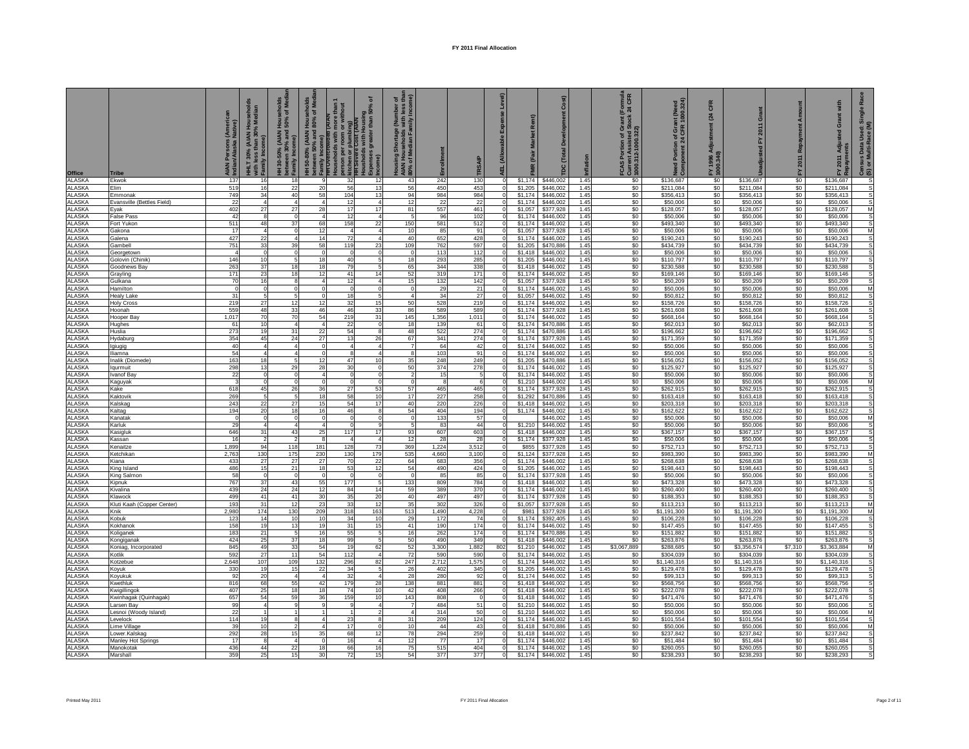| <b>Office</b>           | <b>Tribe</b>                       | Persons (Ameri<br>n/Alaska Native)<br><b>AIAN</b><br>Indian | HHLT 30% (AIAN Households<br>HHLT 30% (AIAN Households<br>Family Inco | seholds<br>of Medi<br>Hous<br>150%<br>130-50% (AIAN H<br>tween 30% and !<br>$\widehat{e}$<br>between 30%<br>Family Incom | 50-80% (AIAN Households<br>tween 50% and 80% of Med<br><b>TOVercrowded</b><br>Duseholds with r<br>between 50%<br>Family Incon<br>月 | without<br>person per room or wit<br>Kitchen or plumbing)<br>HH Severe Cost (AIAN | ৽<br>s with Housing<br>greater than 50%   | 5E<br>, (Number<br>with less<br>mily Incon<br>hortage<br>seholds<br>dian Far<br>အ<br>름로 통<br><b>AIAN</b><br>80% c |                 | <b>TRSAI</b> | 靣                              |                    | Cost)<br>á<br>(Total<br>$\tilde{a}$ | nflation     | (Formula<br>t 24 CFR<br>FCAS Portion of Grant (F<br>Current Assisted Stock:<br>  1000.312-1000.322) | ntion of Grant (Need<br>lent 24 CFR 1000.324)<br>Ŗ | CFR<br>24<br>FY 1996 A<br>1000.340) | ō                      | Rep<br>2011 | Grant with<br>sted<br>Adjus<br>ents<br>2011<br>≧ a | ፚ<br>Census Data Used: Single<br>(S) or Multi-Race (M) |
|-------------------------|------------------------------------|-------------------------------------------------------------|-----------------------------------------------------------------------|--------------------------------------------------------------------------------------------------------------------------|------------------------------------------------------------------------------------------------------------------------------------|-----------------------------------------------------------------------------------|-------------------------------------------|-------------------------------------------------------------------------------------------------------------------|-----------------|--------------|--------------------------------|--------------------|-------------------------------------|--------------|-----------------------------------------------------------------------------------------------------|----------------------------------------------------|-------------------------------------|------------------------|-------------|----------------------------------------------------|--------------------------------------------------------|
| ALASKA<br>ALASKA        | Ekwok<br>Elim                      | 137<br>519                                                  | 16<br>16                                                              | 18<br>22                                                                                                                 | $\alpha$<br>20                                                                                                                     | 32<br>56                                                                          | 12<br>13                                  | 43<br>56                                                                                                          | 242<br>450      | 130<br>453   | $\circ$<br>$\Omega$            | \$1,174<br>\$1,205 | \$446,002<br>\$446,002              | 1.45<br>1.45 | \$0<br>\$0                                                                                          | \$136,687<br>\$211,084                             | \$0<br>\$0                          | \$136,687<br>\$211,084 | \$0<br>\$0  | \$136,687<br>\$211,084                             | s<br>$\mathsf{s}$                                      |
| <b>ALASKA</b>           | Emmonak                            | 749                                                         | 34                                                                    | 40                                                                                                                       | 58                                                                                                                                 | 104                                                                               | 13                                        | 94                                                                                                                | 984             | 984          | $\Omega$                       | \$1,174            | \$446,002                           | 1.45         | \$0                                                                                                 | \$356,413                                          | \$0                                 | \$356,413              | \$0         | \$356,413                                          | $\mathsf{s}$                                           |
| <b>ALASKA</b>           | Evansville (Bettles Field)         | 22                                                          | $\overline{4}$                                                        | $\overline{4}$                                                                                                           |                                                                                                                                    | 12                                                                                |                                           | 12                                                                                                                | $\overline{22}$ | 22           |                                | \$1,174            | \$446,002                           | 1.45         | \$0                                                                                                 | \$50,006                                           | \$0                                 | \$50,006               | \$0         | \$50,006                                           | s                                                      |
| ALASKA<br>ALASKA        | Eyak<br><b>False Pass</b>          | 402<br>42                                                   | 27<br>$\overline{\mathbf{8}}$                                         | 27<br>$\overline{\mathbf{0}}$                                                                                            | 28<br>$\overline{4}$                                                                                                               | 17<br>12                                                                          | 17<br>$\overline{4}$                      | 81<br>5 <sub>l</sub>                                                                                              | 557<br>96       | 461<br>102   | $\overline{0}$                 | \$1,057<br>\$1,174 | \$377,928<br>\$446,002              | 1.45<br>1.45 | \$0<br>\$0                                                                                          | \$128,057<br>\$50,006                              | \$0<br>\$0                          | \$128,057<br>\$50,006  | \$0<br>\$0  | \$128,057<br>\$50,006                              | M<br>$\mathsf{s}$                                      |
| <b>ALASKA</b>           | Fort Yukon                         | 511                                                         | 48                                                                    | 37                                                                                                                       | 68                                                                                                                                 | 158                                                                               | 22                                        | 150                                                                                                               | 581             | 512          | $\overline{0}$                 | \$1,174            | \$446,002                           | 1.45         | \$0                                                                                                 | \$493,340                                          | \$0                                 | \$493,340              | \$0         | \$493,340                                          | s                                                      |
| LASKA                   | Gakona                             | 17                                                          | $\overline{4}$                                                        | $\Omega$                                                                                                                 | 12                                                                                                                                 | $\overline{a}$                                                                    | $\overline{\mathbf{4}}$                   | 10                                                                                                                | 85              | 91           | ΩI                             | \$1,057            | \$377,928                           | 1.45         | \$0                                                                                                 | \$50,006                                           | \$0                                 | \$50,006               | \$0         | \$50,006                                           | M                                                      |
| ALASKA                  | Galena                             | 427                                                         | 22                                                                    |                                                                                                                          | 14                                                                                                                                 | 72                                                                                |                                           | 40                                                                                                                | 652             | 428          | <sub>0</sub>                   | \$1,174            | \$446,002                           | 1.45         | \$0                                                                                                 | \$190,243                                          | \$0                                 | \$190,243              | \$0         | \$190,243                                          | s                                                      |
| ALASKA<br>ALASKA        | Gambel<br>Georgetown               | 751<br>$\overline{4}$                                       | 33<br>$\mathbf 0$                                                     | 39<br>$\overline{0}$                                                                                                     | 58<br>$\Omega$                                                                                                                     | 119<br>$\overline{0}$                                                             | 23<br>0                                   | 109<br>$\circ$                                                                                                    | 762<br>113      | 597<br>112   | $\Omega$<br>$\Omega$           | \$1,205<br>\$1,418 | \$470,886<br>\$446,002              | 1.45<br>1.45 | \$0<br>\$0                                                                                          | \$434,739<br>\$50,006                              | \$0<br>\$0                          | \$434,739<br>\$50,006  | \$0<br>\$0  | \$434,739<br>\$50,006                              | s<br>$\mathsf{s}$                                      |
| <b>ALASKA</b>           | Golovin (Chinik)                   | 146                                                         | 10                                                                    | 5                                                                                                                        | 18                                                                                                                                 | 40                                                                                | 5                                         | 18                                                                                                                | 293             | 285          |                                | \$1,205            | \$446,002                           | 1.45         | \$0                                                                                                 | \$110,797                                          | \$0                                 | \$110,797              | \$0         | \$110,797                                          | s                                                      |
| ALASKA                  | Goodnews Bay                       | 263                                                         | 37                                                                    | 18                                                                                                                       | 18                                                                                                                                 | 79                                                                                | 5                                         | 65                                                                                                                | 344             | 338          |                                | \$1,418            | \$446,002                           | 1.45         | \$0                                                                                                 | \$230,588                                          | \$0                                 | \$230,588              | \$0         | \$230,588                                          | s                                                      |
| ALASKA                  | Grayling                           | 171                                                         | 23                                                                    | 18                                                                                                                       | 12                                                                                                                                 | 41                                                                                | 14                                        | 52                                                                                                                | 319             | 171          | $\overline{0}$                 | \$1,174            | \$446,002                           | 1.45         | \$0                                                                                                 | \$169,146                                          | \$0                                 | \$169,146              | \$0         | \$169,146                                          | s                                                      |
| ALASKA<br>LASKA         | Gulkana                            | 70<br>$\Omega$                                              | 16<br>$\overline{0}$                                                  | 8<br>$\Omega$                                                                                                            | $\Delta$                                                                                                                           | 12<br>$\Omega$                                                                    | 4 <sup>1</sup><br>$\Omega$                | 15<br>$\overline{0}$                                                                                              | 132<br>29       | 142<br>21    | $\mathbf{0}$<br>$\overline{0}$ | \$1,057<br>\$1,174 | \$377,928<br>\$446,002              | 1.45<br>1.45 | \$0<br>\$0                                                                                          | \$50,209<br>\$50,006                               | \$0<br>\$0                          | \$50,209<br>\$50,006   | \$0<br>\$0  | \$50,209<br>\$50,006                               | s<br>M                                                 |
| LASKA                   | Hamilton<br><b>Healy Lake</b>      | 31                                                          | -5                                                                    | 5                                                                                                                        |                                                                                                                                    | 18                                                                                | $5 -$                                     | $\overline{a}$                                                                                                    | 34              | 27           | ΩI                             | \$1,057            | \$446,002                           | 1.45         | \$0                                                                                                 | \$50,812                                           | \$0                                 | \$50,812               | \$0         | \$50,812                                           | s                                                      |
| ALASKA                  | <b>Holy Cross</b>                  | 219                                                         | 27                                                                    | 12                                                                                                                       | 12                                                                                                                                 | 32                                                                                | 15                                        | 50                                                                                                                | 528             | 219          | $\overline{0}$                 | \$1,174            | \$446,002                           | 1.45         | \$0                                                                                                 | \$158,726                                          | \$0                                 | \$158,726              | \$0         | \$158,726                                          | s                                                      |
| ALASKA                  | Hoonah                             | 559                                                         | 48                                                                    | 33                                                                                                                       | 46                                                                                                                                 | 46                                                                                | 33                                        | 86                                                                                                                | 589             | 589          | $\Omega$                       | \$1,174            | \$377,928                           | 1.45         | \$0                                                                                                 | \$261,608                                          | \$0                                 | \$261,608              | \$O         | \$261,608                                          | S                                                      |
| AI ASKA<br>ALASKA       | Hooper Bay                         | 1,017<br>61                                                 | 70<br>10                                                              | 70<br>$\overline{4}$                                                                                                     | 54<br>$\overline{4}$                                                                                                               | 219<br>22                                                                         | 31<br>$\mathbf 0$                         | 145<br>18                                                                                                         | 1,356<br>139    | 1,011<br>61  | $\Omega$<br>0                  | \$1,174<br>\$1,174 | \$446,002<br>\$470,886              | 1.45<br>1.45 | \$0<br>\$0                                                                                          | \$668.164<br>\$62,013                              | \$0<br>\$0                          | \$668.164<br>\$62,013  | \$0<br>\$0  | \$668.164<br>\$62,013                              | s<br>s                                                 |
| <b>ALASKA</b>           | Hughes<br>Huslia                   | 273                                                         | 19                                                                    | 31                                                                                                                       |                                                                                                                                    | 54                                                                                | 8                                         | 48                                                                                                                | 522             | 274          |                                | \$1,174            | \$470,886                           | 1.45         | \$0                                                                                                 | \$196,662                                          | \$0                                 | \$196,662              | \$0         | \$196,662                                          |                                                        |
| ALASKA                  | Hydaburg                           | 354                                                         | 45                                                                    | 24                                                                                                                       | $\frac{22}{27}$                                                                                                                    | 13                                                                                | 26                                        | 67                                                                                                                | 341             | 274          |                                | \$1,174            | \$377,928                           | 1.45         | \$0                                                                                                 | \$171,359                                          | \$0                                 | \$171,359              | \$0         | \$171,359                                          | s                                                      |
| <b>ALASKA</b>           | Igiugig                            | 40                                                          | $\overline{4}$                                                        | $\overline{4}$                                                                                                           | $\Omega$                                                                                                                           | $\overline{a}$                                                                    | $\overline{4}$                            | 7                                                                                                                 | 64              | 42           | οI                             | \$1,174            | \$446,002                           | 1.45         | \$0                                                                                                 | \$50,006                                           | \$0                                 | \$50,006               | \$0         | \$50,006                                           | s                                                      |
| <b>ALASKA</b>           | lliamna                            | 54<br>163                                                   | $\overline{a}$<br>18                                                  | 5                                                                                                                        | $\Omega$<br>12                                                                                                                     | $\mathbf{R}$<br>47                                                                | Δ<br>10                                   | 8 <sup>1</sup>                                                                                                    | 103<br>248      | 91<br>249    | ΩI<br>$\overline{0}$           | \$1.174<br>\$1,205 | \$446,002<br>\$470,886              | 1.45<br>1.45 | \$0<br>\$0                                                                                          | \$50,006                                           | \$0                                 | \$50,006               | \$0<br>\$0  | \$50,006<br>\$156,052                              | s<br>s                                                 |
| ALASKA<br>ALASKA        | Inalik (Diomede)<br>lgurmuit       | 298                                                         | 13                                                                    | 29                                                                                                                       | 28                                                                                                                                 | 30                                                                                | $\circ$                                   | 35<br>50                                                                                                          | 374             | 278          | $\circ$                        | \$1,174            | \$446,002                           | 1.45         | \$0                                                                                                 | \$156,052<br>\$125,927                             | \$0<br>\$0                          | \$156,052<br>\$125,927 | \$0         | \$125,927                                          | s                                                      |
| ALASKA                  | Ivanof Bay                         | 22                                                          | $\circ$                                                               | $^{\circ}$                                                                                                               | $\overline{A}$                                                                                                                     | $\circ$                                                                           | $^{\circ}$                                | $\overline{2}$                                                                                                    | 15              | -5           | $\Omega$                       | \$1,174            | \$446,002                           | 1.45         | \$0                                                                                                 | \$50,006                                           | \$0                                 | \$50,006               | \$0         | \$50,006                                           | s                                                      |
| <b>ALASKA</b>           | Kaguyak                            |                                                             | $^{\circ}$                                                            | $\mathbf 0$                                                                                                              |                                                                                                                                    | $\overline{0}$                                                                    | 0                                         | $\overline{0}$                                                                                                    |                 | 6            |                                | \$1,210            | \$446,002                           | 1.45         | \$0                                                                                                 | \$50,006                                           | \$0                                 | \$50,006               | \$0         | \$50,006                                           | M                                                      |
| ALASKA                  | Kake                               | 618                                                         | 45<br>5                                                               | 26<br>5                                                                                                                  | 36                                                                                                                                 | 27                                                                                | 53<br>10                                  | 57                                                                                                                | 465             | 465          |                                | \$1,174            | \$377,928                           | 1.45         | \$0                                                                                                 | \$262,915                                          | \$0                                 | \$262,915              | \$0         | \$262,915                                          |                                                        |
| ALASKA<br><b>ALASKA</b> | Kaktovil<br>Kalskag                | 269<br>243                                                  | 22                                                                    | 27                                                                                                                       | 18<br>15                                                                                                                           | 58<br>54                                                                          | 17                                        | 17<br>40                                                                                                          | 227<br>220      | 258<br>226   | $\overline{0}$                 | \$1,292<br>\$1,418 | \$470,886<br>\$446,002              | 1.45<br>1.45 | \$0<br>\$0                                                                                          | \$163,418<br>\$203,318                             | \$0<br>\$0                          | \$163,418<br>\$203,318 | \$0<br>\$0  | \$163,418<br>\$203,318                             | $\mathsf{s}$                                           |
| <b>ALASKA</b>           | Kaltag                             | 194                                                         | 20                                                                    | 18                                                                                                                       | 16                                                                                                                                 | 46                                                                                | 8 <sup>1</sup>                            | 54                                                                                                                | 404             | 194          | ΩI                             | \$1,174            | \$446,002                           | 1.45         | \$0                                                                                                 | \$162,622                                          | \$0                                 | \$162,622              | \$0         | \$162,622                                          | S                                                      |
| LASKA                   | Kanatak                            | $\Omega$                                                    | $\circ$                                                               | $\Omega$                                                                                                                 |                                                                                                                                    | $\Omega$                                                                          | $\Omega$                                  | $\mathbf{0}$                                                                                                      | 133             | 57           |                                |                    | \$446,002                           | 1.45         | \$0                                                                                                 | \$50,006                                           | \$0                                 | \$50,006               | \$0         | \$50,006                                           | M                                                      |
| LASKA                   | Karluk                             | 29                                                          | $\overline{4}$                                                        | $\overline{4}$                                                                                                           |                                                                                                                                    | $\mathbf 0$<br>117                                                                | 9                                         | 5                                                                                                                 | 83              | 44           |                                | \$1,210            | \$446,002                           | 1.45         | \$0                                                                                                 | \$50,006                                           | \$0                                 | \$50,006               | \$0         | \$50,006                                           | s                                                      |
| ALASKA<br>LASKA         | Kasigluk<br>Kassan                 | 646<br>16                                                   | 31<br>$\overline{2}$                                                  | 43<br>$\overline{2}$                                                                                                     | 25<br>8                                                                                                                            | $\overline{4}$                                                                    | 17<br>$\overline{4}$                      | 93<br>12                                                                                                          | 607<br>28       | 603<br>28    | $\Omega$<br>ΩI                 | \$1,418<br>\$1,174 | \$446,002<br>\$377,928              | 1.45<br>1.45 | \$0<br>\$0                                                                                          | \$367,157<br>\$50,006                              | \$0<br>\$0                          | \$367,157<br>\$50,006  | \$0<br>\$0  | \$367,157<br>\$50,006                              | s<br>$\mathsf{s}$                                      |
| LASKA                   | Kenaitze                           | 1.899                                                       | 94                                                                    | 118                                                                                                                      | 181                                                                                                                                | 128                                                                               | 73                                        | 369                                                                                                               | 1.224           | 3.512        |                                | \$855              | \$377.928                           | 1.45         | \$0                                                                                                 | \$752,713                                          | \$0                                 | \$752,713              | \$0         | \$752,713                                          | S                                                      |
| ALASKA                  | Ketchikan                          | 2,763                                                       | 130                                                                   | 175                                                                                                                      | 230                                                                                                                                | 130                                                                               | 179                                       | 535                                                                                                               | 4,660           | 3,100        |                                | \$1,124            | \$377,928                           | 1.45         | \$0                                                                                                 | \$983,390                                          | \$0                                 | \$983,390              | \$0         | \$983,390                                          | M                                                      |
| ALASKA                  | Kiana                              | 433                                                         | 27                                                                    | 27                                                                                                                       | $27\,$                                                                                                                             | 70                                                                                | 22                                        | 64                                                                                                                | 683             | 356          | $\circ$<br>$\Omega$            | \$1,174            | \$446,002                           | 1.45         | \$0                                                                                                 | \$268,638                                          | \$0                                 | \$268,638              | \$0         | \$268,638                                          | $\mathsf{s}$                                           |
| ALASKA<br>LASKA         | King Island<br>King Salmon         | 486<br>58                                                   | 15<br>$\circ$                                                         | 21<br>$\circ$                                                                                                            | 18<br>$\Omega$                                                                                                                     | 53<br>$\circ$                                                                     | 12<br>$\Omega$                            | 54<br>$\circ$                                                                                                     | 490<br>85       | 424<br>85    | οI                             | \$1,205<br>\$1,174 | \$446,002<br>\$377,928              | 1.45<br>1.45 | \$0<br>\$0                                                                                          | \$198,443<br>\$50,006                              | \$0<br>\$0                          | \$198,443<br>\$50,006  | \$0<br>\$0  | \$198,443<br>\$50,006                              | ${\bf s}$<br>$\mathbf{s}$                              |
| LASKA                   | Kipnuk                             | 767                                                         | 37                                                                    | 43                                                                                                                       | 55                                                                                                                                 | 177                                                                               | $5 -$                                     | 133                                                                                                               | 809             | 784          | ΩI                             | \$1,418            | \$446,002                           | 1.45         | \$0                                                                                                 | \$473,328                                          | \$0                                 | \$473,328              | \$0         | \$473,328                                          | s                                                      |
| ALASKA                  | Kivalina                           | 439                                                         | 24                                                                    | 24                                                                                                                       | 12                                                                                                                                 | 84                                                                                | 14                                        | 59                                                                                                                | 389             | 370          | $\Omega$                       | \$1,174            | \$446,002                           | 1.45         | \$0                                                                                                 | \$260,400                                          | \$0                                 | \$260,400              | \$0         | \$260,400                                          | s                                                      |
| ALASKA<br><b>ALASKA</b> | Klawock                            | 499<br>193                                                  | 41<br>31                                                              | 41                                                                                                                       | 30<br>23                                                                                                                           | 35<br>33                                                                          | 20<br>12                                  | 40<br>35                                                                                                          | 497<br>302      | 497<br>326   | $\Omega$                       | \$1,174<br>\$1,057 | \$377,928<br>\$377,928              | 1.45<br>1.45 | \$0<br>\$0                                                                                          | \$188,353<br>\$113,213                             | \$0<br>\$0                          | \$188,353<br>\$113,213 | \$0<br>\$0  | \$188,353<br>\$113,213                             | $\mathsf{s}$<br>M                                      |
| ALASKA                  | Kluti Kaah (Copper Center)<br>Knik | 2,980                                                       | 174                                                                   | 12<br>130                                                                                                                | 209                                                                                                                                | 318                                                                               | 163                                       | 513                                                                                                               | 1,490           | 4,228        |                                | \$981              | \$377,928                           | 1.45         | \$0                                                                                                 | \$1,191,300                                        | \$0                                 | \$1,191,300            | \$0         | \$1,191,300                                        | M                                                      |
| ALASKA                  | Kobuk                              | 123                                                         | 14                                                                    | 10                                                                                                                       | 10                                                                                                                                 | 34                                                                                | 10                                        | 29                                                                                                                | 172             | 74           |                                | \$1,174            | \$392,405                           | 1.45         | \$0                                                                                                 | \$106,228                                          | \$0                                 | \$106,228              | \$0         | \$106,228                                          | s                                                      |
| ALASKA                  | Kokhanok                           | 158                                                         | 19                                                                    | 13                                                                                                                       | 19                                                                                                                                 | 31                                                                                | 15                                        | 41                                                                                                                | 190             | 174          | $\Omega$                       | \$1,174            | \$446,002                           | 1.45         | \$0                                                                                                 | \$147,455                                          | \$0                                 | \$147,455              | \$0         | \$147,455                                          | s                                                      |
| <b>ALASKA</b><br>LASKA  | Koliganek                          | 183<br>424                                                  | 21<br>25                                                              | 5<br>37                                                                                                                  | 16<br>18                                                                                                                           | 55<br>99                                                                          | 5 <sup>1</sup><br>5                       | 16<br>50                                                                                                          | 262<br>490      | 174<br>349   | $\overline{0}$<br>ΩI           | \$1,174<br>\$1,418 | \$470,886<br>\$446,002              | 1.45<br>1.45 | \$0<br>\$0                                                                                          | \$151,882<br>\$263,876                             | \$0<br>\$0                          | \$151,882<br>\$263,876 | \$0<br>\$0  | \$151,882<br>\$263,876                             | s                                                      |
| ALASKA                  | Kongiganak<br>Koniag, Incorporated | 845                                                         | 49                                                                    | 33                                                                                                                       | 54                                                                                                                                 | 19                                                                                | 62                                        | 52                                                                                                                | 3,300           | 1,882        | 802                            | \$1,210            | \$446,002                           | 1.45         | \$3,067,889                                                                                         | \$288,685                                          | \$0                                 | \$3,356,574            | \$7,310     | \$3,363,884                                        | M                                                      |
| ALASKA                  | Kotlik                             | 592                                                         | 27                                                                    | 11                                                                                                                       | 54                                                                                                                                 | 112                                                                               | $\overline{4}$                            | 72                                                                                                                | 590             | 590          | $\Omega$                       | \$1,174            | \$446,002                           | 1.45         | \$0                                                                                                 | \$304,039                                          | \$0                                 | \$304,039              | \$0         | \$304,039                                          | s                                                      |
| AI ASKA                 | Kotzebue                           | 2,648                                                       | 107                                                                   | 109                                                                                                                      | 132                                                                                                                                | 296                                                                               | 82                                        | 247                                                                                                               | 2,712           | 1,575        | $\Omega$                       | \$1,174            | \$446,002                           | 1.45         | \$0                                                                                                 | \$1,140,316                                        | \$0                                 | \$1,140,316            | \$0         | \$1,140,316                                        | s                                                      |
| <b>ALASKA</b>           | Koyuk                              | 330                                                         | 19                                                                    | 15                                                                                                                       | 22                                                                                                                                 | 34                                                                                | 5                                         | 26                                                                                                                | 402             | 345          |                                | \$1,205            | \$446,002                           | 1.45         | \$0                                                                                                 | \$129,478                                          | \$0                                 | \$129,478              | \$0         | \$129,478                                          | s                                                      |
| ALASKA<br>ALASKA        | Koyukuk<br>Kwethluk                | 92<br>816                                                   | 20<br>68                                                              | 55                                                                                                                       | 42                                                                                                                                 | 32<br>179                                                                         | 28                                        | 28<br>138                                                                                                         | 280<br>881      | 92<br>881    |                                | \$1,174<br>\$1,418 | \$446,002<br>\$446,002              | 1.45<br>1.45 | \$0<br>\$0                                                                                          | \$99,313<br>\$568,756                              | \$0<br>\$0                          | \$99,313<br>\$568,756  | \$0<br>\$0  | \$99,313<br>\$568,756                              | s                                                      |
| ALASKA                  | Kwigillingol                       | 407                                                         | 25                                                                    | 18                                                                                                                       | 18                                                                                                                                 | 74                                                                                | 10                                        | 42                                                                                                                | 408             | 266          | οI                             | \$1,418            | \$446,002                           | 1.45         | \$0                                                                                                 | \$222,078                                          | \$0                                 | \$222,078              | \$0         | \$222,078                                          | s                                                      |
| <b>ALASKA</b>           | Kwinhagak (Quinhagak)              | 657                                                         | 54                                                                    | 59                                                                                                                       | 36                                                                                                                                 | 159                                                                               | 10 <sup>1</sup>                           | 143                                                                                                               | 808             | $\circ$      | ΩI                             | \$1,418            | \$446,002                           | 1.45         | \$0                                                                                                 | \$471,476                                          | \$0                                 | \$471,476              | \$0         | \$471,476                                          | s                                                      |
| ALASKA                  | Larsen Bay                         | 99                                                          | $\overline{4}$<br>$\overline{1}$                                      |                                                                                                                          |                                                                                                                                    | 9<br>$\overline{1}$                                                               | $\overline{\mathbf{4}}$<br>$\overline{2}$ | $\overline{7}$                                                                                                    | 484             | 51           |                                | \$1,210            | \$446,002                           | 1.45         | \$0                                                                                                 | \$50,006                                           | \$0                                 | \$50,006               | \$0         | \$50,006                                           | s                                                      |
| ALASKA<br>ALASKA        | Lesnoi (Woody Island)<br>Levelock  | 22<br>114                                                   | 19                                                                    | 8                                                                                                                        | $\Delta$                                                                                                                           | 23                                                                                | 8                                         | 4<br>31                                                                                                           | 314<br>209      | 50<br>124    | 0<br>$\Omega$                  | \$1,210<br>\$1,174 | \$446,002<br>\$446,002              | 1.45<br>1.45 | \$0<br>\$0                                                                                          | \$50,006<br>\$101,554                              | \$0<br>\$0                          | \$50,006<br>\$101,554  | \$0<br>\$0  | \$50,006<br>\$101,554                              | M<br>s                                                 |
| <b>ALASKA</b>           | ime Village                        | 39                                                          | 10                                                                    |                                                                                                                          | $\overline{4}$                                                                                                                     | 17                                                                                |                                           | 10                                                                                                                | 44              | 43           |                                | \$1,418            | \$470,886                           | 1.45         | \$0                                                                                                 | \$50,006                                           | \$0                                 | \$50,006               | \$0         | \$50,006                                           | M                                                      |
| <b>ALASKA</b>           | Lower.Kalskag                      | 292                                                         | 28                                                                    | 15                                                                                                                       | 35                                                                                                                                 | 68                                                                                | 12                                        | 78                                                                                                                | 294             | 259          |                                | \$1,418            | \$446,002                           | 1.45         | \$0                                                                                                 | \$237,842                                          | \$0                                 | \$237,842              | \$0         | \$237,842                                          | s                                                      |
| ALASKA                  | Manley Hot Springs                 | 17                                                          | 8                                                                     |                                                                                                                          | $\Omega$                                                                                                                           | 16                                                                                | 16                                        | 12<br>75                                                                                                          | 77              | 17           |                                | \$1,174            | \$446,002                           | 1.45         | \$0                                                                                                 | \$51,484                                           | \$0                                 | \$51,484               | \$0         | \$51,484                                           | s                                                      |
| ALASKA<br><b>ALASKA</b> | Manokotak<br>Marshall              | 436<br>359                                                  | 44<br>25                                                              | 22<br>15                                                                                                                 | 18<br>30                                                                                                                           | 66<br>72                                                                          | 15                                        | 54                                                                                                                | 515<br>377      | 404<br>377   | οI                             | \$1,174<br>\$1,174 | \$446,002<br>\$446,002              | 1.45<br>1.45 | \$0<br>\$0                                                                                          | \$260,055<br>\$238,293                             | \$0<br>\$0                          | \$260,055<br>\$238,293 | \$0<br>\$0  | \$260,055<br>\$238,293                             | s<br>s                                                 |
|                         |                                    |                                                             |                                                                       |                                                                                                                          |                                                                                                                                    |                                                                                   |                                           |                                                                                                                   |                 |              |                                |                    |                                     |              |                                                                                                     |                                                    |                                     |                        |             |                                                    |                                                        |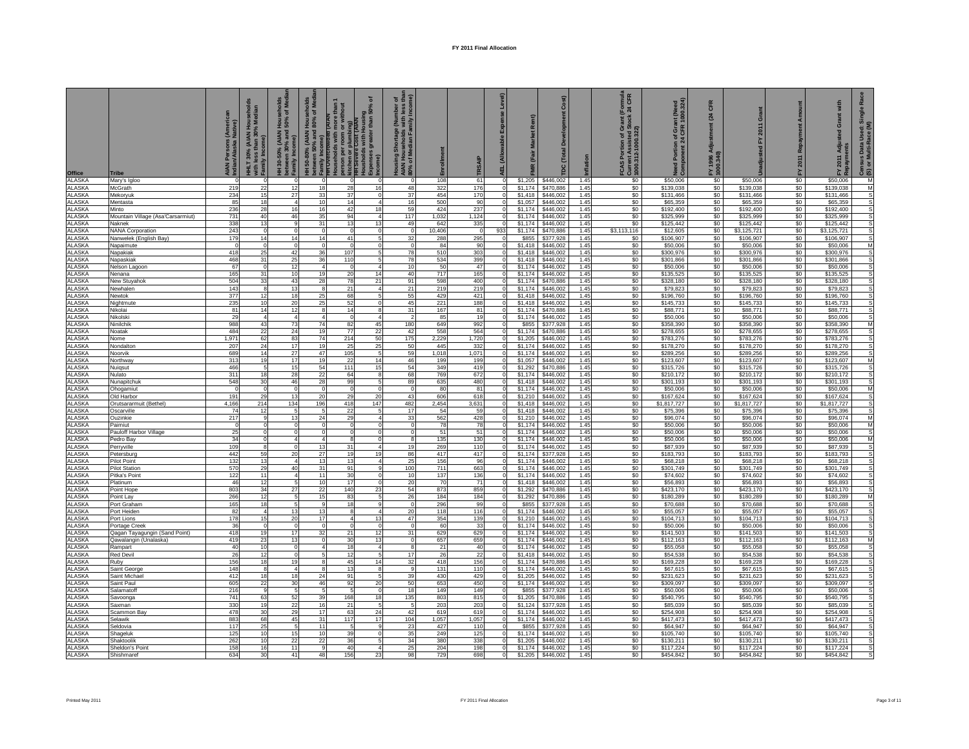| <b>Office</b>                 | <b>Tribe</b>                         | Persons (Americ<br>n/Alaska Native)<br><b>AIAN</b><br>Indian | HHLT 30% (AIAN Households<br>HHLT 30% (AIAN Households<br>Family Inco | seholds<br>of Med<br><b>House</b><br>130-50% (AIAN H<br>tween 30% and !<br>$\widehat{e}$<br>between 30%<br>Family Incom | 50-80% (AIAN Households<br>tween 50% and 80% of Med<br><b>TOVercrowded</b><br>Duseholds with r<br>etween 50%<br>amily Incor<br>족 | without<br>person per room or wit<br>Kitchen or plumbing)<br>HH Severe Cost (AIAN | ৽<br>s with Housing<br>greater than 50% | σ fi g<br>, (Number<br>with less<br>mily Incon<br>Shortage<br>useholds<br>ledian Fan<br>름로 통<br><b>AIAN</b><br>80% c |             | TRSAIF       | 립                    |                    | Cost)<br>å<br>Total<br>ē |              | (Formula<br>< 24 CFR<br>FCAS Portion of Grant (I)<br>Current Assisted Stock 2<br>1000.312-1000.322) | Grant (Need<br>:FR 1000.324)<br>CFR<br>prtion of<br>nent 24 C<br>ā | CFR<br>24<br>FY 1996 A<br>1000.340) | ō                       | 2011       | Grant with<br>ted<br>Adju<br>ents<br>2011<br>ᇫ | ፚ<br>Census Data Used: Sin<br>(S) or Multi-Race (M) |
|-------------------------------|--------------------------------------|--------------------------------------------------------------|-----------------------------------------------------------------------|-------------------------------------------------------------------------------------------------------------------------|----------------------------------------------------------------------------------------------------------------------------------|-----------------------------------------------------------------------------------|-----------------------------------------|----------------------------------------------------------------------------------------------------------------------|-------------|--------------|----------------------|--------------------|--------------------------|--------------|-----------------------------------------------------------------------------------------------------|--------------------------------------------------------------------|-------------------------------------|-------------------------|------------|------------------------------------------------|-----------------------------------------------------|
| ALASKA                        | Mary's Igloo                         | $\Omega$                                                     | $\mathbf 0$                                                           | $\Omega$                                                                                                                | $\Omega$                                                                                                                         | $\mathbf 0$                                                                       | $\mathbf 0$                             | $\mathbf 0$                                                                                                          | 108         | 61           | $\circ$              | \$1,205            | \$446,002                | 1.45         | \$0                                                                                                 | \$50,006                                                           | \$0                                 | \$50,006                | \$0        | \$50,006                                       | M                                                   |
| ALASKA<br>LASKA               | McGrath                              | 219<br>234                                                   | 22                                                                    | 12<br>27                                                                                                                | 18<br>33                                                                                                                         | 28<br>37                                                                          | 16<br>$\Omega$                          | 48<br>37                                                                                                             | 322<br>454  | 176<br>170   | $\Omega$             | \$1,174            | \$470,886                | 1.45         | \$0<br>\$0                                                                                          | \$139,038<br>\$131,466                                             | \$0                                 | \$139,038               | \$0<br>\$0 | \$139,038<br>\$131,466                         | M<br>$\mathsf{s}$                                   |
| LASKA                         | Mekoryuk<br>Mentasta                 | 85                                                           | 15<br>18                                                              |                                                                                                                         | 10                                                                                                                               | 14                                                                                |                                         | 16                                                                                                                   | 500         | 90           | $\Omega$             | \$1,418<br>\$1,057 | \$446,002<br>\$446,002   | 1.45<br>1.45 | \$0                                                                                                 | \$65,359                                                           | \$0<br>\$0                          | \$131,466<br>\$65,359   | \$0        | \$65,359                                       | s                                                   |
| ALASKA                        | Minto                                | 236                                                          | 28                                                                    | 16                                                                                                                      | 16                                                                                                                               | 42                                                                                | 18                                      | 59                                                                                                                   | 424         | 237          |                      | \$1,174            | \$446,002                | 1.45         | \$0                                                                                                 | \$192,400                                                          | \$0                                 | \$192,400               | \$0        | \$192,400                                      | s                                                   |
| ALASKA                        | Mountain Village (Asa'Carsarmiut)    | 731                                                          | 40                                                                    | 46                                                                                                                      | 35                                                                                                                               | 94                                                                                | $\Delta$                                | 117                                                                                                                  | 1,032       | 1,124        | $\mathbf{0}$         | \$1,174            | \$446,002                | 1.45         | \$0                                                                                                 | \$325,999                                                          | \$0                                 | \$325,999               | \$0        | \$325,999                                      | s                                                   |
| AI ASKA                       | Naknek                               | 338                                                          | 13                                                                    | 9                                                                                                                       | 31                                                                                                                               | 13                                                                                | 13                                      | 49                                                                                                                   | 642         | 335          | $\overline{0}$       | \$1,174            | \$446,002                | 1.45         | \$0                                                                                                 | \$125,442                                                          | \$0                                 | \$125,442               | \$0        | \$125,442                                      | s                                                   |
| LASKA                         | NANA Corporation                     | 243                                                          | $\circ$                                                               | $\mathbf 0$                                                                                                             | $\Omega$                                                                                                                         | $\circ$                                                                           | $\Omega$                                | $\circ$                                                                                                              | 10,406      | $\Omega$     | 933                  | \$1,174            | \$470,886                | 1.45         | \$3,113,116                                                                                         | \$12,605                                                           | \$0                                 | \$3,125,721             | \$0        | \$3,125,721                                    | $\mathbf{s}$                                        |
| LASKA                         | Nanwelek (English Bay)               | 179                                                          | 14                                                                    | 14                                                                                                                      | 14                                                                                                                               | 41                                                                                | 5 <sub>1</sub>                          | 32                                                                                                                   | 288         | 295          |                      | \$855              | \$377,928                | 1.45         | \$0                                                                                                 | \$106,907                                                          | \$0                                 | \$106,907               | \$0        | \$106,907                                      | s                                                   |
| LASKA                         | Napaimute                            | - 0<br>418                                                   | $\circ$                                                               | $^{\circ}$                                                                                                              | $\Omega$                                                                                                                         | $\overline{0}$<br>107                                                             | 0                                       | $\circ$                                                                                                              | 84          | 90           | $\Omega$             | \$1,418            | \$446,002                | 1.45         | \$0                                                                                                 | \$50,006                                                           | \$0                                 | \$50,006                | \$0        | \$50,006                                       | M                                                   |
| <b>LASKA</b><br><b>ALASKA</b> | Napakiak<br>Napaskiak                | 468                                                          | 25<br>31                                                              | 42<br>25                                                                                                                | 36<br>36                                                                                                                         | 110                                                                               | 5 <sub>5</sub><br>5                     | 78<br>78                                                                                                             | 510<br>534  | 303<br>399   | $\Omega$<br>$\Omega$ | \$1,418<br>\$1,418 | \$446,002<br>\$446,002   | 1.45<br>1.45 | \$0<br>\$0                                                                                          | \$300,976<br>\$301,866                                             | \$0<br>\$0                          | \$300,976<br>\$301,866  | \$0<br>\$0 | \$300,976<br>\$301,866                         | $\mathsf{s}$<br>s                                   |
| <b>ALASKA</b>                 | Nelson Lagoon                        | 67                                                           | $\circ$                                                               | 12                                                                                                                      | $\overline{4}$                                                                                                                   | $\Omega$                                                                          |                                         | 10                                                                                                                   | 50          | 47           |                      | \$1,174            | \$446,002                | 1.45         | \$0                                                                                                 | \$50,006                                                           | \$0                                 | \$50,006                | \$0        | \$50,006                                       | $\mathsf{s}$                                        |
| ALASKA                        | Nenana                               | 165                                                          | 31                                                                    | 10                                                                                                                      | 19                                                                                                                               | 20                                                                                | 14                                      | 40                                                                                                                   | 717         | 165          |                      | \$1,174            | \$446,002                | 1.45         | \$0                                                                                                 | \$135,525                                                          | \$0                                 | \$135,525               | \$0        | \$135,525                                      | s                                                   |
| ALASKA                        | New Stuyahok                         | 504                                                          | 33                                                                    | 43                                                                                                                      | 28                                                                                                                               | 78                                                                                | 21                                      | 91                                                                                                                   | 598         | 400          | $\mathbf{0}$         | \$1,174            | \$470,886                | 1.45         | \$0                                                                                                 | \$328,180                                                          | \$0                                 | \$328,180               | \$0        | \$328,180                                      | s                                                   |
| ALASKA                        | Newhaler                             | 143                                                          | $\mathbf{8}$                                                          | 13                                                                                                                      | 8                                                                                                                                | 21                                                                                | $\overline{a}$                          | 21                                                                                                                   | 219         | 219          | $\Omega$             | \$1,174            | \$446,002                | 1.45         | \$0                                                                                                 | \$79,823                                                           | \$0                                 | \$79,823                | \$0        | \$79,823                                       | s                                                   |
| LASKA                         | Newtok                               | 377                                                          | 12                                                                    | 18                                                                                                                      | 25                                                                                                                               | 68                                                                                | 5 <sub>5</sub>                          | 55                                                                                                                   | 429         | 421          | ΩI                   | \$1,418            | \$446,002                | 1.45         | \$0                                                                                                 | \$196,760                                                          | \$0                                 | \$196,760               | \$0        | \$196,760                                      | S                                                   |
| LASKA                         | Nightmute                            | 235                                                          | 10                                                                    | 20                                                                                                                      | 25<br>f                                                                                                                          | 52                                                                                | $\mathbf{0}$<br>8                       | 45                                                                                                                   | 221         | 188          | <sub>0</sub>         | \$1,418            | \$446,002                | 1.45         | \$0                                                                                                 | \$145,733                                                          | \$0                                 | \$145,733               | \$0        | \$145,733                                      | S<br>s                                              |
| LASKA<br>ALASKA               | Nikolai<br>Nikolski                  | 81<br>29                                                     | 14<br>$\overline{4}$                                                  | 12<br>$\overline{4}$                                                                                                    | $\overline{4}$                                                                                                                   | 14<br>- 0                                                                         | $\overline{4}$                          | 31<br>$\overline{2}$                                                                                                 | 167<br>85   | 81<br>19     | $\Omega$             | \$1,174<br>\$1,174 | \$470,886<br>\$446,002   | 1.45<br>1.45 | \$0<br>\$0                                                                                          | \$88,771<br>\$50,006                                               | \$0<br>\$0                          | \$88,771<br>\$50,006    | \$0<br>\$0 | \$88,771<br>\$50,006                           | s                                                   |
| ALASKA                        | Ninilchil                            | 988                                                          | 43                                                                    | 73                                                                                                                      | 74                                                                                                                               | 82                                                                                | 45                                      | 180                                                                                                                  | 649         | 992          |                      | \$855              | \$377,928                | 1.45         | \$0                                                                                                 | \$358,390                                                          | \$0                                 | \$358,390               | \$0        | \$358,390                                      | M                                                   |
| ALASKA                        | Noatak                               | 484                                                          | 22                                                                    | 24                                                                                                                      | 19                                                                                                                               | 77                                                                                | 22                                      | 42                                                                                                                   | 558         | 564          |                      | \$1,174            | \$470,886                | 1.45         | \$0                                                                                                 | \$278,655                                                          | \$0                                 | \$278,655               | \$0        | \$278,655                                      | s                                                   |
| ALASKA                        | Nome                                 | 1,971                                                        | 62                                                                    | 83                                                                                                                      | 74                                                                                                                               | 214                                                                               | 50                                      | 175                                                                                                                  | 2,229       | 1,720        |                      | \$1,205            | \$446,002                | 1.45         | \$0                                                                                                 | \$783,276                                                          | \$0                                 | \$783,276               | \$0        | \$783,276                                      | s                                                   |
| ALASKA                        | Nondalton                            | 207                                                          | 24                                                                    | 17                                                                                                                      | 19                                                                                                                               | 25                                                                                | 25                                      | 50                                                                                                                   | 445         | 332          | ΩI                   | \$1,174            | \$446,002                | 1.45         | \$0                                                                                                 | \$178,270                                                          | \$0                                 | \$178,270               | \$0        | \$178,270                                      | $\mathsf{s}$                                        |
| <b>ALASKA</b><br>LASKA        | Noorvik                              | 689<br>313                                                   | 14<br>19                                                              | 27<br>17                                                                                                                | 47<br>19                                                                                                                         | 105                                                                               | $5 -$<br>14                             | 59<br>46                                                                                                             | 1.018       | 1,071<br>199 | οI<br><sub>0</sub>   | \$1,174            | \$446,002                | 1.45         | \$0<br>\$0                                                                                          | \$289,256                                                          | \$0<br>\$0                          | \$289,256               | \$0<br>\$0 | \$289,256<br>\$123,607                         | s<br>M                                              |
| ALASKA                        | Northway<br>Nuigsut                  | 466                                                          | 5                                                                     | 15                                                                                                                      | 54                                                                                                                               | 22<br>111                                                                         | 15                                      | 54                                                                                                                   | 199<br>349  | 419          | $\overline{0}$       | \$1,057<br>\$1,292 | \$446,002<br>\$470,886   | 1.45<br>1.45 | \$0                                                                                                 | \$123,607<br>\$315,726                                             | \$0                                 | \$123,607<br>\$315,726  | \$0        | \$315,726                                      | s                                                   |
| ALASKA                        | Nulato                               | 311                                                          | 18                                                                    | 28                                                                                                                      | 22                                                                                                                               | 64                                                                                | 8                                       | 68                                                                                                                   | 769         | 672          | $\circ$              | \$1,174            | \$446,002                | 1.45         | \$0                                                                                                 | \$210,172                                                          | \$0                                 | \$210,172               | \$0        | \$210,172                                      | s                                                   |
| ALASKA                        | Nunapitchul                          | 548                                                          | 30                                                                    | 46                                                                                                                      | 28                                                                                                                               | 99                                                                                | 5 <sub>5</sub>                          | 89                                                                                                                   | 635         | 480          | $\Omega$             | \$1.418            | \$446,002                | 1.45         | \$0                                                                                                 | \$301,193                                                          | \$0                                 | \$301.193               | \$0        | \$301.193                                      | s.                                                  |
| ALASKA                        | Ohogamiut                            | $\Omega$                                                     | $^{\circ}$                                                            | $\mathbf 0$                                                                                                             | $\epsilon$                                                                                                                       | $^{\circ}$                                                                        | $\mathbf 0$                             | $\overline{0}$                                                                                                       | 80          | 81           |                      | \$1,174            | \$446,002                | 1.45         | \$0                                                                                                 | \$50,006                                                           | \$0                                 | \$50,006                | \$0        | \$50,006                                       | M                                                   |
| ALASKA                        | Old Harbor                           | 191                                                          | 29                                                                    | 13                                                                                                                      | 20                                                                                                                               | 29                                                                                | $20\,$                                  | 43                                                                                                                   | 606         | 618          |                      | \$1,210            | \$446,002                | 1.45         | \$0                                                                                                 | \$167,624                                                          | \$0                                 | \$167,624               | \$0        | \$167,624                                      | s                                                   |
| ALASKA<br>ALASKA              | Orutsararmuit (Bethel)<br>Oscarville | 4,166<br>74                                                  | 214<br>12                                                             | 134<br>5                                                                                                                | 196<br>5                                                                                                                         | 418<br>22                                                                         | 147<br>5                                | 482<br>17                                                                                                            | 2,454<br>54 | 3,631<br>59  | $\Omega$             | \$1,418<br>\$1,418 | \$446,002<br>\$446,002   | 1.45<br>1.45 | \$0<br>\$0                                                                                          | \$1,817,727<br>\$75,396                                            | \$0<br>\$0                          | \$1,817,727<br>\$75,396 | \$0<br>\$0 | \$1,817,727<br>\$75,396                        | s<br>s                                              |
| LASKA                         | Ouzinkie                             | 217                                                          | $_{9}$                                                                | 13                                                                                                                      | 24                                                                                                                               | 29                                                                                | $\Delta$                                | 33                                                                                                                   | 562         | 428          | ΩI                   | \$1,210            | \$446,002                | 1.45         | \$0                                                                                                 | \$96,074                                                           | \$0                                 | \$96,074                | \$0        | \$96,074                                       | M                                                   |
| LASKA                         | Paimiut                              |                                                              | $\mathbf 0$                                                           | $\Omega$                                                                                                                |                                                                                                                                  | $\Omega$                                                                          | $\Omega$                                | $\mathbf{0}$                                                                                                         | 78          | 78           |                      | \$1,174            | \$446,002                | 1.45         | \$0                                                                                                 | \$50,006                                                           | \$0                                 | \$50,006                | \$0        | \$50,006                                       | M                                                   |
| ALASKA                        | Pauloff Harbor Village               | 25                                                           | $\circ$                                                               | $\mathbf 0$                                                                                                             | $\Omega$                                                                                                                         | $\circ$                                                                           | $\circ$                                 | $\circ$                                                                                                              | 51          | 51           | $\circ$              | \$1,174            | \$446,002                | 1.45         | \$0                                                                                                 | \$50,006                                                           | \$0                                 | \$50,006                | \$0        | \$50,006                                       | s                                                   |
| ALASKA<br><b>LASKA</b>        | Pedro Bay                            | 34                                                           | $\circ$                                                               | $\overline{4}$                                                                                                          | $\Delta$                                                                                                                         | 8                                                                                 | $\Omega$                                | 8 <sup>1</sup>                                                                                                       | 135         | 130          | $\Omega$             | \$1,174            | \$446,002                | 1.45         | \$0                                                                                                 | \$50,006                                                           | \$0                                 | \$50,006                | \$0        | \$50,006                                       | M                                                   |
| LASKA                         | Perryville<br>Petersburg             | 109<br>442                                                   | 8<br>59                                                               | $\Omega$<br>20                                                                                                          | 13<br>27                                                                                                                         | 31<br>19                                                                          | 4<br>19                                 | 19<br>86                                                                                                             | 269<br>417  | 110<br>417   | $\overline{0}$       | \$1,174<br>\$1,174 | \$446,002<br>\$377,928   | 1.45<br>1.45 | \$0<br>\$0                                                                                          | \$87,939<br>\$183,793                                              | \$0<br>\$0                          | \$87,939<br>\$183,793   | \$0<br>\$0 | \$87,939<br>\$183,793                          | $\mathbf{s}$<br>$\mathsf{s}$                        |
| ALASKA                        | Pilot Point                          | 132                                                          | 13                                                                    | $\overline{4}$                                                                                                          | 13                                                                                                                               | 13                                                                                |                                         | 25                                                                                                                   | 156         | 96           |                      | \$1,174            | \$446,002                | 1.45         | \$0                                                                                                 | \$68,218                                                           | \$0                                 | \$68,218                | \$0        | \$68,218                                       | s                                                   |
| ALASKA                        | <b>Pilot Station</b>                 | 570                                                          | 29                                                                    | 40                                                                                                                      | 31                                                                                                                               | 91                                                                                |                                         | 100                                                                                                                  | 711         | 663          |                      | \$1,174            | \$446,002                | 1.45         | \$0                                                                                                 | \$301,749                                                          | \$0                                 | \$301,749               | \$0        | \$301,749                                      | ${\tt S}$                                           |
| ALASKA                        | Pitka's Point                        | 122                                                          | 11                                                                    |                                                                                                                         | 11                                                                                                                               | 30                                                                                | $\Omega$                                | 10 <sup>1</sup>                                                                                                      | 137         | 136          | ΩI                   | \$1,174            | \$446,002                | 1.45         | \$0                                                                                                 | \$74,602                                                           | \$0                                 | \$74,602                | \$0        | \$74,602                                       | s                                                   |
| LASKA                         | Platinum                             | 46                                                           | 12                                                                    | 5                                                                                                                       | 10                                                                                                                               | 17                                                                                | $\Omega$                                | 20                                                                                                                   | 70          | 71           | οI                   | \$1,418            | \$446,002                | 1.45         | \$0                                                                                                 | \$56,893                                                           | \$0                                 | \$56,893                | \$0        | \$56,893                                       | $\mathbf{s}$                                        |
| LASKA<br>ALASKA               | Point Hope<br>Point Lay              | 803<br>266                                                   | 34<br>12                                                              | 27<br>5                                                                                                                 | 22<br>15                                                                                                                         | 140<br>83                                                                         | 23<br>5                                 | 54<br>26                                                                                                             | 873<br>184  | 859<br>184   | ΩI<br>$\Omega$       | \$1,292<br>\$1,292 | \$470,886<br>\$470,886   | 1.45<br>1.45 | \$0<br>\$0                                                                                          | \$423,170<br>\$180,289                                             | \$0<br>\$0                          | \$423,170<br>\$180,289  | \$0<br>\$0 | \$423,170<br>\$180,289                         | M                                                   |
| ALASKA                        | Port Graham                          | 165                                                          | 18                                                                    | 5                                                                                                                       | -9                                                                                                                               | 18                                                                                | 9                                       | $\overline{0}$                                                                                                       | 296         | 99           | $\Omega$             | \$855              | \$377,928                | 1.45         | \$0                                                                                                 | \$70,688                                                           | \$0                                 | \$70,688                | \$0        | \$70,688                                       | $\mathsf{s}$                                        |
| <b>ALASKA</b>                 | Port Heiden                          | 82                                                           | $\overline{4}$                                                        | 13                                                                                                                      | 13                                                                                                                               | $\mathbf{8}$                                                                      | $\overline{4}$                          | 20                                                                                                                   | 118         | 116          |                      | \$1,174            | \$446,002                | 1.45         | \$0                                                                                                 | \$55,057                                                           | \$0                                 | \$55,057                | \$0        | \$55,057                                       | s                                                   |
| <b>ALASKA</b>                 | Port Lions                           | 178                                                          | 15                                                                    | 20                                                                                                                      | 17                                                                                                                               | $\overline{4}$                                                                    | 13                                      | 47                                                                                                                   | 354         | 139          |                      | \$1,210            | \$446,002                | 1.45         | \$0                                                                                                 | \$104,713                                                          | \$0                                 | \$104,713               | \$0        | \$104,713                                      | s                                                   |
| ALASKA                        | Portage Creek                        | 36                                                           | $\circ$                                                               | $\Omega$                                                                                                                | $\Omega$                                                                                                                         | $\Omega$                                                                          | $\Omega$                                | $\circ$                                                                                                              | 60          | 33           | $\Omega$             | \$1,174            | \$446,002                | 1.45         | \$0                                                                                                 | \$50,006                                                           | \$0                                 | \$50,006                | \$0        | \$50,006                                       |                                                     |
| ALASKA<br>LASKA               | Qagan Tayagungin (Sand Point)        | 418<br>419                                                   | 19<br>23                                                              | 17<br>13                                                                                                                | 32                                                                                                                               | 21<br>30                                                                          | 12<br>13                                | 31<br>$\overline{0}$                                                                                                 | 629<br>657  | 629<br>659   | ΩI<br>$\Omega$       | \$1,174<br>\$1,174 | \$446,002<br>\$446,002   | 1.45<br>1.45 | \$0<br>\$0                                                                                          | \$141,503<br>\$112,163                                             | \$0                                 | \$141,503               | \$0<br>\$0 | \$141,503<br>\$112,163                         | s<br>M                                              |
| LASKA                         | Qawalangin (Unalaska)<br>Rampart     | 40                                                           | 10                                                                    | $\Omega$                                                                                                                |                                                                                                                                  | 18                                                                                | $\overline{4}$                          | $\mathbf{8}$                                                                                                         | 21          | 40           | ΩI                   | \$1,174            | \$446,002                | 1.45         | \$0                                                                                                 | \$55,058                                                           | \$0<br>\$0                          | \$112,163<br>\$55,058   | \$0        | \$55,058                                       | S                                                   |
| LASKA                         | <b>Red Devil</b>                     | 26                                                           | 12                                                                    | $\Omega$                                                                                                                |                                                                                                                                  | 12                                                                                | 5                                       | 17                                                                                                                   | 26          | 22           | $\overline{0}$       | \$1,418            | \$446,002                | 1.45         | \$0                                                                                                 | \$54,538                                                           | \$0                                 | \$54,538                | \$0        | \$54,538                                       | s                                                   |
| ALASKA                        | Ruby                                 | 156                                                          | 18                                                                    | 19                                                                                                                      | -8                                                                                                                               | 45                                                                                | 14                                      | 32                                                                                                                   | 418         | 156          | ΩI                   | \$1,174            | \$470,886                | 1.45         | \$0                                                                                                 | \$169,228                                                          | \$0                                 | \$169,228               | \$0        | \$169,228                                      | s                                                   |
| ALASKA                        | Saint George                         | 148                                                          | -8                                                                    | $\overline{4}$                                                                                                          | ۶                                                                                                                                | 13                                                                                | 8                                       | 9                                                                                                                    | 131         | 110          | $\Omega$             | \$1,174            | \$446,002                | 1.45         | \$0                                                                                                 | \$67,615                                                           | \$0                                 | \$67,615                | \$0        | \$67,615                                       | s                                                   |
| ALASKA                        | Saint Michael                        | 412                                                          | 18                                                                    | 18                                                                                                                      | 24                                                                                                                               | 91                                                                                | 5                                       | 39                                                                                                                   | 430         | 429          |                      | \$1,205            | \$446,002                | 1.45         | \$0                                                                                                 | \$231,623                                                          | \$0                                 | \$231,623               | \$0        | \$231,623                                      | $\mathsf{s}$                                        |
| ALASKA                        | Saint Paul                           | 605<br>216                                                   | 22<br>$\overline{9}$                                                  | 30<br>5                                                                                                                 | 46<br>.5                                                                                                                         | 92<br>-5                                                                          | 20<br>$\overline{0}$                    | 50<br>18                                                                                                             | 653         | 450<br>149   | $\Omega$             | \$1,174            | \$446,002                | 1.45         | \$0<br>\$0                                                                                          | \$309,097                                                          | \$0                                 | \$309,097               | \$0<br>\$0 | \$309,097                                      | s<br>$\mathsf{s}$                                   |
| ALASKA<br>ALASKA              | Salamatofl<br>Savoonga               | 741                                                          | 63                                                                    | 52                                                                                                                      | 39                                                                                                                               | 168                                                                               | 18                                      | 135                                                                                                                  | 149<br>803  | 815          | $\Omega$             | \$855<br>\$1,205   | \$377,928<br>\$470,886   | 1.45<br>1.45 | \$0                                                                                                 | \$50,006<br>\$540,795                                              | \$0<br>\$0                          | \$50,006<br>\$540,795   | \$0        | \$50,006<br>\$540,795                          | $\mathsf{s}$                                        |
| <b>ALASKA</b>                 | Saxmar                               | 330                                                          | 19                                                                    | 22                                                                                                                      | 16                                                                                                                               | 21                                                                                | 5                                       | $\overline{5}$                                                                                                       | 203         | 203          | ΩI                   | \$1,124            | \$377,928                | 1.45         | \$0                                                                                                 | \$85,039                                                           | \$0                                 | \$85,039                | \$0        | \$85,039                                       | s                                                   |
| LASKA                         | Scammon Bay                          | 478                                                          | 30                                                                    | 29                                                                                                                      | 17                                                                                                                               | 63                                                                                | 24                                      | 42                                                                                                                   | 619         | 619          | <sub>0</sub>         | \$1,174            | \$446,002                | 1.45         | \$0                                                                                                 | \$254,908                                                          | \$0                                 | \$254,908               | \$0        | \$254,908                                      | s                                                   |
| ALASKA                        | Selawik                              | 883                                                          | 68                                                                    | 45                                                                                                                      | 31                                                                                                                               | 117                                                                               | 17                                      | 104                                                                                                                  | 1,057       | 1,057        | ΩI                   | \$1,174            | \$446,002                | 1.45         | \$0                                                                                                 | \$417,473                                                          | \$0                                 | \$417,473               | \$0        | \$417,473                                      | s                                                   |
| ALASKA                        | Seldovia                             | 117                                                          | 25                                                                    | 5                                                                                                                       | 11                                                                                                                               | 5                                                                                 | 9                                       | 23                                                                                                                   | 427         | 110          | $\Omega$             | \$855              | \$377,928                | 1.45         | \$0                                                                                                 | \$64,947                                                           | \$0                                 | \$64,947                | \$0        | \$64,947                                       | s                                                   |
| LASKA                         | Shageluk                             | 125                                                          | 10                                                                    | 15                                                                                                                      | 10                                                                                                                               | 39                                                                                | $\Omega$                                | 35                                                                                                                   | 249         | 125          |                      | \$1.174            | \$446,002                | 1.45         | \$0                                                                                                 | \$105,740                                                          | \$0                                 | \$105,740               | \$0        | \$105,740                                      | s                                                   |
| ALASKA<br><b>ALASKA</b>       | Shaktoolik<br>Sheldon's Point        | 262<br>158                                                   | 10<br>16                                                              | 22<br>11                                                                                                                | 22                                                                                                                               | 36<br>40                                                                          | 5                                       | 34<br>25                                                                                                             | 380<br>204  | 338<br>198   |                      | \$1,205<br>\$1.174 | \$446,002<br>\$446,002   | 1.45<br>1.45 | \$0<br>\$0                                                                                          | \$130,211<br>\$117,224                                             | \$0<br>\$0                          | \$130,211<br>\$117,224  | \$0<br>\$0 | \$130,211<br>\$117,224                         | s<br>S                                              |
| <b>ALASKA</b>                 | Shishmare                            | 634                                                          | 30                                                                    | 41                                                                                                                      | 48                                                                                                                               | 156                                                                               | 23                                      | 98                                                                                                                   | 729         | 698          | οI                   | \$1,205            | \$446,002                | 1.45         | \$0                                                                                                 | \$454,842                                                          | \$0                                 | \$454,842               | \$0        | \$454,842                                      | s                                                   |
|                               |                                      |                                                              |                                                                       |                                                                                                                         |                                                                                                                                  |                                                                                   |                                         |                                                                                                                      |             |              |                      |                    |                          |              |                                                                                                     |                                                                    |                                     |                         |            |                                                |                                                     |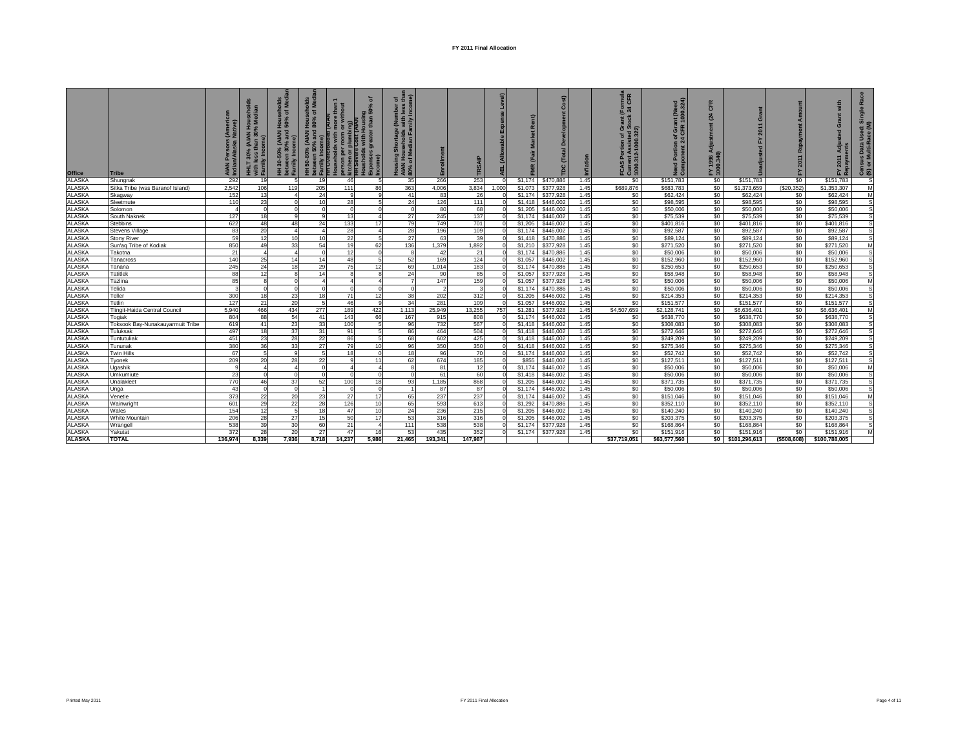| Office                                                   | <b>Tribe</b>                     | s (Ameri<br>Native)<br>AIAN Persons | (AIAN Househ)<br>han 30% Media<br>£<br>30%<br>with less<br>Family In | eholds<br>of Med<br>Hous<br>  50%<br>(AIAN I)<br>me<br>30-50%<br>tween 30<br>HH 30-5<br>betweer<br>Family I | eholds<br>of Med<br>more than<br>or without<br>ŏ<br>50-80% (AIAN Hous<br>ween 50% and 80%<br>between<br>Family I<br>THT Ovel<br>Househ | ិ៍<br>is with Housing<br>s greater than 50% c<br><b>tbing</b> )<br>T(AIAM<br><b>Harry Control Control Control Control Control Control Control Control Control Control Control Control Control</b><br><b>Control Control Control Control Control Control Control Control Control Control Control Control Control Cont</b> | $5 \frac{a}{2}$<br>e (Number<br>: with less<br>mily Incom<br>eholds<br>eholds<br>lian<br>Housing<br>AIAN Hou<br>80% of M |                      | allm<br>高   | TRSAI                   |          | Rent)<br><b>IMR</b> | Cost)<br>පී<br>$\overline{\text{Total}}$<br>рc | Inflation    | (Formula<br>24 CFR<br>Grant (<br>Stock<br>FCAS Portion of Gra<br>Current Assisted St<br>1000.312-1000.322) | (Need<br>00.324)<br>٤ē<br><b>I</b> Gra<br>$\frac{1}{24}$<br>a.<br>Need F<br>Compo | CFR<br>(24)<br>djustment<br>45<br>FY 1996<br>1000.340 | Gra<br>2011             | 놊                | ត្ត ត្ត<br>도 운          | 歰<br>nsus Data Used: Sin<br>or Multi-Race (M)<br>ලි ග |
|----------------------------------------------------------|----------------------------------|-------------------------------------|----------------------------------------------------------------------|-------------------------------------------------------------------------------------------------------------|----------------------------------------------------------------------------------------------------------------------------------------|--------------------------------------------------------------------------------------------------------------------------------------------------------------------------------------------------------------------------------------------------------------------------------------------------------------------------|--------------------------------------------------------------------------------------------------------------------------|----------------------|-------------|-------------------------|----------|---------------------|------------------------------------------------|--------------|------------------------------------------------------------------------------------------------------------|-----------------------------------------------------------------------------------|-------------------------------------------------------|-------------------------|------------------|-------------------------|-------------------------------------------------------|
| <b>ALASKA</b>                                            | Shungnak                         | 292                                 | 19                                                                   |                                                                                                             | 1 <sup>5</sup>                                                                                                                         | 46                                                                                                                                                                                                                                                                                                                       |                                                                                                                          | 35                   | 266         | 253                     |          | \$1,174             | \$470,886                                      | 1.45         | \$0                                                                                                        | \$151,783                                                                         | \$0                                                   | \$151,783               | \$0              | \$151,783               | s<br>M                                                |
|                                                          | Sitka Tribe (was Baranof Island) | 2,542<br>152                        | 106<br>13                                                            | 119                                                                                                         | 205<br>24                                                                                                                              | 111<br>9                                                                                                                                                                                                                                                                                                                 | 86<br>q                                                                                                                  | 363<br>41            | 4,006<br>83 | 3,834<br>26             | 1,000    | \$1,073<br>\$1,174  | \$377,928<br>\$377,928                         | 1.45<br>1.45 | \$689,876<br>\$0                                                                                           | \$683,783<br>\$62,424                                                             | \$0<br>\$0                                            | \$1,373,659<br>\$62,424 | (\$20,352<br>\$0 | \$1,353,307<br>\$62,424 | M                                                     |
| ALASKA<br>ALASKA<br>ALASKA<br>ALASKA<br>ALASKA<br>ALASKA | Skagway<br>Sleetmute             | 110                                 | 23                                                                   | $\Omega$                                                                                                    | 10                                                                                                                                     | 28                                                                                                                                                                                                                                                                                                                       | 5                                                                                                                        | 24                   | 126         | 111                     |          | \$1,418             | \$446,002                                      | 1.45         | \$0                                                                                                        | \$98,595                                                                          | \$0                                                   | \$98,595                | \$0              | \$98,595                | s                                                     |
|                                                          | Solomon                          |                                     | $\Omega$                                                             | $\Omega$                                                                                                    |                                                                                                                                        | $\Omega$                                                                                                                                                                                                                                                                                                                 |                                                                                                                          | $\overline{0}$       | 80          | 68                      |          | \$1,205             | \$446,002                                      | 1.45         | \$0                                                                                                        | \$50,006                                                                          | \$0                                                   | \$50,006                | \$0              | \$50,006                | s                                                     |
|                                                          | South Naknek                     | 127                                 | 18                                                                   | $\mathbf{9}$                                                                                                |                                                                                                                                        | 13                                                                                                                                                                                                                                                                                                                       | Δ                                                                                                                        | 27                   | 245         | 137                     |          | \$1,174             | \$446,002                                      | 1.45         | \$0                                                                                                        | \$75,539                                                                          | \$0                                                   | \$75,539                | \$0              | \$75,539                | s,                                                    |
|                                                          | Stebbins                         | 622                                 | 48                                                                   | 48                                                                                                          | 24                                                                                                                                     | 133                                                                                                                                                                                                                                                                                                                      | 17                                                                                                                       | 79                   | 749         | 701                     |          | \$1,205             | \$446,002                                      | 1.45         | \$0                                                                                                        | \$401,816                                                                         | \$0                                                   | \$401,816               | \$0              | \$401,816               | s                                                     |
| <b>ALASKA</b>                                            | Stevens Village                  | 83                                  | 20                                                                   | $\overline{4}$                                                                                              |                                                                                                                                        | 28                                                                                                                                                                                                                                                                                                                       | Δ                                                                                                                        | 28                   | 196         | 109                     | $\Omega$ | \$1,174             | \$446,002                                      | 1.45         | \$0                                                                                                        | \$92,587                                                                          | \$0                                                   | \$92,587                | \$0              | \$92,587                | s                                                     |
| <b>ALASKA</b>                                            | <b>Stony River</b>               | 59                                  | 12                                                                   | 10                                                                                                          | 10                                                                                                                                     | 22                                                                                                                                                                                                                                                                                                                       | 5 <sub>5</sub>                                                                                                           | 27                   | 63          | 39                      |          | \$1,418             | \$470,886                                      | 1.45         | \$0                                                                                                        | \$89,124                                                                          | \$0                                                   | \$89,124                | \$0              | \$89,124                | s                                                     |
|                                                          | Sun'ag Tribe of Kodiak           | 850                                 | 49                                                                   | 33                                                                                                          | 54                                                                                                                                     | 19                                                                                                                                                                                                                                                                                                                       | 62                                                                                                                       | 136                  | 1,379       | 1,892                   |          | \$1,210             | \$377,928                                      | 1.45         | \$0                                                                                                        | \$271,520                                                                         | \$0                                                   | \$271,520               | \$0              | \$271,520               | M                                                     |
| ALASKA<br>ALASKA                                         | Takotna                          | 21                                  | $\overline{4}$                                                       | $\overline{4}$                                                                                              |                                                                                                                                        | 12                                                                                                                                                                                                                                                                                                                       | $\Omega$                                                                                                                 | 8                    | 42          | 21                      |          | \$1,174             | \$470,886                                      | 1.45         | \$0                                                                                                        | \$50,006                                                                          | \$0                                                   | \$50,006                | \$0              | \$50,006                | s                                                     |
| <b>ALASKA</b>                                            | Tanacross                        | 140                                 | 25                                                                   | 14                                                                                                          | 14                                                                                                                                     | 48                                                                                                                                                                                                                                                                                                                       | 51                                                                                                                       | 52                   | 169         | 124                     |          | \$1,057             | \$446,002                                      | 1.45         | \$0                                                                                                        | \$152,960                                                                         | \$0                                                   | \$152,960               | \$0              | \$152,960               | s                                                     |
| <b>ALASKA</b>                                            | Tanana                           | 245                                 | 24                                                                   | 18                                                                                                          | 29                                                                                                                                     | 75                                                                                                                                                                                                                                                                                                                       | 12                                                                                                                       | 69                   | 1.014       | 183                     |          | \$1,174             | \$470,886                                      | 1.45         | \$0                                                                                                        | \$250,653                                                                         | \$0                                                   | \$250.653               | \$0              | \$250,653               | s                                                     |
| <b>ALASKA</b>                                            | <b>Tatitlek</b>                  | 88                                  | 12                                                                   | 8                                                                                                           | 14                                                                                                                                     | 8                                                                                                                                                                                                                                                                                                                        | $\mathbf{8}$                                                                                                             | 24                   | 90          | 85                      |          | \$1,057             | \$377,928                                      | 1.45         | \$0                                                                                                        | \$58,948                                                                          | \$0                                                   | \$58,948                | \$0              | \$58,948                | s                                                     |
| <b>ALASKA</b>                                            | Tazlina                          | 85                                  | 8                                                                    | $\Omega$                                                                                                    |                                                                                                                                        | $\Delta$                                                                                                                                                                                                                                                                                                                 | $\Delta$                                                                                                                 | 7                    | 147         | 159                     |          | \$1,057             | \$377,928                                      | 1.45         | \$0                                                                                                        | \$50,006                                                                          | \$0                                                   | \$50,006                | \$0              | \$50,006                | M                                                     |
| <b>ALASKA</b>                                            | Telida                           |                                     | $\Omega$                                                             | $\Omega$                                                                                                    |                                                                                                                                        | $\Omega$                                                                                                                                                                                                                                                                                                                 | $\Omega$                                                                                                                 | $\Omega$             |             | $\overline{\mathbf{3}}$ |          | \$1,174             | \$470,886                                      | 1.45         | \$0                                                                                                        | \$50,006                                                                          | \$0                                                   | \$50,006                | \$0              | \$50,006                | S                                                     |
| <b>ALASKA</b>                                            | Teller                           | 300                                 | 18                                                                   | 23                                                                                                          | 18                                                                                                                                     | 71                                                                                                                                                                                                                                                                                                                       | 12                                                                                                                       | 38                   | 202         | 312                     |          | \$1,205             | \$446,002                                      | 1.45         | \$0                                                                                                        | \$214,353                                                                         | \$0                                                   | \$214,353               | \$0              | \$214,353               | s                                                     |
| ALASKA<br>ALASKA                                         | Tetlin                           | 127                                 | 21                                                                   | 20                                                                                                          |                                                                                                                                        | 46                                                                                                                                                                                                                                                                                                                       | $\mathsf q$                                                                                                              | 34                   | 281         | 109                     |          | \$1,057             | \$446,002                                      | 1.45         | \$0                                                                                                        | \$151,577                                                                         | \$0                                                   | \$151,577               | \$0              | \$151,577               | s                                                     |
|                                                          | Tlingit-Haida Central Council    | 5.940                               | 466                                                                  | 434                                                                                                         | 277                                                                                                                                    | 189                                                                                                                                                                                                                                                                                                                      | 422                                                                                                                      | 1.113                | 25.949      | 13,255                  | 757      | \$1,281             | \$377,928                                      | 1.45         | \$4,507,659                                                                                                | \$2.128.741                                                                       | \$0                                                   | \$6.636.401             | \$0              | \$6,636,401             | M                                                     |
|                                                          | Togiak                           | 804                                 | 88                                                                   | 54                                                                                                          | 41                                                                                                                                     | 143                                                                                                                                                                                                                                                                                                                      | 66                                                                                                                       | 167                  | 915         | 808                     |          | \$1,174             | \$446,002                                      | 1.45         | \$0                                                                                                        | \$638,770                                                                         | \$0                                                   | \$638,770               | \$0              | \$638,770               | s                                                     |
|                                                          | Toksook Bay-Nunakauyarmuit Tribe | 619                                 | 41                                                                   | 23                                                                                                          | 33                                                                                                                                     | 100                                                                                                                                                                                                                                                                                                                      | 5                                                                                                                        | 96                   | 732         | 567                     |          | \$1,418             | \$446,002                                      | 1.45         | \$0                                                                                                        | \$308,083                                                                         | \$0                                                   | \$308,083               | \$0              | \$308,083               | s                                                     |
| ALASKA<br>ALASKA<br>ALASKA<br>ALASKA                     | Tuluksak                         | 497                                 | 18                                                                   | 37                                                                                                          | 31                                                                                                                                     | 91                                                                                                                                                                                                                                                                                                                       | 51                                                                                                                       | 86                   | 464         | 504                     |          | \$1,418             | \$446,002                                      | 1.45         | \$0                                                                                                        | \$272,646                                                                         | \$0                                                   | \$272,646               | \$0              | \$272,646               | s                                                     |
|                                                          | Tuntutulial                      | 451                                 | 23                                                                   | 28                                                                                                          | 22                                                                                                                                     | 86                                                                                                                                                                                                                                                                                                                       | $5 -$                                                                                                                    | 68                   | 602         | 425                     |          | \$1,418             | \$446,002                                      | 1.45         | \$0                                                                                                        | \$249,209                                                                         | \$0                                                   | \$249,209               | \$0              | \$249,209               | s                                                     |
| ALASKA<br>ALASKA                                         | Tununak                          | 380                                 | 36                                                                   | 33                                                                                                          | 27                                                                                                                                     | 79                                                                                                                                                                                                                                                                                                                       | 10 <sup>1</sup>                                                                                                          | 96                   | 350         | 350                     |          | \$1,418             | \$446,002                                      | 1.45         | \$0                                                                                                        | \$275,346                                                                         | \$0                                                   | \$275,346               | \$0              | \$275,346               | s                                                     |
|                                                          | Twin Hills                       | 67                                  | 5                                                                    | 9<br>28                                                                                                     |                                                                                                                                        | 18                                                                                                                                                                                                                                                                                                                       | $\Omega$<br>11                                                                                                           | 18                   | 96          | 70                      | $\circ$  | \$1,174             | \$446,002                                      | 1.45         | \$0<br>\$0                                                                                                 | \$52,742                                                                          | \$0                                                   | \$52,742                | \$0<br>\$0       | \$52,742                | s<br>s                                                |
| ALASKA<br>ALASKA                                         | Tyonek<br>Ugashik                | 209<br>-9                           | 20<br>$\overline{4}$                                                 | $\overline{4}$                                                                                              | 22<br>$\epsilon$                                                                                                                       | 9<br>$\Delta$                                                                                                                                                                                                                                                                                                            | $\Delta$                                                                                                                 | 62<br>8 <sup>1</sup> | 674<br>81   | 185<br>12               |          | \$855<br>\$1,174    | \$446,002<br>\$446,002                         | 1.45<br>1.45 | \$0                                                                                                        | \$127,511<br>\$50,006                                                             | \$0<br>\$0                                            | \$127,511<br>\$50,006   | \$0              | \$127,511<br>\$50,006   | M                                                     |
|                                                          | Umkumiute                        | 23                                  | $\Omega$                                                             | $\Omega$                                                                                                    |                                                                                                                                        | $\Omega$                                                                                                                                                                                                                                                                                                                 | $\Omega$                                                                                                                 | $\circ$              | 61          | 60                      |          | \$1,418             | \$446,002                                      | 1.45         | \$0                                                                                                        | \$50,006                                                                          | \$0                                                   | \$50,006                | \$0              | \$50,006                | s                                                     |
| ALASKA<br>ALASKA                                         | Unalaklee                        | 770                                 | 46                                                                   | 37                                                                                                          | 52                                                                                                                                     | 100                                                                                                                                                                                                                                                                                                                      | 18                                                                                                                       | 93                   | 1,185       | 868                     |          | \$1,205             | \$446,002                                      | 1.45         | \$0                                                                                                        | \$371,735                                                                         | \$0                                                   | \$371,735               | \$0              | \$371,735               | s                                                     |
|                                                          | Unga                             | 43                                  | $\circ$                                                              | $\circ$                                                                                                     |                                                                                                                                        | $\circ$                                                                                                                                                                                                                                                                                                                  | $\Omega$                                                                                                                 | $\mathbf{1}$         | 87          | 87                      |          | \$1,174             | \$446,002                                      | 1.45         | \$0                                                                                                        | \$50,006                                                                          | \$0                                                   | \$50,006                | \$0              | \$50,006                | s                                                     |
| ALASKA<br>ALASKA                                         | Venetie                          | 373                                 | 22                                                                   | 20                                                                                                          | 23                                                                                                                                     | 27                                                                                                                                                                                                                                                                                                                       | 17                                                                                                                       | 65                   | 237         | 237                     |          | \$1,174             | \$446,002                                      | 1.45         | \$0                                                                                                        | \$151,046                                                                         | \$0                                                   | \$151,046               | \$0              | \$151,046               | M                                                     |
| <b>ALASKA</b>                                            | Wainwright                       | 601                                 | 29                                                                   | 22                                                                                                          | 28                                                                                                                                     | 126                                                                                                                                                                                                                                                                                                                      | 10 <sup>1</sup>                                                                                                          | 65                   | 593         | 613                     |          | \$1,292             | \$470,886                                      | 1.45         | \$0                                                                                                        | \$352,110                                                                         | \$0                                                   | \$352,110               | \$0              | \$352,110               | s                                                     |
| <b>ALASKA</b>                                            | Wales                            | 154                                 | 12                                                                   | 5 <sub>5</sub>                                                                                              | 18                                                                                                                                     | 47                                                                                                                                                                                                                                                                                                                       | 10 <sup>1</sup>                                                                                                          | 24                   | 236         | 215                     |          | \$1,205             | \$446,002                                      | 1.45         | \$0                                                                                                        | \$140,240                                                                         | \$0                                                   | \$140,240               | \$0              | \$140,240               | s                                                     |
| <b>ALASKA</b>                                            | <b>White Mountain</b>            | 206                                 | 28                                                                   | 27                                                                                                          | 15                                                                                                                                     | 50                                                                                                                                                                                                                                                                                                                       | 17                                                                                                                       | 53                   | 316         | 316                     |          | \$1,205             | \$446,002                                      | 1.45         | \$0                                                                                                        | \$203,375                                                                         | \$0                                                   | \$203,375               | \$0              | \$203,375               | s                                                     |
| <b>ALASKA</b>                                            | Wrangell                         | 538                                 | 39                                                                   | 30                                                                                                          | 60                                                                                                                                     | 21                                                                                                                                                                                                                                                                                                                       |                                                                                                                          | 1111                 | 538         | 538                     |          | \$1,174             | \$377,928                                      | 1.45         | \$0                                                                                                        | \$168,864                                                                         | \$0                                                   | \$168,864               | \$0              | \$168,864               | S                                                     |
| <b>ALASKA</b>                                            | Yakutat                          | 372                                 | 28                                                                   | 20                                                                                                          | 27                                                                                                                                     | 47                                                                                                                                                                                                                                                                                                                       | 16                                                                                                                       | 53                   | 435         | 352                     |          | \$1,174             | \$377,928                                      | 1.45         | \$0                                                                                                        | \$151,916                                                                         | \$0                                                   | \$151,916               | \$0              | \$151,916               | M                                                     |
| <b>ALASKA</b>                                            | <b>TOTAL</b>                     | 136.974                             | 8.339                                                                | 7.936                                                                                                       | 8.718                                                                                                                                  | 14.237                                                                                                                                                                                                                                                                                                                   | 5.986                                                                                                                    | 21.465               | 193.341     | 147.987                 |          |                     |                                                |              | \$37.719.051                                                                                               | \$63,577,560                                                                      | SO.                                                   | \$101,296,613           | (\$508,608)      | \$100,788,005           |                                                       |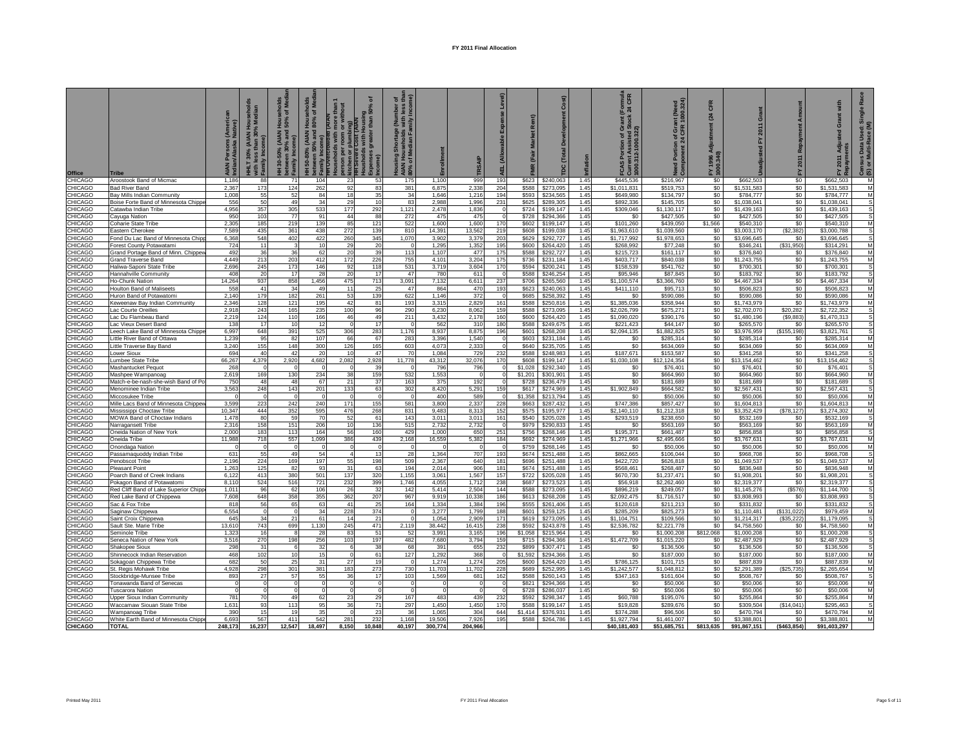|                                 |                                                                           | . (Americ<br>Native)<br><b>AIAN Persons</b><br>Indian/Alaska I | HHLT 30% (AIAN Households<br>with less than 30% Median<br>Family Inco | holds<br>FMed<br>를 호<br>Hous<br>50%<br>% (AIAN I<br>30% and<br>30-50%<br><b>Family</b> | Households<br>I 80% of Medi<br>(AIAN<br>50-80°<br>mily | than<br>೯ ಕ<br>with<br>son per<br>then or:<br>Severe | ᅙ<br>$\frac{100}{150}$<br>ousin<br>than | of the<br>nber<br>less<br>Incor<br>로<br>$\bar{m}$<br>$\frac{1}{2}$ $\frac{1}{2}$<br>HOUSI<br>AIAN<br>80% c |                 | <b>TRSAIP</b>   | $\overline{a}$       |                  |                        |              | mula<br>CFR<br>$\frac{5}{24}$<br><b>Current Assisted St<br/>1000.312-1000.322)</b><br>'৯<br>۵ĭ<br>ဖွ | (Need<br>00.324)<br>CFR<br>ō<br>৳<br>mponent<br>$\overline{a}$ | CFR<br>$\mathbb{Z}$<br>1996 A<br>0.340) | Grant<br>adjusted FY 2011  | 2011              | with<br>ō                  | $\overline{m}$<br>nsus Data Usec<br>) or Multi-Race ( |
|---------------------------------|---------------------------------------------------------------------------|----------------------------------------------------------------|-----------------------------------------------------------------------|----------------------------------------------------------------------------------------|--------------------------------------------------------|------------------------------------------------------|-----------------------------------------|------------------------------------------------------------------------------------------------------------|-----------------|-----------------|----------------------|------------------|------------------------|--------------|------------------------------------------------------------------------------------------------------|----------------------------------------------------------------|-----------------------------------------|----------------------------|-------------------|----------------------------|-------------------------------------------------------|
| <b>Office</b><br>CHICAGO        | <b>Tribe</b><br>Aroostook Band of Micmac                                  | 1.186                                                          | 88                                                                    | 71                                                                                     | <u>ង ៤</u><br>104                                      | 23                                                   | 53                                      | 175                                                                                                        | 1.100           | 999             | 193                  | \$623            | \$240,063              | 1.45         | \$445,536                                                                                            | \$216.967                                                      | \$0                                     | \$662,503                  | 놊<br>\$0          | 로 명<br>\$662.503           | ලි ග<br>M                                             |
| CHICAGO                         | <b>Bad River Band</b>                                                     | 2.367                                                          | 173                                                                   | 124                                                                                    | 262                                                    | 92                                                   | 83                                      | 381                                                                                                        | 6,875           | 2.338           | 204                  | \$588            | \$273,095              | 1.45         | \$1.011.831                                                                                          | \$519,753                                                      | \$0                                     | \$1,531,583                | \$0               | \$1.531.583                | M                                                     |
| <b>HICAGO</b>                   | Bay Mills Indian Community                                                | 1,008                                                          | 55                                                                    | 52                                                                                     | 84                                                     | 18                                                   | 35                                      | 34                                                                                                         | 1.646           | 1,216           | 194                  | \$593            | \$234,565              | 1.45         | \$649,980                                                                                            | \$134,797                                                      | \$0                                     | \$784,777                  | \$0               | \$784,777                  | M                                                     |
| <b>HICAGO</b>                   | Boise Forte Band of Minnesota Chippe                                      | 556                                                            | 50                                                                    | 49                                                                                     | 34                                                     | 29                                                   | 10                                      | 83                                                                                                         | 2,988           | 1,996           | 231                  | \$625            | \$289,305              | 1.45         | \$892,336                                                                                            | \$145,705                                                      | \$0                                     | \$1,038,041                | \$0               | \$1,038,041                | S                                                     |
| <b>HICAGO</b><br><b>HICAGO</b>  | Catawba Indian Tribe<br>Cayuga Nation                                     | 4,956<br>950                                                   | 357<br>103                                                            | 305<br>77                                                                              | 533<br>91                                              | 177<br>44                                            | 292<br>88                               | 1,121<br>272                                                                                               | 2,478<br>475    | 1,836<br>475    | $\Omega$<br>$\Omega$ | \$724<br>\$728   | \$199,147<br>\$294.366 | 1.45<br>1.45 | \$309,046<br>\$0                                                                                     | \$1,130,117<br>\$427.505                                       | \$0<br>S <sub>0</sub>                   | \$1,439,163<br>\$427,505   | \$0<br>\$0        | \$1,439,163<br>\$427.505   | s<br>s                                                |
| <b>HICAGO</b>                   | Coharie State Tribe                                                       | 2.305                                                          | 185                                                                   | 219                                                                                    | 139                                                    | 85                                                   | 121                                     | 522                                                                                                        | 1,600           | 1,600           | 170                  | \$602            | \$199,147              | 1.45         | \$101,260                                                                                            | \$439,050                                                      | \$1,566                                 | \$540,310                  | \$0               | \$540,310                  | M                                                     |
| <b>HICAGO</b>                   | Eastern Cherokee                                                          | 7,589                                                          | 435                                                                   | 361                                                                                    | 438                                                    | 272                                                  | 139                                     | 810                                                                                                        | 14,391          | 13,562          | 219                  | \$608            | \$199,038              | 1.45         | \$1,963,610                                                                                          | \$1,039,560                                                    | \$0                                     | \$3,003,170                | (\$2,382)         | \$3,000,788                | s                                                     |
| <b>HICAGO</b><br><b>HICAGO</b>  | Fond Du Lac Band of Minnesota Chip<br>Forest County Potawatami            | 6,368<br>724                                                   | 548<br>11                                                             | 402                                                                                    | 422<br>10                                              | 260<br>29                                            | 345<br>20                               | 1,070                                                                                                      | 3,902<br>1,295  | 3,379<br>1,352  | 203<br>195           | \$629<br>\$600   | \$292,727<br>\$264,420 | 1.45<br>1.45 | \$1,717,992<br>\$268,992                                                                             | \$1,978,653<br>\$77,248                                        | \$0<br>\$0                              | \$3,696,645<br>\$346,241   | \$0<br>(S31,950)  | \$3,696,645<br>\$314,291   | s<br>M                                                |
| <b>HICAGO</b>                   | Grand Portage Band of Minn. Chippew                                       | 492                                                            | 36                                                                    | 36                                                                                     | 62                                                     | 20                                                   | 39                                      | 113                                                                                                        | 1.107           | 477             | 175                  | \$588            | \$292,727              | 1.45         | \$215,723                                                                                            | \$161.117                                                      | \$0                                     | \$376,840                  | \$0               | \$376,840                  | M                                                     |
| <b>HICAGO</b>                   | Grand Traverse Band                                                       | 4,449                                                          | 213                                                                   | 203                                                                                    | 412                                                    | 172                                                  | 226                                     | 755                                                                                                        | 4,101           | 3,204           | 175                  | \$736            | \$231,184              | 1.45         | \$403,717                                                                                            | \$840.038                                                      | \$0                                     | \$1,243,755                | \$0               | \$1,243,755                | M                                                     |
| <b>HICAGO</b>                   | Haliwa-Saponi State Tribe                                                 | 2,696                                                          | 245                                                                   | 173                                                                                    | 146                                                    | 92                                                   | 118                                     | 531<br>47                                                                                                  | 3,719           | 3,604           | 170<br>$\Omega$      | \$594            | \$200,241              | 1.45         | \$158,539                                                                                            | \$541,762                                                      | \$0                                     | \$700,301                  | \$0               | \$700,301                  | s<br>s                                                |
| <b>HICAGO</b><br><b>HICAGO</b>  | Hannahville Community<br><b>Ho-Chunk Nation</b>                           | 408<br>14,264                                                  | 20<br>937                                                             | 17<br>858                                                                              | 28<br>1,456                                            | 20<br>475                                            | 17<br>713                               | 3,091                                                                                                      | 780<br>7,132    | 611<br>6,611    | 237                  | \$588<br>\$706   | \$246,254<br>\$265,560 | 1.45<br>1.45 | \$95,946<br>\$1,100,574                                                                              | \$87,845<br>\$3,366,760                                        | \$0<br>\$0                              | \$183,792<br>\$4,467,334   | \$0<br>\$0        | \$183,792<br>\$4,467,334   | M                                                     |
| <b>HICAGO</b>                   | <b>Houlton Band of Maliseets</b>                                          | 558                                                            | 41                                                                    | 34                                                                                     | 49                                                     | 11                                                   | 25                                      | 47                                                                                                         | 864             | 470             | 193                  | \$623            | \$240,063              | 1.45         | \$411,110                                                                                            | \$95,713                                                       | \$0                                     | \$506,823                  | \$0               | \$506,823                  | M                                                     |
| CHICAGO                         | Huron Band of Potawatomi                                                  | 2.140                                                          | 179                                                                   | 182                                                                                    | 261                                                    | 53                                                   | 139                                     | 622                                                                                                        | 1.146           | 372             | $\Omega$             | \$685            | \$258,392              | 1.45         | S <sub>0</sub>                                                                                       | \$590,086                                                      | \$0                                     | \$590,086                  | \$0               | \$590,086                  | M                                                     |
| CHICAGO<br><b>HICAGO</b>        | Keweenaw Bay Indian Community<br>Lac Courte Oreilles                      | 2.346<br>2,918                                                 | 128<br>243                                                            | 121<br>165                                                                             | 195<br>235                                             | 42<br>100                                            | 81<br>96                                | 193<br>290                                                                                                 | 3,315<br>6,230  | 2,829<br>8,062  | 161<br>159           | \$588<br>\$588   | \$250,816<br>\$273,095 | 1.45<br>1.45 | \$1,385,036<br>\$2,026,799                                                                           | \$358.944<br>\$675,271                                         | \$0<br>\$0                              | \$1,743,979<br>\$2,702,070 | \$0<br>\$20,282   | \$1,743,979<br>\$2,722,352 | M<br>s                                                |
| CHICAGO                         | Lac Du Flambeau Band                                                      | 2,219                                                          | 124                                                                   | 110                                                                                    | 166                                                    | 46                                                   | 49                                      | 211                                                                                                        | 3,432           | 2,178           | 160                  | \$600            | \$264,420              | 1.45         | \$1,090,020                                                                                          | \$390.176                                                      | S <sub>0</sub>                          | \$1,480,196                | (\$9,883)         | \$1,470,313                | s                                                     |
| CHICAGO                         | Lac Vieux Desert Band                                                     | 138                                                            | 17                                                                    | 10                                                                                     | 12                                                     | $\Omega$                                             | 17                                      | $\Omega$                                                                                                   | 562             | 310             | 180                  | \$588            | \$249,675              | 1.45         | \$221,423                                                                                            | \$44,147                                                       | \$0                                     | \$265,570                  | \$0               | \$265,570                  | s                                                     |
| CHICAGO                         | eech Lake Band of Minnesota Chippe                                        | 6,997                                                          | 648                                                                   | 391                                                                                    | 525                                                    | 306                                                  | 283                                     | 1,176                                                                                                      | 8,937           | 8,875           | 196                  | \$601            | \$268,208              | 1.45         | \$2,094,135                                                                                          | \$1,882,825                                                    | \$0                                     | \$3,976,959                | (\$155, 198)      | \$3,821,761                | s                                                     |
| <b>CHICAGO</b><br><b>HICAGO</b> | ittle River Band of Ottawa.<br>Little Traverse Bay Band                   | 1,239<br>3,240                                                 | 95<br>155                                                             | 82<br>148                                                                              | 107<br>300                                             | 66<br>126                                            | 67<br>165                               | 283<br>603                                                                                                 | 3,396<br>4,073  | 1,540<br>2,333  | $\Omega$<br>$\Omega$ | \$603<br>\$640   | \$231,184<br>\$235,705 | 1.45<br>1.45 | \$0<br>\$0                                                                                           | \$285,314<br>\$634,069                                         | \$0<br>\$0                              | \$285,314<br>\$634,069     | \$0<br>\$0        | \$285,314<br>\$634,069     | M<br>M                                                |
| <b>HICAGO</b>                   | _ower Sioux                                                               | 694                                                            | 40                                                                    | 42                                                                                     | 20                                                     | 10                                                   | 47                                      | 70                                                                                                         | 1,084           | 729             | 232                  | \$588            | \$248,983              | 1.45         | \$187,671                                                                                            | \$153,587                                                      | \$0                                     | \$341,258                  | \$0               | \$341,258                  | s                                                     |
| <b>CHICAGO</b>                  | Lumbee State Tribe                                                        | 66,267                                                         | 4,379                                                                 | 2,920                                                                                  | 4,682                                                  | 2,082                                                | 2,928                                   | 11,778                                                                                                     | 43,312          | 32,076          | 170                  | \$608            | \$199,147              | 1.45         | \$1,030,108                                                                                          | \$12,124,354                                                   | \$0                                     | \$13,154,462               | \$0               | \$13,154,462               | s                                                     |
| CHICAGO<br>CHICAGO              | Mashantucket Pequot                                                       | 268                                                            | $^{\circ}$                                                            | $\Omega$                                                                               | $\Omega$                                               | $\Omega$                                             | 39                                      | $\Omega$                                                                                                   | 796             | 796<br>$\Omega$ | $\Omega$             | \$1,028          | \$292,340              | 1.45         | \$0<br>\$0                                                                                           | \$76,401                                                       | \$0<br>\$0                              | \$76,401                   | \$0               | \$76,401                   | s                                                     |
| <b>HICAGO</b>                   | Mashpee Wampanoag<br>Match-e-be-nash-she-wish Band of Po                  | 2,619<br>750                                                   | 169<br>48                                                             | 130<br>48                                                                              | 234<br>67                                              | 38<br>21                                             | 159<br>37                               | 532<br>163                                                                                                 | 1,553<br>375    | 192             | $\Omega$             | \$1,201<br>\$728 | \$301,901<br>\$236,479 | 1.45<br>1.45 | \$0                                                                                                  | \$664,960<br>\$181,689                                         | \$0                                     | \$664,960<br>\$181,689     | \$0<br>\$0        | \$664,960<br>\$181,689     | $\frac{M}{S}$                                         |
| CHICAGO                         | Menominee Indian Tribe                                                    | 3.563                                                          | 248                                                                   | 143                                                                                    | 201                                                    | 133                                                  | 63                                      | 302                                                                                                        | 8,420           | 5,291           | 159                  | \$617            | \$274.969              | 1.45         | \$1,902,849                                                                                          | \$664,582                                                      | \$0                                     | \$2.567.431                | \$0               | \$2.567.431                | s                                                     |
| <b>HICAGO</b>                   | Miccosukee Tribe                                                          | $\Omega$                                                       | $\Omega$                                                              | $\circ$                                                                                | $\Omega$                                               | $\Omega$                                             | $\Omega$                                | $\Omega$                                                                                                   | 400             | 589             | $\Omega$             | \$1,358          | \$213,794              | 1.45         | \$0                                                                                                  | \$50,006                                                       | \$0                                     | \$50,006                   | \$0               | \$50,006                   | M                                                     |
| <b>HICAGO</b><br><b>HICAGO</b>  | Mille Lacs Band of Minnesota Chippew<br>Mississippi Choctaw Tribe         | 3,599<br>10,347                                                | 223<br>444                                                            | 242<br>352                                                                             | 240<br>595                                             | 171<br>476                                           | 155<br>268                              | 581<br>831                                                                                                 | 3,800<br>9,483  | 2,337<br>8,313  | 228<br>152           | \$663<br>\$575   | \$287,432<br>\$195,977 | 1.45<br>1.45 | \$747,386<br>\$2,140,110                                                                             | \$857,427<br>\$1,212,318                                       | \$0<br>\$0                              | \$1,604,813<br>\$3,352,429 | \$0<br>(S78, 127) | \$1,604,813<br>\$3,274,302 | M<br>M                                                |
| <b>CHICAGO</b>                  | <b>MOWA Band of Choctaw Indians</b>                                       | 1,478                                                          | 80                                                                    | 59                                                                                     | 70                                                     | 52                                                   | 61                                      | 143                                                                                                        | 3,011           | 3,011           | 161                  | \$540            | \$205,028              | 1.45         | \$293,519                                                                                            | \$238,650                                                      | \$0                                     | \$532,169                  | \$0               | \$532,169                  | s                                                     |
| <b>HICAGO</b>                   | <b>Varragansett Tribe</b>                                                 | 2.316                                                          | 158                                                                   | 151                                                                                    | 206                                                    | 10                                                   | 136                                     | 515                                                                                                        | 2.732           | 2,732           |                      | \$979            | \$290.833              | 1.45         | \$0                                                                                                  | \$563.169                                                      | \$0                                     | \$563.169                  | \$0               | \$563.169                  | $\frac{M}{S}$                                         |
| <b>HICAGO</b>                   | Oneida Nation of New York                                                 | 2,000                                                          | 183                                                                   | 113                                                                                    | 164                                                    | 56                                                   | 160                                     | 429                                                                                                        | 1,000           | 650             | 251                  | \$756            | \$268,146              | 1.45         | \$195,371                                                                                            | \$661,487                                                      | \$0                                     | \$856,858                  | \$0               | \$856,858                  | M                                                     |
| <b>HICAGO</b><br><b>HICAGO</b>  | Oneida Tribe<br>Onondaga Nation                                           | 11,988                                                         | 718                                                                   | 557                                                                                    | 1,099                                                  | 386                                                  | 439                                     | 2,168                                                                                                      | 16,559          | 5,382           | 184                  | \$692<br>\$759   | \$274,969<br>\$268,146 | 1.45<br>1.45 | \$1,271,966<br>\$0                                                                                   | \$2,495,666<br>\$50,006                                        | \$0<br>\$0                              | \$3,767,631<br>\$50,006    | \$0<br>\$0        | \$3,767,631<br>\$50,006    | M                                                     |
| <b>HICAGO</b>                   | Passamaquoddy Indian Tribe                                                | 631                                                            | 55                                                                    | 49                                                                                     | 54                                                     | $\overline{4}$                                       | 13                                      | 28                                                                                                         | 1,364           | 707             | 193                  | \$674            | \$251,488              | 1.45         | \$862,665                                                                                            | \$106,044                                                      | \$0                                     | \$968,708                  | \$0               | \$968,708                  | s                                                     |
| <b>HICAGO</b>                   | Penobscot Tribe                                                           | 2,196                                                          | 224                                                                   | 169                                                                                    | 197                                                    | 55                                                   | 198                                     | 509                                                                                                        | 2,367           | 640             | 181                  | \$696            | \$251,488              | 1.45         | \$422,720                                                                                            | \$626,818                                                      | \$0                                     | \$1,049,537                | \$0               | \$1,049,537                | M                                                     |
| <b>HICAGO</b><br><b>CHICAGO</b> | Pleasant Point<br>Poarch Band of Creek Indians                            | 1,263<br>6,122                                                 | 125<br>413                                                            | 82<br>380                                                                              | 93<br>501                                              | 31<br>137                                            | 63<br>320                               | 194<br>1,155                                                                                               | 2,014<br>3,061  | 906<br>1,567    | 181<br>157           | \$674<br>\$722   | \$251,488<br>\$205,028 | 1.45<br>1.45 | \$568.461<br>\$670,730                                                                               | \$268,487<br>\$1,237,471                                       | \$0<br>\$0                              | \$836,948<br>\$1,908,201   | \$0<br>\$0        | \$836,948<br>\$1,908,201   | M<br>s                                                |
| <b>HICAGO</b>                   | Pokagon Band of Potawatomi                                                | 8,110                                                          | 524                                                                   | 516                                                                                    | 721                                                    | 232                                                  | 399                                     | 1,746                                                                                                      | 4,055           | 1,712           | 238                  | \$687            | \$273,523              | 1.45         | \$56,918                                                                                             | \$2,262,460                                                    | \$0                                     | \$2,319,377                | \$0               | \$2,319,377                | s                                                     |
| <b>HICAGO</b>                   | Red Cliff Band of Lake Superior Chipp                                     | 1,011                                                          | 96                                                                    | 62                                                                                     | 106                                                    | 26                                                   | 32                                      | 142                                                                                                        | 5,414           | 2,504           | 144                  | \$588            | \$273,095              | 1.45         | \$896,219                                                                                            | \$249,057                                                      | \$0                                     | \$1,145,276                | (S576)            | \$1,144,700                | s                                                     |
| CHICAGO<br>CHICAGO              | Red Lake Band of Chippewa<br>Sac & Fox Tribe                              | 7,608<br>818                                                   | 648<br>56                                                             | 358<br>65                                                                              | 355<br>63                                              | 362<br>41                                            | 207<br>25                               | 967<br>164                                                                                                 | 9,919<br>1,334  | 10,338<br>1,384 | 186<br>196           | \$613<br>\$555   | \$268,208<br>\$261,406 | 1.45<br>1.45 | \$2,092,475<br>\$120,618                                                                             | \$1,716,517<br>\$211,213                                       | \$0<br>\$0                              | \$3,808,993<br>\$331,832   | \$0<br>\$0        | \$3,808,993<br>\$331,832   | $\overline{\mathbf{s}}$<br>s                          |
| CHICAGO                         | Saginaw Chippewa                                                          | 6,554                                                          | $\circ$                                                               | $\circ$                                                                                | 34                                                     | 228                                                  | 374                                     | $\Omega$                                                                                                   | 3,277           | 1,799           | 188                  | \$601            | \$259,125              | 1.45         | \$285,209                                                                                            | \$825,273                                                      | \$0                                     | \$1,110,481                | (\$131,022)       | \$979,459                  | M                                                     |
| CHICAGO                         | Saint Croix Chippewa                                                      | 645                                                            | 34                                                                    | 21                                                                                     | 61                                                     | 14                                                   | 21                                      | $\Omega$                                                                                                   | 1,054           | 2,909           | 171                  | \$619            | \$273,095              | 1.45         | \$1,104,751                                                                                          | \$109,566                                                      | \$0                                     | \$1,214,317                | (\$35,222)        | \$1,179,095                | s                                                     |
| CHICAGO                         | Sault Ste. Marie Tribe                                                    | 13,610                                                         | 743                                                                   | 699                                                                                    | 1,130                                                  | 245                                                  | 471                                     | 2,119                                                                                                      | 38,442          | 16,415          | 238                  | \$592            | \$243,878              | 1.45         | \$2,536,782                                                                                          | \$2,221,778                                                    | \$0                                     | \$4,758,560                | \$0               | \$4,758,560                | M                                                     |
| CHICAGO<br><b>HICAGO</b>        | Seminole Tribe<br>Seneca Nation of New York                               | 1,323<br>3,516                                                 | 16<br>270                                                             | 8<br>198                                                                               | 28<br>256                                              | 83<br>103                                            | 51<br>197                               | 52<br>482                                                                                                  | 3,991<br>7,680  | 3,165<br>3,794  | 196<br>159           | \$1,058<br>\$715 | \$215,964<br>\$294,366 | 1.45<br>1.45 | \$0<br>\$1,472,709                                                                                   | \$1,000,208<br>\$1,015,220                                     | \$812,068<br>\$0                        | \$1,000,208<br>\$2,487,929 | \$0<br>\$0        | \$1,000,208<br>\$2,487,929 | s<br>s                                                |
| CHICAGO                         | Shakopee Sioux                                                            | 298                                                            | 31                                                                    | 6                                                                                      | 32                                                     | 6                                                    | 38                                      | 68                                                                                                         | 391             | 655             | 232                  | \$899            | \$307,471              | 1.45         | \$0                                                                                                  | \$136,506                                                      | \$0                                     | \$136,506                  | \$0               | \$136,506                  | s                                                     |
| <b>HICAGO</b>                   | Shinnecock Indian Reservation                                             | 468                                                            | 102                                                                   | 10                                                                                     | 15                                                     | $\circ$                                              | 61                                      | 127                                                                                                        | 1,292           | 368             | $\Omega$             | \$1,592          | \$294,366              | 1.45         | \$0                                                                                                  | \$187,000                                                      | \$0                                     | \$187,000                  | \$0               | \$187,000                  | M                                                     |
| <b>HICAGO</b><br><b>HICAGO</b>  | Sokagoan Chippewa Tribe                                                   | 682<br>4,928                                                   | 50<br>298                                                             | 25<br>301                                                                              | 31<br>381                                              | 27<br>183                                            | 19<br>273                               | $\Omega$<br>730                                                                                            | 1.274<br>11,703 | 1,274<br>11,702 | 205<br>228           | \$600<br>\$689   | \$264,420<br>\$252,995 | 1.45<br>1.45 | \$786,125<br>\$1,242,577                                                                             | \$101,715<br>\$1,048,812                                       | \$0<br>\$0                              | \$887,839<br>\$2,291,389   | \$0<br>(\$25,735) | \$887,839<br>\$2,265,654   | M<br>M                                                |
| <b>HICAGO</b>                   | St. Regis Mohawk Tribe<br>Stockbridge-Munsee Tribe                        | 893                                                            | 27                                                                    | 57                                                                                     | 55                                                     | 36                                                   | 17                                      | 103                                                                                                        | 1,569           | 681             | 162                  | \$588            | \$260,143              | 1.45         | \$347,163                                                                                            | \$161,604                                                      | \$0                                     | \$508,767                  | \$0               | \$508,767                  |                                                       |
| <b>HICAGO</b>                   | onawanda Band of Senecas                                                  | $\mathbf{0}$                                                   | $\mathbf 0$                                                           | $^{\circ}$                                                                             | $\Omega$                                               | $\mathbf 0$                                          | $\Omega$                                |                                                                                                            |                 |                 |                      | \$821            | \$294,366              | 1.45         | \$0                                                                                                  | \$50,006                                                       | \$0                                     | \$50,006                   | \$0               | \$50,006                   | $\frac{S}{M}$                                         |
| <b>HICAGO</b>                   | 'uscarora Nation                                                          | $\Omega$                                                       | $\Omega$                                                              | $\Omega$                                                                               | $\Omega$                                               | $\Omega$                                             | $\circ$                                 | $\Omega$                                                                                                   |                 | $\Omega$        | $\circ$              | \$728            | \$286,037              | 1.45         | \$0                                                                                                  | \$50,006                                                       | \$0                                     | \$50,006                   | \$0               | \$50,006                   | M                                                     |
| <b>HICAGO</b><br><b>HICAGO</b>  | <b>Jpper Sioux Indian Community</b><br><b>Naccamaw Siouan State Tribe</b> | 781<br>1,631                                                   | 70<br>93                                                              | 49<br>113                                                                              | 62<br>95                                               | 23<br>36                                             | 29<br>71                                | 167<br>297                                                                                                 | 483<br>1.450    | 439<br>1.450    | 232<br>170           | \$592<br>\$588   | \$298.347<br>\$199,147 | 1.45<br>1.45 | \$60,788<br>\$19,828                                                                                 | \$195,076<br>\$289,676                                         | S <sub>0</sub><br>SO                    | \$255.864<br>\$309.504     | \$0<br>(S14, 041) | \$255,864<br>\$295,463     | M<br>s                                                |
| <b>HICAGO</b>                   | Wampanoag Tribe                                                           | 390                                                            | 15                                                                    | 19                                                                                     | 35                                                     | $\Omega$                                             | 23                                      | 36                                                                                                         | 1,065           | 304             | 644                  | \$1,414          | \$376,931              | 1.45         | \$374,288                                                                                            | \$96,506                                                       | \$0                                     | \$470,794                  | \$0               | \$470,794                  | M                                                     |
| <b>HICAGO</b>                   | White Earth Band of Minnesota Chippe                                      | 6,693                                                          | 567                                                                   | 411                                                                                    | 542                                                    | 281                                                  | 232                                     | 1,168                                                                                                      | 19,506          | 7,926           | 195                  | \$588            | \$264,786              | 1.45         | \$1,927,794                                                                                          | \$1,461,007                                                    | SO.                                     | \$3,388,801                | \$0               | \$3,388,801                | $\overline{M}$                                        |
| CHICAGO                         | <b>TOTAL</b>                                                              | 248,173                                                        | 16,237                                                                | 12,547                                                                                 | 18,497                                                 | 8,150                                                | 10,848                                  | 40,197                                                                                                     | 300,774         | 204,966         |                      |                  |                        |              | \$40,181,403                                                                                         | \$51,685,751                                                   | \$813,635                               | \$91,867,151               | ( \$463, 854)     | \$91,403,297               |                                                       |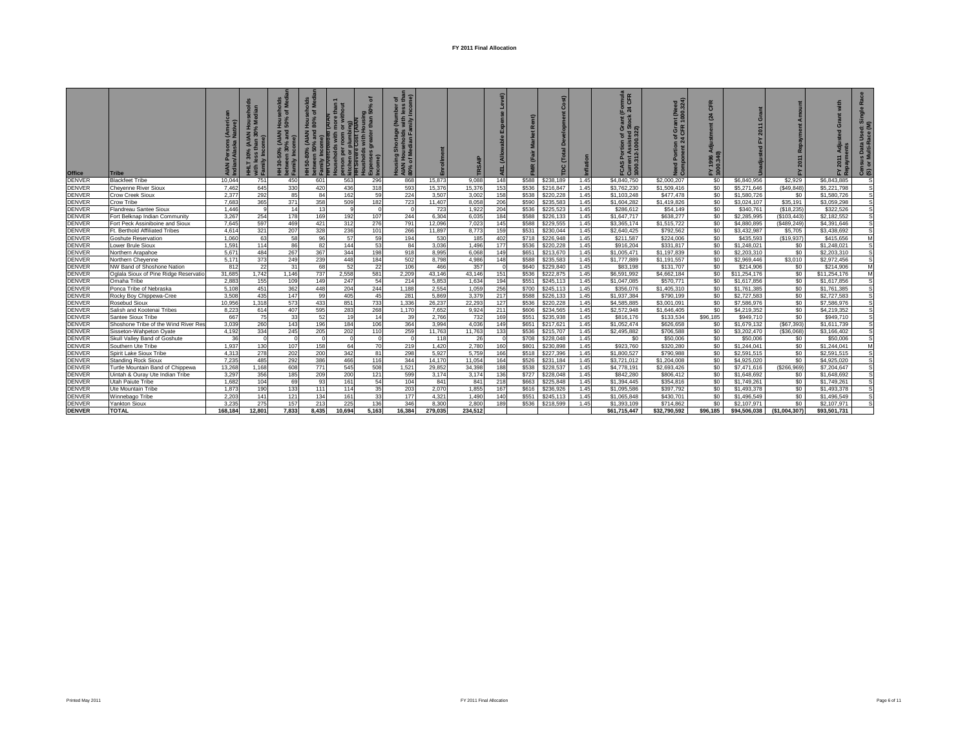| <b>Office</b>                  | <b>Tribe</b>                                                     | i (Anterne<br>Native) | (AIAN      | ᅙᄛ<br>(AIAN<br>Detwee<br>Family | olds<br>Med<br>៉ិច<br>$\overline{c}$<br>(AIAN | $\frac{5}{9}$<br>r plumbing)<br>e Cost (AIAN<br>kitchen o<br><del>K</del> itchen o<br>son<br>Þ | ৽<br><b>Dec</b><br>than<br>great<br>$\widehat{\mathbf{e}}$<br>8 | ৳ট<br><b>Juli</b><br>Nith<br>iiy<br>tage<br>blc<br>를 오름<br>र्≌ |                 | SAI            |            | $\alpha$<br>MR | Cost)<br>$\Gamma$ otal |              | mula<br>CFR<br>៤ ។<br>anr<br>ock<br><b>FCAS P<br/>Current<br/>1000.31</b> | eed<br>.324)<br>ğğ<br>e<br>Æ<br>ō<br>ΞÑ<br>Need<br>Comp | CFR<br>(24)<br>1996<br>0.340<br>놊흗 | ö<br>2011                  |                           |                             | <b>ISUS Data Used: S</b><br>or Multi-Race (M)<br>ලි ග |
|--------------------------------|------------------------------------------------------------------|-----------------------|------------|---------------------------------|-----------------------------------------------|------------------------------------------------------------------------------------------------|-----------------------------------------------------------------|----------------------------------------------------------------|-----------------|----------------|------------|----------------|------------------------|--------------|---------------------------------------------------------------------------|---------------------------------------------------------|------------------------------------|----------------------------|---------------------------|-----------------------------|-------------------------------------------------------|
| <b>DENVER</b>                  | <b>Blackfeet Tribe</b>                                           | 10.044                | 751        | 450                             | 601                                           | 563                                                                                            | 296                                                             | 868                                                            | 15,873          | 9,088          | 148        | \$588          | \$238,189              | 1.45         | \$4,840,750                                                               | \$2,000,207                                             | \$0                                | \$6,840,956                | \$2,929                   | \$6.843.885                 | .s                                                    |
| <b>DENVER</b>                  | <b>Chevenne River Sioux</b>                                      | 7.462                 | 645        | 330                             | 420                                           | 436                                                                                            | 318                                                             | 593                                                            | 15.376          | 15,376         | 153        | \$536          | \$216,847              | 1.45         | \$3,762,230                                                               | \$1,509,416                                             | \$0                                | \$5,271,646                | (\$49,848)                | \$5,221,798                 | S.                                                    |
| <b>DENVER</b>                  | Crow Creek Sioux                                                 | 2.377                 | 292        | 85                              | 84                                            | 162                                                                                            | 59                                                              | 224                                                            | 3,507           | 3,002          | 158        | \$538          | \$220,228              | 1.45         | \$1,103,248                                                               | \$477,478                                               | \$0                                | \$1,580,726                | \$0                       | \$1,580,726                 | S                                                     |
| <b>DENVER</b>                  | Crow Tribe                                                       | 7.683                 | 365        | 371                             | 358                                           | 509                                                                                            | 182                                                             | 723                                                            | 11.407          | 8,058          | 206        | \$590          | \$235,583              | 1.45         | \$1,604,282                                                               | \$1,419,826                                             | \$0                                | \$3,024,107                | \$35.191                  | \$3.059.298                 | s                                                     |
| <b>DENVER</b>                  | Flandreau Santee Sioux                                           | 1.446                 | 9          | 14                              | 13                                            | 9                                                                                              |                                                                 |                                                                | 723             | 1,922          | 204        | \$536          | \$225,523              | 1.45         | \$286.612                                                                 | \$54,149                                                | \$0                                | \$340,761                  | (\$18,235)                | \$322.526                   | S                                                     |
| <b>DENVER</b><br><b>DENVER</b> | Fort Belknap Indian Community<br>Fort Peck Assiniboine and Sioux | 3.267<br>7.645        | 254<br>597 | 178<br>469                      | 169                                           | 192<br>312                                                                                     | 107<br>276                                                      | 244<br>791                                                     | 6.304<br>12,096 | 6,035<br>7,023 | 184<br>145 | \$588<br>\$588 | \$226,133<br>\$229,555 | 1.45<br>1.45 | \$1,647,717<br>\$3,365,174                                                | \$638,277<br>\$1,515,722                                | \$0<br>\$0                         | \$2,285,995<br>\$4,880,895 | (\$103,443<br>(\$489,249) | \$2,182,552<br>\$4,391,646  |                                                       |
| <b>DENVER</b>                  | Ft. Berthold Affiliated Tribes                                   | 4.614                 | 321        | 207                             | 421<br>328                                    | 236                                                                                            | 101                                                             | 266                                                            | 11,897          | 8,773          | 159        | \$531          | \$230,044              | 1.45         | \$2,640,425                                                               | \$792,562                                               | \$0                                | \$3,432,987                | \$5,705                   | \$3,438,692                 |                                                       |
| <b>DENVER</b>                  | Goshute Reservation                                              | 1.060                 | 63         | 58                              | 96                                            | 57                                                                                             | 59                                                              | 194                                                            | 530             | 185            | 402        | \$718          | \$226,948              | 1.45         | \$211,587                                                                 | \$224,006                                               | \$0                                | \$435,593                  | (\$19,937)                | \$415,656                   | M                                                     |
| <b>DENVER</b>                  | Lower Brule Sioux                                                | 1.591                 | 114        | 86                              | 82                                            | 144                                                                                            | 53                                                              | 84                                                             | 3,036           | 1.496          | 177        | \$536          | \$220,228              | 1.45         | \$916,204                                                                 | \$331.817                                               | \$0                                | \$1,248,021                | \$0                       | \$1,248,021                 | S                                                     |
| <b>DENVER</b>                  | Northern Arapahoe                                                | 5.671                 | 484        | 267                             | 367                                           | 344                                                                                            | 198                                                             | 918                                                            | 8.995           | 6,068          | 149        | \$651          | \$213,670              | 1.45         | \$1,005.471                                                               | \$1,197,839                                             | \$0                                | \$2,203,310                | \$0                       | \$2,203,310                 |                                                       |
| <b>DENVER</b>                  | Northern Cheyenne                                                | 5.171                 | 373        | 249                             | 239                                           | 448                                                                                            | 184                                                             | 502                                                            | 8,798           | 4,986          | 148        | \$588          | \$235,583              | 1.45         | \$1,777,889                                                               | \$1,191,557                                             | \$0                                | \$2,969,446                | \$3,010                   | \$2,972,456                 | S                                                     |
| <b>DENVER</b>                  | NW Band of Shoshone Nation                                       | 812                   | 22         | 31                              | 68                                            | 52                                                                                             | 22                                                              | 106                                                            | 466             | 357            | $\Omega$   | \$640          | \$229,840              | 1.45         | \$83,198                                                                  | \$131,707                                               | \$0                                | \$214,906                  | \$0                       | \$214,906                   | M                                                     |
| <b>DENVER</b>                  | Oglala Sioux of Pine Ridge Reservatio                            | 31.685                | 1,742      | 1,146                           | 737                                           | 2,558                                                                                          | 581                                                             | 2,209                                                          | 43,146          | 43,146         | 151        | \$536          | \$222,875              | 1.45         | \$6,591,992                                                               | \$4,662,184                                             | \$0                                | \$11,254,176               | \$0                       | \$11,254,176                | M                                                     |
| <b>DENVER</b>                  | Omaha Tribe                                                      | 2.883                 | 155        | 109                             | 149                                           | 247                                                                                            | 54                                                              | 214                                                            | 5,853           | 1,634          | 194        | \$551          | \$245,113              | 1.45         | \$1,047,085                                                               | \$570,771                                               | \$0                                | \$1,617,856                | \$0                       | \$1,617,856                 |                                                       |
| <b>DENVER</b>                  | Ponca Tribe of Nebraska                                          | 5.108                 | 451        | 362                             | 448                                           | 204                                                                                            | 244                                                             | 1.188                                                          | 2.554           | 1,059          | 256        | \$700          | \$245,113              | 1.45         | \$356,076                                                                 | \$1,405,310                                             | \$0                                | \$1,761,385                | \$0                       | \$1,761,385                 |                                                       |
| <b>DENVER</b>                  | Rocky Boy Chippewa-Cree                                          | 3.508                 | 435        | 147                             | 99                                            | 405                                                                                            | 45                                                              | 281                                                            | 5.869           | 3,379          | 217        | \$588          | \$226,133              | 1.45         | \$1,937,384                                                               | \$790,199                                               | \$0                                | \$2,727,583                | \$0                       | \$2,727.583                 |                                                       |
| <b>DENVER</b>                  | Rosebud Sioux                                                    | 10,956                | 1,318      | 573                             | 433                                           | 851                                                                                            | 733                                                             | 1,336                                                          | 26,237          | 22,293         | 127        | \$536          | \$220,228              | 1.45         | \$4,585,885                                                               | \$3,001,091                                             | \$0                                | \$7,586,976                | \$0                       | \$7,586,976                 |                                                       |
| <b>DENVER</b>                  | Salish and Kootenai Tribes                                       | 8,223                 | 614        | 407                             | 595                                           | 283                                                                                            | 268                                                             | 1,170                                                          | 7,652           | 9,924          | 211        | \$606          | \$234,565              | 1.45         | \$2,572.948                                                               | \$1,646,405                                             | SO <sub>2</sub>                    | \$4,219,352                | \$0                       | \$4,219,352                 |                                                       |
| <b>DENVER</b>                  | Santee Sioux Tribe                                               | 667                   | 75         | 33                              | 52                                            | 19                                                                                             | 14                                                              | 39                                                             | 2,766           | 732            | 169        | \$551          | \$235,938              | 1.45         | \$816,176                                                                 | \$133,534                                               | \$96,185                           | \$949,710                  | \$0                       | \$949,710                   |                                                       |
| <b>DENVER</b>                  | Shoshone Tribe of the Wind River Res                             | 3.039                 | 260        | 143                             | 196                                           | 184                                                                                            | 106                                                             | 364                                                            | 3.994           | 4.036          | 149        | \$651          | \$217.621              | 1.45         | \$1,052,474                                                               | \$626,658                                               | \$0                                | \$1,679,132                | (\$67,393)                | \$1,611,739                 |                                                       |
| <b>DENVER</b>                  | Sisseton-Wahpeton Oyate                                          | 4,192                 | 334        | 245                             | 205                                           | 202                                                                                            | 110                                                             | 259                                                            | 11.763          | 11,763         | 133        | \$536          | \$215,707              | 1.45         | \$2,495,882                                                               | \$706,588                                               | \$0                                | \$3,202,470                | (\$36,068)                | \$3,166,402                 |                                                       |
| <b>DENVER</b>                  | Skull Valley Band of Goshute                                     | 36                    | $\Omega$   | $\circ$                         | $\Omega$                                      | $\Omega$                                                                                       | $\Omega$                                                        |                                                                | 118             | 26             | $\Omega$   | \$708          | \$228,048              | 1.45         | \$0                                                                       | \$50,006                                                | \$0                                | \$50,006                   | \$0                       | \$50,006                    |                                                       |
| <b>DENVER</b>                  | Southern Ute Tribe                                               | 1.937                 | 130        | 107                             | 158                                           | 64                                                                                             | 70                                                              | 219                                                            | 1.420           | 2,780          | 160        | \$801          | \$230,898              | 1.45         | \$923,760                                                                 | \$320,280                                               | \$0                                | \$1,244,041                | \$0                       | \$1,244,041                 | M                                                     |
| <b>DENVER</b>                  | Spirit Lake Sioux Tribe                                          | 4,313                 | 278        | 202                             | 200                                           | 342                                                                                            | 81                                                              | 298                                                            | 5,927           | 5,759          | 166        | \$518          | \$227,396              | 1.45         | \$1,800,527                                                               | \$790,988                                               | \$0                                | \$2,591,515                | \$0                       | \$2,591,515                 | S                                                     |
| <b>DENVER</b>                  | <b>Standing Rock Sioux</b>                                       | 7.235                 | 485        | 292                             | 386                                           | 466                                                                                            | 116                                                             | 344                                                            | 14,170          | 11,054         | 164        | \$526          | \$231,184              | 1.45         | \$3,721,012                                                               | \$1,204,008                                             | \$0                                | \$4,925,020                | \$0                       | \$4,925,020                 | S                                                     |
| <b>DENVER</b>                  | Turtle Mountain Band of Chippewa                                 | 13.268                | 1,168      | 608                             | 771                                           | 545                                                                                            | 508                                                             | 1,521                                                          | 29.852          | 34,398         | 188        | \$538          | \$228,537              | 1.45         | \$4,778,191                                                               | \$2,693.426                                             | \$0                                | \$7,471,616                | (\$266,969)               | \$7,204,647                 |                                                       |
| <b>DENVER</b>                  | Uintah & Ouray Ute Indian Tribe                                  | 3.297                 | 356        | 185                             | 209                                           | 200                                                                                            | 121                                                             | 599                                                            | 3.174           | 3.174          | 136        | \$727          | \$228,048              | 1.45         | \$842,280                                                                 | \$806,412                                               | \$0                                | \$1,648,692                | \$0                       | \$1,648,692                 |                                                       |
| <b>DENVER</b>                  | Jtah Paiute Tribe                                                | 1.682<br>1.873        | 104        | 69                              | 93                                            | 161                                                                                            | 54                                                              | 104                                                            | 841             | 841            | 218        | \$663          | \$225,848              | 1.45<br>1.45 | \$1,394,445                                                               | \$354,816                                               | \$0<br>\$0                         | \$1,749,261                | \$0                       | \$1,749,261                 |                                                       |
| <b>DENVER</b>                  | Ute Mountain Tribe                                               |                       | 190        | 133                             | 111                                           | 114                                                                                            | 35                                                              | 203                                                            | 2.070           | 1,855          | 167        | \$616          | \$236,926              |              | \$1,095,586                                                               | \$397,792                                               |                                    | \$1,493,378                | \$0                       | \$1,493,378                 | S                                                     |
| <b>DENVER</b><br><b>DENVER</b> | Winnebago Tribe                                                  | 2.203<br>3.235        | 141<br>275 | 121<br>157                      | 134<br>213                                    | 161                                                                                            | 33<br>136                                                       | 177<br>346                                                     | 4,321<br>8.300  | 1,490<br>2.800 | 140<br>189 | \$551<br>\$536 | \$245,113              | 1.45<br>1.45 | \$1,065,848<br>\$1,393,109                                                | \$430,701<br>\$714,862                                  | \$0<br>\$0                         | \$1,496,549<br>\$2,107,971 | \$0<br>\$0                | \$1,496,549                 |                                                       |
| <b>DENVER</b>                  | <b>Yankton Sioux</b><br><b>TOTAL</b>                             | 168.184               | 12.801     | 7.833                           | 8.435                                         | 225<br>10.694                                                                                  | 5.163                                                           | 16.384                                                         | 279.035         | 234.512        |            |                | \$218,599              |              | \$61.715.447                                                              | \$32.790.592                                            | \$96.185                           | \$94,506,038               | (\$1,004,307]             | \$2,107,971<br>\$93.501.731 |                                                       |
|                                |                                                                  |                       |            |                                 |                                               |                                                                                                |                                                                 |                                                                |                 |                |            |                |                        |              |                                                                           |                                                         |                                    |                            |                           |                             |                                                       |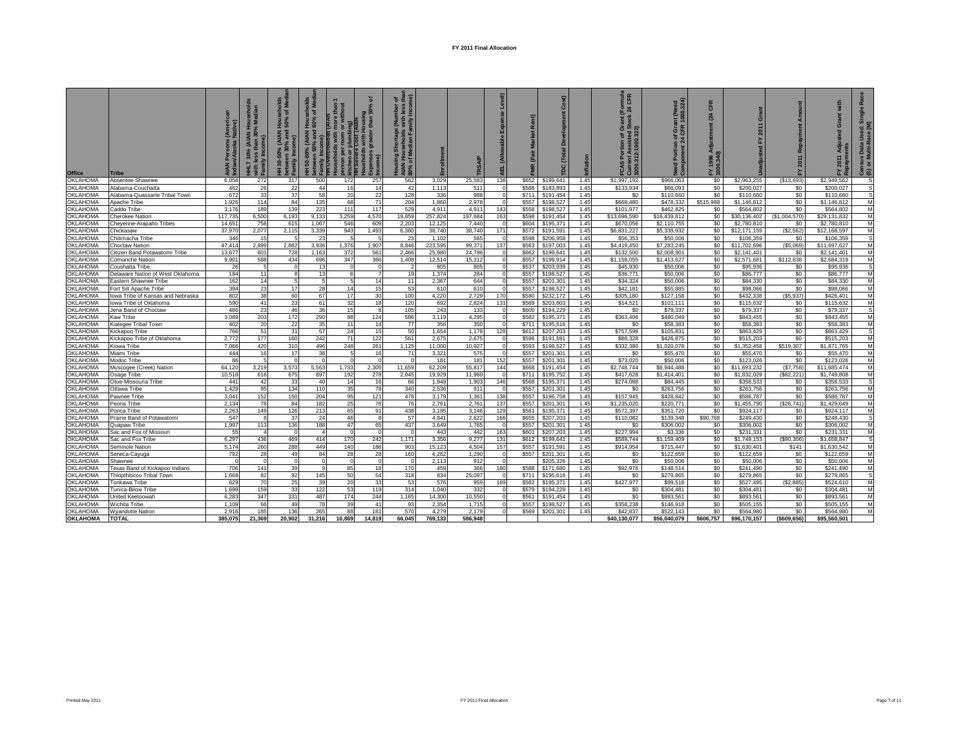| <b>Office</b>   | <b>Tribe</b>                            | (Ameri<br>Native)<br>AIAN<br>Indiar | Hous<br>% Me<br>(AIAN<br>30%<br>£ | olds<br>Med<br>등 등<br>ಾ<br><b>AIAN</b><br>30-50%<br><b>s</b><br>betwee<br>Family | aholds<br>Ξ<br>the<br>៵<br>Hous<br>ិ<br>(AIAN I)<br>% and<br>50-80<br>wee<br>mily<br>Б<br>ខេត្<br>일도 | ᅙ<br>ខ្ទួត្និ<br>than! | ৳ ই<br>줖<br>₹<br><b>AIAN</b><br>80% c | ũ       |         |          | ě<br>$\leq$ | Cost)<br>9C |      | mula<br>CFR<br>ট ম<br>$\overline{O}$<br>2-1000.322<br><b>FCAS P<br/>Current</b><br>1000.312 | (Need<br>00.324)<br>ę<br>Æ<br>ō<br>ō<br>ъ<br>을 | CFR<br>$^{24}$<br>FY 1996<br>1000.340 | Grant<br>2011<br>십 | f.           | with<br>$\sigma$<br>ᇵ | $\widehat{\epsilon}$<br>ace<br>nsus Data l<br>or Multi-Ra<br>ලි ග |
|-----------------|-----------------------------------------|-------------------------------------|-----------------------------------|----------------------------------------------------------------------------------|------------------------------------------------------------------------------------------------------|------------------------|---------------------------------------|---------|---------|----------|-------------|-------------|------|---------------------------------------------------------------------------------------------|------------------------------------------------|---------------------------------------|--------------------|--------------|-----------------------|-------------------------------------------------------------------|
| <b>OKLAHOMA</b> | Absentee-Shawnee                        | 6.058                               | 272                               | 317                                                                              | 500<br>172                                                                                           | 257                    | 562                                   | 3,029   | 25,583  | 138      | \$652       | \$199,641   | 1.45 | \$1,997,192                                                                                 | \$966.063                                      | \$0                                   | \$2,963,255        | (S13, 693)   | \$2.949.562           | S                                                                 |
| <b>OKLAHOMA</b> | Alabama-Couchatta                       | 462                                 | 26                                | 22                                                                               | 44                                                                                                   | 16<br>14               | 42                                    | 1,113   | 511     |          | \$588       | \$183,893   | 1.45 | \$133,934                                                                                   | \$66,093                                       | \$0                                   | \$200,027          | \$0          | \$200.027             | s                                                                 |
| <b>OKLAHOMA</b> | Alabama-Quassarte Tribal Town           | 672                                 | 33                                | 37                                                                               | 58                                                                                                   | 22<br>20               | 128                                   | 336     | 988     |          | \$711       | \$191.454   | 1.45 | \$0                                                                                         | \$110,660                                      | \$0                                   | \$110,660          | \$0          | \$110,660             | S                                                                 |
| <b>OKLAHOMA</b> | Apache Tribe                            | 1.926                               | 114                               | 84                                                                               | 135                                                                                                  | 68<br>71               | 204                                   | 1.860   | 2.978   | $\Omega$ | \$557       | \$198,527   | 1.45 | \$668,480                                                                                   | \$478,332                                      | \$515,988                             | \$1.146.812        | \$0          | \$1,146,812           | M                                                                 |
| OKLAHOMA        | Caddo Tribe                             | 3.176                               | 189                               | 139                                                                              | 223<br>111                                                                                           | 117                    | 529                                   | 4.911   | 4.911   | 143      | \$558       | \$198,527   | 1.45 | \$101.977                                                                                   | \$462,825                                      | \$0                                   | \$564.802          | \$0          | \$564,802             | M                                                                 |
| OKLAHOMA        | <b>Cherokee Nation</b>                  | 117.735                             | 6,500                             | 6.193                                                                            | 3,259<br>9.133                                                                                       | 4.570                  | 19.859                                | 257.824 | 197,684 | 163      | \$598       | \$191.454   | 1.45 | \$13,696,590                                                                                | \$16,439,812                                   | \$0                                   | \$30,136,402       | (\$1,004,570 | \$29.131.832          | M                                                                 |
| OKLAHOMA        | Cheyenne-Arapaho Tribes                 | 14.651                              | 758                               | 615                                                                              | 1.067<br>546                                                                                         | 609                    | 2,203                                 | 12,12   | 7,440   |          | \$604       | \$195,371   | 1.45 | \$670,056                                                                                   | \$2,110,755                                    | \$0                                   | \$2,780,810        | \$0          | \$2,780,810           | M                                                                 |
| OKLAHOMA        | Chickasaw                               | 37,970                              | 2,077                             | 2,115                                                                            | 3,339<br>943                                                                                         | 1,493                  | 6,380                                 | 38,74   | 38,740  | 171      | \$572       | \$191,591   | 1.45 | \$6,831,227                                                                                 | \$5,339,932                                    | \$0                                   | \$12,171,159       | (\$2,562     | \$12,168,597          | M                                                                 |
| OKLAHOMA        | Chitimacha Tribe                        | 346                                 | 15                                |                                                                                  | 23                                                                                                   |                        | 23                                    | 1,10    | 565     |          | \$598       | \$206,958   | 1.45 | \$56,353                                                                                    | \$50,006                                       | \$0                                   | \$106,359          | \$0          | \$106,359             | s                                                                 |
| OKLAHOMA        | <b>Choctaw Nation</b>                   | 47.414                              | 2.899                             | 2.882                                                                            | 3.936<br>1.376                                                                                       | 1.907                  | 8.846                                 | 223.59  | 99.371  | 137      | \$563       | \$197,003   | 1.45 | \$4,419,450                                                                                 | \$7,283,245                                    | \$0                                   | \$11,702,696       | (S5.069)     | \$11,697,627          | M                                                                 |
| <b>OKLAHOMA</b> | Citizen Band Potawatomi Tribe           | 13.677                              | 601                               | 728                                                                              | 372<br>1.163                                                                                         | 561                    | 2.466                                 | 25.98   | 24.786  |          | \$662       | \$199,641   | 1.45 | \$132,500                                                                                   | \$2.008.901                                    | \$0                                   | \$2,141.401        | \$0          | \$2.141.401           | M                                                                 |
| OKLAHOMA        | Comanche Nation                         | 9.901                               | 588                               | 434                                                                              | 347<br>696                                                                                           | 366                    | 1.408                                 | 12.514  | 15.312  |          | \$557       | \$199.914   | 1.45 | \$1,158,055                                                                                 | \$1,413,627                                    | \$0                                   | \$2,571,681        | \$112,638    | \$2,684.319           | M                                                                 |
| OKLAHOMA        | Coushatta Tribe                         | 26                                  | 5                                 | $\Omega$                                                                         | 13                                                                                                   | $\Omega$               |                                       | 805     | 805     |          | \$537       | \$203,939   | 1.45 | \$45,930                                                                                    | \$50,006                                       | \$0                                   | \$95,936           | \$0          | \$95,936              | $\overline{\mathbf{s}}$                                           |
| OKLAHOMA        | Delaware Nation of West Oklahoma        | 184                                 | 11                                | 8                                                                                | 13                                                                                                   | 6                      | 19                                    | 1.374   | 284     | $\Omega$ | \$557       | \$198,527   | 1.45 | \$36,771                                                                                    | \$50,006                                       | \$0                                   | \$86,777           | \$0          | \$86,777              | M                                                                 |
| <b>OKLAHOMA</b> | Eastern Shawnee Tribe                   | 162                                 | 14                                | 5                                                                                |                                                                                                      | 5<br>14                | 11                                    | 2,367   | 644     | $\Omega$ | \$557       | \$201,301   | 1.45 | \$34,324                                                                                    | \$50,006                                       | \$0                                   | \$84,330           | \$0          | \$84,330              | M                                                                 |
| <b>OKLAHOMA</b> | Fort Sill Apache Tribe                  | 394                                 | 23                                | 17                                                                               | 28                                                                                                   | 15<br>14               | 53                                    | 610     | 610     |          | \$557       | \$198,527   | 1.45 | \$42,181                                                                                    | \$55,885                                       | \$0                                   | \$98,066           | \$0          | \$98,066              | M                                                                 |
| <b>OKLAHOMA</b> | lowa Tribe of Kansas and Nebraska       | 802                                 | 38                                | 60                                                                               | 67                                                                                                   | 17<br>30               | 100                                   | 4,220   | 2,729   | 170      | \$580       | \$232,172   | 1.45 | \$305,180                                                                                   | \$127,158                                      | \$0                                   | \$432,338          | (\$5,937)    | \$426,401             | M                                                                 |
| OKLAHOMA        | lowa Tribe of Oklahoma                  | 590                                 | 41                                | 23                                                                               | 61                                                                                                   | 32<br>18               | 120                                   | 692     | 2,824   | 131      | \$589       | \$203,803   | 1.45 | \$14,521                                                                                    | \$101,111                                      | \$0                                   | \$115,632          | \$0          | \$115,632             | M                                                                 |
| OKLAHOMA        | Jena Band of Choctaw                    | 486                                 | 23                                | 46                                                                               | 36                                                                                                   | 15<br>$\mathbf{R}$     | 105                                   | 243     | 133     |          | \$600       | \$194,229   | 1.45 | \$0                                                                                         | \$79,337                                       | \$0                                   | \$79,337           | \$0          | \$79,337              | s                                                                 |
| <b>OKLAHOMA</b> | Kaw Tribe                               | 3.089                               | 203                               | 172                                                                              | 290                                                                                                  | 88<br>124              | 586                                   | 3.115   | 4,295   |          | \$582       | \$195,371   | 1.45 | \$363,406                                                                                   | \$480.049                                      | \$0                                   | \$843.455          | \$0          | \$843.455             | M                                                                 |
| <b>OKLAHOMA</b> | Kialegee Tribal Town                    | 402                                 | 20                                | 22                                                                               | 35                                                                                                   | 11<br>14               | 77                                    | 356     | 350     |          | \$711       | \$195,616   | 1.45 | \$0                                                                                         | \$58,383                                       | \$0                                   | \$58,383           | \$0          | \$58,383              | M                                                                 |
| OKLAHOMA        | Kickapoo Tribe                          | 766                                 | 51                                | 31                                                                               | 57                                                                                                   | 24<br>15               | 50                                    | 1,654   | 1.178   | 128      | \$612       | \$207,203   | 1.45 | \$757,598                                                                                   | \$105,831                                      | \$0                                   | \$863,429          | \$0          | \$863,429             | s                                                                 |
| <b>OKLAHOMA</b> | Kickapoo Tribe of Oklahoma              | 2.772                               | 177                               | 160                                                                              | 242                                                                                                  | 122<br>71              | 561                                   | 2.675   | 2,675   | $\Omega$ | \$596       | \$191,591   | 1.45 | \$88,328                                                                                    | \$426,875                                      | \$0                                   | \$515,203          | \$0          | \$515,203             | M                                                                 |
| <b>OKLAHOMA</b> | Kiowa Tribe                             | 7.066                               | 420                               | 310                                                                              | 496<br>248                                                                                           | 261                    | 1,125                                 | 11.000  | 10,927  | $\Omega$ | \$593       | \$198,527   | 1.45 | \$332,380                                                                                   | \$1,020,078                                    | \$0                                   | \$1,352,458        | \$519,307    | \$1,871,765           | M                                                                 |
| <b>OKLAHOMA</b> | Miami Tribe                             | 444                                 | 16                                | 17                                                                               | 38                                                                                                   | 5<br>16                | 71                                    | 3,32'   | 575     |          | \$557       | \$201,301   | 1.45 | \$0                                                                                         | \$55,470                                       | \$0                                   | \$55,470           | \$0          | \$55,470              | M                                                                 |
| OKLAHOMA        | Modoc Tribe                             | 86                                  | 5                                 | $\Omega$                                                                         |                                                                                                      | $\Omega$               |                                       | 181     | 181     | 152      | \$557       | \$201,301   | 1.45 | \$73,020                                                                                    | \$50,006                                       | \$0                                   | \$123,026          | \$0          | \$123,026             | M                                                                 |
| OKLAHOMA        | Muscogee (Creek) Nation                 | 64.120                              | 3.219                             | 3.573                                                                            | 5.563<br>1.733                                                                                       | 2.305                  | 11.659                                | 62.209  | 55.817  | 144      | \$668       | \$191.454   | 1.45 | \$2,748,744                                                                                 | \$8,944,488                                    | \$0                                   | \$11,693,232       | (S7.758)     | \$11,685,474          | M                                                                 |
| OKLAHOMA        | Osage Tribe                             | 10.518                              | 616                               | 675                                                                              | 897<br>192                                                                                           | 278                    | 2.045                                 | 19.929  | 11,960  | $\Omega$ | \$711       | \$195,752   | 1.45 | \$417,628                                                                                   | \$1,414,401                                    | \$0                                   | \$1,832,029        | (\$82.221    | \$1,749,808           | M                                                                 |
| OKLAHOMA        | Otoe-Missouria Tribe                    | 441                                 | 42                                | 33                                                                               | 40                                                                                                   | 14<br>16               | 66                                    | 1.949   | 1.903   | 146      | \$568       | \$195,371   | 1.45 | \$274.088                                                                                   | \$84,445                                       | \$0                                   | \$358,533          | \$0          | \$358,533             | s                                                                 |
| OKLAHOMA        | Ottawa Tribe                            | 1.429                               | 95                                | 134                                                                              | 110                                                                                                  | 35<br>78               | 340                                   | 2.536   | 911     |          | \$557       | \$201,301   | 1.45 | \$0                                                                                         | \$263,756                                      | \$0                                   | \$263.756          | \$0          | \$263,756             | M                                                                 |
| OKLAHOMA        | Pawnee Tribe                            | 3.041                               | 152                               | 150                                                                              | 204                                                                                                  | 95<br>121              | 478                                   | 3.179   | 1,361   | 138      | \$557       | \$196,758   | 1.45 | \$157,945                                                                                   | \$428,842                                      | \$0                                   | \$586,787          | \$0          | \$586,787             | M                                                                 |
| OKLAHOMA        | Peoria Tribe                            | 2,134                               | 78                                | 84                                                                               | 182                                                                                                  | 25<br>76               | 76                                    | 2,761   | 2,761   | 137      | \$557       | \$201,301   | 1.45 | \$1,235,020                                                                                 | \$220,771                                      | \$0                                   | \$1,455,790        | (\$26,741    | \$1,429,049           | M                                                                 |
| <b>OKLAHOMA</b> | Ponca Tribe                             | 2,263                               | 149                               | 126                                                                              | 213                                                                                                  | 65<br>91               | 438                                   | 3,195   | 3,146   | 129      | \$581       | \$195,371   | 1.45 | \$572,397                                                                                   | \$351,720                                      | \$0                                   | \$924,117          | \$0          | \$924,117             | M                                                                 |
| OKLAHOMA        | Prairie Band of Potawatomi              | 547                                 | $\mathbf{g}$                      | 37                                                                               | 24                                                                                                   | 46<br>R                | 57                                    | 4.841   | 2.622   | 166      | \$655       | \$207.203   | 1.45 | \$110.082                                                                                   | \$139,348                                      | \$90,768                              | \$249.430          | \$0          | \$249.430             | $\overline{\mathbf{s}}$                                           |
| OKLAHOMA        |                                         | 1.997                               | 113                               | 136                                                                              | 188                                                                                                  | 47<br>65               | 437                                   | 3,649   | 1,765   |          | \$557       | \$201,301   | 1.45 | \$0                                                                                         | \$306,002                                      | \$0                                   | \$306,002          | \$0          | \$306,002             | M                                                                 |
| OKLAHOMA        | Quapaw Tribe<br>Sac and Fox of Missouri | 55                                  | $\overline{4}$                    | $\circ$                                                                          |                                                                                                      | $\Omega$<br>$\Omega$   | $\Omega$                              | 443     | 442     | 163      | \$601       | \$207,203   | 1.45 | \$227,994                                                                                   | \$3,336                                        | \$0                                   | \$231,331          | \$0          | \$231,331             | M                                                                 |
| <b>OKLAHOMA</b> | Sac and Fox Tribe                       | 6,297                               | 436                               | 469                                                                              | 414<br>170                                                                                           | 242                    | 1,171                                 | 3,356   | 9,277   | 131      | \$612       | \$199,641   | 1.45 | \$589.744                                                                                   | \$1.159.409                                    | SO.                                   | \$1,749.153        | (\$90,306)   | \$1,658,847           | s                                                                 |
| OKLAHOMA        | Seminole Nation                         | 5,174                               | 260                               | 288                                                                              | 449<br>140                                                                                           | 186                    | 903                                   | 15,123  | 4,504   | 157      | \$557       | \$191,591   | 1.45 | \$914,954                                                                                   | \$715,447                                      | \$0                                   | \$1,630,401        | <b>\$141</b> | \$1,630,542           | M                                                                 |
| OKLAHOMA        | Seneca-Cayuga                           | 792                                 | 28                                | 49                                                                               | 84                                                                                                   | 28<br>28               | 160                                   | 4,262   | 1,290   |          | \$557       | \$201,301   | 1.45 | \$0                                                                                         | \$122,659                                      | \$0                                   | \$122,659          | \$0          | \$122,659             | M                                                                 |
| OKLAHOMA        | Shawnee                                 | $\Omega$                            | $\Omega$                          | $\circ$                                                                          |                                                                                                      | $\Omega$<br>$\Omega$   | $\Omega$                              | 2,113   | 912     | $\Omega$ |             | \$205,326   | 1.45 | \$0                                                                                         | \$50,006                                       | \$0                                   | \$50,006           | \$0          | \$50,006              | M                                                                 |
| OKLAHOMA        | Texas Band of Kickapoo Indians          | 706                                 | 141                               | 39                                                                               |                                                                                                      | 85<br>18               | 170                                   | 459     | 366     | 180      | \$588       | \$171,680   | 1.45 | \$92,976                                                                                    | \$148,514                                      | \$0                                   | \$241,490          | \$0          | \$241,490             | M                                                                 |
| <b>OKLAHOMA</b> | Thlopthlocco Tribal Town                | 1,668                               | 82                                | 92                                                                               | 145                                                                                                  | 50<br>54               | 318                                   | 834     | 25,097  |          | \$711       | \$195,616   | 1.45 | \$0                                                                                         | \$279,865                                      | \$0                                   | \$279,865          | \$0          | \$279,865             | s                                                                 |
| OKLAHOMA        | Tonkawa Tribe                           | 629                                 | 70                                | 25                                                                               | 39                                                                                                   | 20<br>33               | 53                                    | 576     | 959     | 169      | \$582       | \$195,371   | 1.45 | \$427.977                                                                                   | \$99,518                                       | \$0                                   | \$527.495          | (S2.885)     | \$524.610             | M                                                                 |
| OKLAHOMA        | Tunica-Biloxi Tribe                     | 1.699                               | 159                               | 33                                                                               | 122                                                                                                  | 53<br>119              | 314                                   | 1.040   | 332     |          | \$579       | \$194,229   | 1.45 | \$0                                                                                         | \$304.481                                      | \$0                                   | \$304.481          | \$0          | \$304.481             | M                                                                 |
| OKLAHOMA        | United Keetoowah                        | 6.283                               | 347                               | 331                                                                              | 487<br>174                                                                                           | 244                    | 1.165                                 | 14.300  | 10.550  |          | \$561       | \$191.454   | 1.45 | S <sub>0</sub>                                                                              | \$893,561                                      | \$0                                   | \$893.561          | \$0          | \$893.561             | M                                                                 |
| <b>OKLAHOMA</b> | Wichita Tribe                           | 1.109                               | 66                                | 49                                                                               | 78                                                                                                   | 39<br>41               | 93                                    | 2.354   | 1.715   |          | \$557       | \$198,527   | 1.45 | \$358,238                                                                                   | \$146,918                                      | \$0                                   | \$505.155          | \$0          | \$505.155             | M                                                                 |
| <b>OKLAHOMA</b> | <b>Wyandotte Nation</b>                 | 2.916                               | 185                               | 136                                                                              | 265                                                                                                  | 88<br>181              | 570                                   | 4.27    | 2.179   |          | \$569       | \$201.301   | 1.45 | \$42,837                                                                                    | \$522,143                                      | \$0                                   | \$564.980          | \$0          | \$564.980             | M                                                                 |
| <b>OKLAHOMA</b> | <b>TOTAL</b>                            | 385.075                             | 21.369                            | 20.902                                                                           | 31.216<br>10,869                                                                                     | 14.819                 | 66.045                                | 769.133 | 586.948 |          |             |             |      | \$40.130.077                                                                                | \$56.040.079                                   | \$606,757                             | \$96,170,157       | (\$609.656)  | \$95.560.501          |                                                                   |
|                 |                                         |                                     |                                   |                                                                                  |                                                                                                      |                        |                                       |         |         |          |             |             |      |                                                                                             |                                                |                                       |                    |              |                       |                                                                   |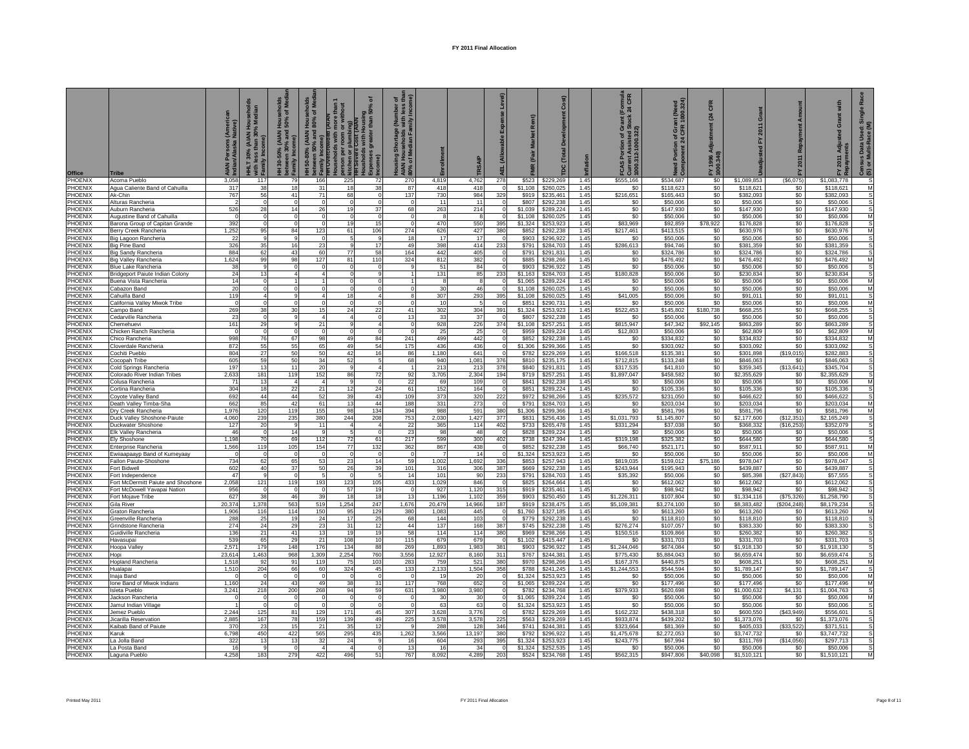| <b>Office</b>      | <b>Tribe</b>                                             | (Americ<br>Native)<br>د،،،د<br>Maska<br>AIAN<br>Indian | <b>IHLT 30% (AIAN Hou</b><br>$\geq$ | 통ㅎ<br>$\widehat{\bullet}$<br>30-50%<br>betweer<br>Family I | seholds<br>of Med<br>ore than<br>without<br>Hous<br>80%<br>ŏ<br>(AIAN I)<br>% and<br>amily Incom<br>I <del>H</del> Overcrow<br>Iouseholds v<br>erson per rc<br>itchen or plu<br>$150 - 80%$ | ᅙ<br>ousing<br>than 50°<br>plum<br>ট | 5E<br>mber<br>1 less<br>Incon<br>age<br>and read<br>음 로 등<br><b>AIAN</b><br>80% c |                     |                      |                                     |                    | Cost)                        | flatior      | (Formula<br>: 24 CFR<br>rant<br>Xock<br>ō<br>FCAS Portures<br>Current Assisted Star<br>1000.312-1000.322)<br>$rac{1}{2}$ | nt (Need<br>1000.324)<br><b>CFR</b><br>ö<br>৳<br>mponent 24<br>Ā | CFR<br>[24]     | ō<br>2011                  | ś                 | with<br>iue.<br>ة<br>2011  | $rac{\sin x}{\sin x}$<br>Š<br><b>Insus Data U</b><br>or Multi-Ra<br>මි ග |
|--------------------|----------------------------------------------------------|--------------------------------------------------------|-------------------------------------|------------------------------------------------------------|---------------------------------------------------------------------------------------------------------------------------------------------------------------------------------------------|--------------------------------------|-----------------------------------------------------------------------------------|---------------------|----------------------|-------------------------------------|--------------------|------------------------------|--------------|--------------------------------------------------------------------------------------------------------------------------|------------------------------------------------------------------|-----------------|----------------------------|-------------------|----------------------------|--------------------------------------------------------------------------|
| PHOENIX            | Acoma Pueblo                                             | 3,058                                                  | 117                                 | 79                                                         | 166                                                                                                                                                                                         | 225<br>-72                           | 270                                                                               | 4,819               | 4,762                | 278                                 |                    | \$523 \$229,269              | 1.45         | \$555,166                                                                                                                | \$534,687                                                        | \$0             | \$1,089,853                | (\$6,075)         | \$1,083,778                | -S                                                                       |
| PHOENIX<br>PHOENIX | Agua Caliente Band of Cahuilla<br>Ak-Chin                | 317<br>767                                             | 38<br>56                            | 18<br>41                                                   | 31<br>71                                                                                                                                                                                    | 18<br>38<br>68                       | 87<br>137                                                                         | 418<br>730          | 418<br>984           | $\circ$<br>329                      | \$1,108<br>\$919   | \$260,025<br>\$235.461       | 1.45<br>1.45 | \$0<br>\$216,651                                                                                                         | \$118,623<br>\$165.443                                           | $\$0$<br>\$0    | \$118,621<br>\$382.093     | \$0<br>\$0        | \$118,621<br>\$382.093     | M<br>s                                                                   |
| PHOENIX            | Alturas Rancheria                                        |                                                        | $\circ$                             |                                                            | $\overline{0}$                                                                                                                                                                              |                                      |                                                                                   | 11                  | 11                   | $^{\circ}$                          | \$807              | \$292,238                    | 1.45         | \$0                                                                                                                      | \$50,006                                                         | \$0             | \$50,006                   | \$0               | \$50,006                   | s                                                                        |
| PHOENIX            | Auburn Rancheria                                         | 526                                                    | 28                                  | 14                                                         | 26                                                                                                                                                                                          | 19<br>37                             | 68                                                                                | 263                 | 214                  | $\overline{0}$                      | \$1,039            | \$289,224                    | 1.45         | \$0                                                                                                                      | \$147,930                                                        | \$0             | \$147,930                  | \$0               | \$147,930                  | s                                                                        |
| PHOENIX            | Augustine Band of Cahuilla                               | $\Omega$                                               | $\Omega$                            | $\Omega$                                                   | $\Omega$                                                                                                                                                                                    |                                      |                                                                                   |                     | $\mathbf{R}$         | $\sigma$                            | \$1,108            | \$260,025                    | 1.45         | \$0                                                                                                                      | \$50,006                                                         | \$0             | \$50,006                   | \$0               | \$50,006                   | M                                                                        |
| PHOENIX            | Barona Group of Capitan Grande                           | 392                                                    | $\Omega$                            |                                                            | $\Omega$                                                                                                                                                                                    | 19<br>15                             |                                                                                   | 470                 | 550                  | 395                                 | \$1,324            | \$253,923                    | 1.45         | \$83,969                                                                                                                 | \$92,859                                                         | \$78,922        | \$176,828                  | \$0               | \$176,828                  | s                                                                        |
| PHOENIX<br>PHOENIX | Berry Creek Rancheria<br>Big Lagoon Rancheria            | 1,252<br>22                                            | 95<br>9                             | 84                                                         | 123<br>$^{\circ}$                                                                                                                                                                           | 61<br>106                            | 274<br>18                                                                         | 626<br>17           | 427<br>17            | 380<br>$\Omega$                     | \$852<br>\$903     | \$292,238<br>\$296,922       | 1.45<br>1.45 | \$217,461<br>\$0                                                                                                         | \$413,515<br>\$50,006                                            | \$0<br>\$0      | \$630,976<br>\$50,006      | \$0<br>\$0        | \$630,976<br>\$50,006      | M<br>s                                                                   |
| PHOENIX            | <b>Big Pine Band</b>                                     | 326                                                    | 35                                  | 16                                                         | 23                                                                                                                                                                                          | 17                                   | 49                                                                                | 398                 | 414                  | 233                                 | \$791              | \$284,703                    | 1.45         | \$286,613                                                                                                                | \$94,746                                                         | \$0             | \$381,359                  | \$0               | \$381,359                  | s                                                                        |
| PHOENIX            | Big Sandy Rancheria                                      | 884                                                    | 62                                  | 43                                                         | 60                                                                                                                                                                                          | 77<br>58                             | 164                                                                               | 442                 | 405                  | $\Omega$                            | \$791              | \$291.831                    | 1.45         | \$0                                                                                                                      | \$324.786                                                        | \$0             | \$324.786                  | \$0               | \$324.786                  | S.                                                                       |
| PHOENIX            | <b>Big Valley Rancheria</b>                              | 1,624                                                  | 99                                  | 98                                                         | 127                                                                                                                                                                                         | 81<br>110                            | 324                                                                               | 812                 | 382                  | $^{\circ}$                          | \$885              | \$298,266                    | 1.45         | \$0                                                                                                                      | \$476,492                                                        | \$0             | \$476,492                  | \$0               | \$476,492                  | M                                                                        |
| PHOENIX            | Blue Lake Rancheria                                      | 38                                                     | $\mathbf{q}$                        |                                                            | $\mathbf 0$<br>$\Delta$                                                                                                                                                                     |                                      |                                                                                   | 51                  | 84                   | $\circ$                             | \$903              | \$296,922                    | 1.45         | \$0                                                                                                                      | \$50,006                                                         | \$0             | \$50,006                   | \$0               | \$50,006                   | s                                                                        |
| PHOENIX<br>PHOENIX | Bridgeport Paiute Indian Colony<br>Buena Vista Rancheria | 24<br>14                                               | 13<br>$\overline{0}$                |                                                            |                                                                                                                                                                                             | $\Omega$                             |                                                                                   | 131<br>$\mathbf{R}$ | 85<br>$\overline{8}$ | 233<br>$\Omega$                     | \$1,163<br>\$1,065 | \$284,703<br>\$289,224       | 1.45<br>1.45 | \$180,828<br>\$0                                                                                                         | \$50,006<br>\$50,006                                             | \$0<br>\$0      | \$230,834<br>\$50,006      | \$0<br>\$0        | \$230,834<br>\$50,006      | s<br>M                                                                   |
| PHOENIX            | Cabazon Band                                             | 20                                                     | $\Omega$                            |                                                            |                                                                                                                                                                                             |                                      |                                                                                   | 30                  | 46                   | $\Omega$                            | \$1,108            | \$260,025                    | 1.45         | \$0                                                                                                                      | \$50,006                                                         | \$0             | \$50,006                   | \$0               | \$50,006                   | M                                                                        |
| PHOENIX            | Cahuilla Band                                            | 119                                                    | $\overline{a}$                      |                                                            | $\Delta$                                                                                                                                                                                    | 18                                   | 8                                                                                 | 307                 | 293                  | 395                                 | \$1,108            | \$260,025                    | 1.45         | \$41,005                                                                                                                 | \$50,006                                                         | \$0             | \$91,011                   | \$0               | \$91.011                   | s                                                                        |
| PHOENIX            | California Valley Miwok Tribe                            | $^{\circ}$                                             | $\mathbf 0$                         | $\Omega$                                                   | $\Omega$                                                                                                                                                                                    | $\Omega$<br>$\Omega$                 | $\Omega$                                                                          | 10                  | 5                    | $\circ$                             | \$851              | \$290,731                    | 1.45         | \$0                                                                                                                      | \$50,006                                                         | \$0             | \$50,006                   | \$0               | \$50,006                   | M                                                                        |
| PHOENIX            | Campo Band                                               | 269                                                    | 38<br>$\Omega$                      | 30                                                         | 15<br>$\overline{4}$                                                                                                                                                                        | 24<br>22                             | 41                                                                                | 302                 | 304                  | 391<br>$\Omega$                     | \$1.324            | \$253.923                    | 1.45         | \$522,453                                                                                                                | \$145.802                                                        | \$180,738       | \$668.255                  | \$0               | \$668.255                  | $\mathsf{s}$                                                             |
| PHOENIX<br>PHOENIX | Cedarville Rancheria<br>Chemehuevi                       | 23<br>161                                              | 29                                  |                                                            | 21                                                                                                                                                                                          |                                      | 13                                                                                | 33<br>928           | 37<br>226            | 374                                 | \$807<br>\$1,108   | \$292,238<br>\$257.251       | 1.45<br>1.45 | \$0<br>\$815,947                                                                                                         | \$50,006<br>\$47,342                                             | \$0<br>\$92,145 | \$50,006<br>\$863.289      | \$0<br>\$0        | \$50,006<br>\$863.289      | s<br>s                                                                   |
| PHOENIX            | Chicken Ranch Rancheria                                  | $\Omega$                                               | $\Omega$                            | $\Omega$                                                   | $\Omega$                                                                                                                                                                                    | $\Omega$                             |                                                                                   | 25                  | 25                   | $\circ$                             | \$959              | \$289,224                    | 1.45         | \$12,803                                                                                                                 | \$50,006                                                         | \$0             | \$62,809                   | \$0               | \$62,809                   | M                                                                        |
| PHOENIX            | Chico Rancheria                                          | 998                                                    | 76                                  | 67                                                         | 98                                                                                                                                                                                          | 49<br>84                             | 241                                                                               | 499                 | 442                  | $\Omega$                            | \$852              | \$292,238                    | 1.45         | \$0                                                                                                                      | \$334,832                                                        | \$0             | \$334,832                  | \$0               | \$334,832                  | M                                                                        |
| PHOENIX            | Cloverdale Rancheria                                     | 872                                                    | 55                                  | 55                                                         | 65                                                                                                                                                                                          | 49<br>54                             | 175                                                                               | 436                 | 436                  | $\circ$                             | \$1,306            | \$299,366                    | 1.45         | \$0                                                                                                                      | \$303,092                                                        | \$0             | \$303,092                  | \$0               | \$303,092                  | S                                                                        |
| PHOENIX<br>PHOENIX | Cochiti Pueblo<br>Cocopah Tribe                          | 804<br>605                                             | 27<br>59                            | 50<br>50                                                   | 50<br>34                                                                                                                                                                                    | 42<br>16<br>52                       | 86<br>68                                                                          | 1,180<br>940        | 641<br>1,081         | 376                                 | \$782              | \$229,269<br>\$810 \$235,175 | 1.45<br>1.45 | \$166,518<br>\$712,815                                                                                                   | \$135,381<br>\$133,248                                           | \$0<br>\$0      | \$301,898<br>\$846,063     | (S19, 015)<br>\$0 | \$282,883<br>\$846,063     | s                                                                        |
| PHOENIX            | Cold Springs Rancheria                                   | 197                                                    | 13                                  | 11                                                         | 20                                                                                                                                                                                          | c                                    |                                                                                   | 213                 | 213                  | 378                                 | \$840              | \$291,831                    | 1.45         | \$317,535                                                                                                                | \$41,810                                                         | \$0             | \$359,345                  | (S13, 641)        | \$345,704                  | s                                                                        |
| PHOENIX            | Colorado River Indian Tribes                             | 2.633                                                  | 181                                 | 119                                                        | 152                                                                                                                                                                                         | 86<br>72                             | 92                                                                                | 3,705               | 2.304                | 194                                 | \$719              | \$257,251                    | 1.45         | \$1,897.047                                                                                                              | \$458,582                                                        | \$0             | \$2,355,629                | \$0               | \$2,355,629                | S.                                                                       |
| PHOENIX            | Colusa Rancheria                                         | 71                                                     | 13                                  |                                                            | $\overline{4}$                                                                                                                                                                              |                                      | 22                                                                                | 69                  | 109                  | $\overline{0}$                      | \$841              | \$292,238                    | 1.45         | \$0                                                                                                                      | \$50,006                                                         | \$0             | \$50,006                   | \$0               | \$50,006                   | M                                                                        |
| PHOENIX            | Cortina Rancheria                                        | 304                                                    | 18<br>44                            | 22                                                         | 21                                                                                                                                                                                          | 12<br>24<br>39                       | 61                                                                                | 152                 | 164                  | $\Omega$                            | \$851              | \$289,224                    | 1.45         | \$0                                                                                                                      | \$105,336                                                        | \$0             | \$105,336                  | \$0               | \$105,336                  | S.                                                                       |
| PHOENIX<br>PHOENIX | Coyote Valley Band<br>Death Valley Timba-Sha             | 692<br>662                                             | 85                                  | 44<br>42                                                   | 52<br>61                                                                                                                                                                                    | $4^\circ$<br>13<br>44                | 109<br>188                                                                        | 373<br>331          | 320<br>273           | 222<br>$\Omega$                     | \$972<br>\$791     | \$298,266<br>\$284,703       | 1.45<br>1.45 | \$235,572<br>\$0                                                                                                         | \$231,050<br>\$203,034                                           | \$0<br>\$0      | \$466,622<br>\$203,034     | \$0<br>\$0        | \$466,622<br>\$203,034     | M                                                                        |
| PHOENIX            | Dry Creek Rancheria                                      | 1,976                                                  | 120                                 | 119                                                        | 155                                                                                                                                                                                         | 98<br>134                            | 394                                                                               | 988                 | 591                  | 380                                 | \$1,306            | \$299,366                    | 1.45         | \$0                                                                                                                      | \$581,796                                                        | \$0             | \$581,796                  | \$0               | \$581,796                  | M                                                                        |
| PHOENIX            | Duck Valley Shoshone-Paiute                              | 4,060                                                  | 239                                 | 235                                                        | 380                                                                                                                                                                                         | 244<br>208                           | 753                                                                               | 2,030               | 1,427                | 377                                 | \$831              | \$256,436                    | 1.45         | \$1,031,793                                                                                                              | \$1,145,807                                                      | \$0             | \$2,177,600                | (S12, 351)        | \$2,165,249                | s                                                                        |
| PHOENIX            | Duckwater Shoshone                                       | 127                                                    | 20                                  |                                                            | 11                                                                                                                                                                                          |                                      | 22                                                                                | 365                 | 114                  | 402                                 | \$733              | \$265,478                    | 1.45         | \$331,294                                                                                                                | \$37,038                                                         | \$0             | \$368,332                  | (\$16,253         | \$352,079                  |                                                                          |
| PHOENIX<br>PHOENIX | <b>Elk Valley Rancheria</b><br>Elv Shoshone              | 46<br>1,198                                            | $\Omega$<br>70                      | 14<br>69                                                   | 9<br>112                                                                                                                                                                                    | 72<br>61                             | 23<br>217                                                                         | 98<br>599           | 48<br>300            | $\Omega$<br>402                     | \$828<br>\$738     | \$289.224<br>\$247,394       | 1.45<br>1.45 | \$0<br>\$319,198                                                                                                         | \$50.006<br>\$325,382                                            | \$0<br>\$0      | \$50.006<br>\$644,580      | \$0<br>\$0        | \$50,006<br>\$644,580      | s<br>s                                                                   |
| PHOENIX            | Enterprise Rancheria                                     | 1,566                                                  | 119                                 | 105                                                        | 154                                                                                                                                                                                         | 77<br>132                            | 362                                                                               | 867                 | 438                  | $\mathbf 0$                         | \$852              | \$292,238                    | 1.45         | \$66,740                                                                                                                 | \$521,171                                                        | \$0             | \$587.911                  | \$0               | \$587.911                  | M                                                                        |
| PHOENIX            | Ewiiaapaayp Band of Kumeyaay                             | $\Omega$                                               | $\Omega$                            | $\Omega$                                                   | $\Omega$                                                                                                                                                                                    | $\sqrt{ }$                           | $\sqrt{ }$                                                                        | $\overline{7}$      | 14                   | $\Omega$                            | \$1,324            | \$253,923                    | 1.45         | SO.                                                                                                                      | \$50,006                                                         | \$0             | \$50,006                   | \$0               | \$50,006                   | M                                                                        |
| PHOENIX            | Fallon Paiute-Shoshone                                   | 734                                                    | 62                                  | 65                                                         | 53                                                                                                                                                                                          | 23<br>14                             | 59                                                                                | 1.002               | 1,692                | 336                                 | \$853              | \$257,943                    | 1.45         | \$819,035                                                                                                                | \$159,012                                                        | \$75,186        | \$978,047                  | \$0               | \$978,047                  | S                                                                        |
| PHOENIX            | Fort Bidwell                                             | 602                                                    | 40<br>9                             | 37                                                         | 50                                                                                                                                                                                          | 26<br>39                             | 101<br>14                                                                         | 316                 | 306                  | 387                                 | \$669              | \$292,238                    | 1.45         | \$243,944                                                                                                                | \$195,943                                                        | \$0             | \$439,887                  | \$0               | \$439,887                  |                                                                          |
| PHOENIX<br>PHOENIX | Fort Independence<br>Fort McDermitt Paiute and Shoshone  | 47<br>2,058                                            | 121                                 | $^{\circ}$<br>119                                          | -5<br>193                                                                                                                                                                                   | 123<br>105                           | 433                                                                               | 101<br>1,029        | 90<br>846            | 233<br>$^{\circ}$                   | \$791<br>\$825     | \$284,703<br>\$264,664       | 1.45<br>1.45 | \$35,392<br>\$0                                                                                                          | \$50,006<br>\$612,062                                            | \$0<br>\$0      | \$85,398<br>\$612,062      | (S27, 843)<br>\$0 | \$57,555<br>\$612,062      | s<br>S                                                                   |
| PHOENIX            | Fort McDowell Yavapai Nation                             | 956                                                    | $\Omega$                            | $\Omega$                                                   | $\Omega$                                                                                                                                                                                    | 57<br>19                             |                                                                                   | 927                 | 1,120                | 315                                 | \$919              | \$235,461                    | 1.45         | \$0                                                                                                                      | \$98,942                                                         | \$0             | \$98,942                   | \$0               | \$98,942                   | S                                                                        |
| PHOENIX            | Fort Mojave Tribe                                        | 627                                                    | 38                                  | 46                                                         | 39                                                                                                                                                                                          | 18<br>18                             | 13                                                                                | 1,196               | 1,102                | 359                                 | \$903              | \$250,450                    | 1.45         | \$1,226,311                                                                                                              | \$107,804                                                        | \$0             | \$1,334,116                | (S75, 326)        | \$1,258,790                | S                                                                        |
| PHOENIX            | Gila River                                               | 20,374                                                 | 1,378                               | 563                                                        | 519<br>1,254                                                                                                                                                                                | 247                                  | 1,676                                                                             | 20,479              | 14,966               | 187                                 | \$919              | \$238,475                    | 1.45         | \$5,109,381                                                                                                              | \$3,274,100                                                      | \$0             | \$8,383,482                | (\$204,248)       | \$8,179,234                |                                                                          |
| PHOENIX<br>PHOENIX | <b>Graton Rancheria</b><br>Greenville Rancheria          | 1,906<br>288                                           | 116<br>25                           | 114<br>19                                                  | 150<br>24                                                                                                                                                                                   | 95<br>129<br>17<br>25                | 380<br>68                                                                         | 1,083<br>144        | 445<br>103           | $\circ$<br>$\Omega$                 | \$1,760<br>\$779   | \$327,185<br>\$292,238       | 1.45<br>1.45 | \$0<br>\$0                                                                                                               | \$613,260<br>\$118,810                                           | \$0<br>\$0      | \$613,260<br>\$118,810     | \$0<br>\$0        | \$613,260<br>\$118,810     | M<br><b>S</b>                                                            |
| PHOENIX            | Grindstone Rancheria                                     | 274                                                    | 24                                  | 29                                                         | 23                                                                                                                                                                                          | 31<br>12                             | 44                                                                                | 137                 | 168                  | 387                                 | \$745              | \$292,238                    | 1.45         | \$276,274                                                                                                                | \$107,057                                                        | \$0             | \$383,330                  | \$0               | \$383,330                  | s                                                                        |
| PHOENIX            | Guidiville Rancheria                                     | 136                                                    | 21                                  | 41                                                         | 13                                                                                                                                                                                          | 19<br>19                             | 58                                                                                | 114                 | 114                  | 380                                 | \$969              | \$298,266                    | 1.45         | \$150,516                                                                                                                | \$109,866                                                        | \$0             | \$260,382                  | \$0               | \$260,382                  |                                                                          |
| PHOENIX            | Havasupai                                                | 539                                                    | 65                                  | 29                                                         | 21                                                                                                                                                                                          | 108<br>10                            | 115                                                                               | 679                 | 679                  | $\overline{0}$                      | \$1,102            | \$415,447                    | 1.45         | \$0                                                                                                                      | \$331,703                                                        | \$0             | \$331,703                  | \$0               | \$331,703                  | s                                                                        |
| PHOENIX<br>PHOENIX | Hoopa Valley                                             | 2,571<br>23.614                                        | 179<br>.463                         | 148<br>968                                                 | 176<br>1.309<br>2,254                                                                                                                                                                       | 134<br>88<br>760                     | 269<br>3.556                                                                      | 1,893<br>12.927     | 1,983<br>8.160       | 381<br>311                          | \$903<br>\$767     | \$296,922<br>\$244.381       | 1.45<br>1.45 | \$1,244,046<br>\$775,430                                                                                                 | \$674,084<br>\$5,884,043                                         | \$0<br>\$0      | \$1,918,130<br>\$6,659,474 | \$0<br>\$0        | \$1,918,130<br>\$6,659,474 | s<br>S.                                                                  |
| PHOENIX            | Hopi<br>Hopland Rancheria                                | 1.518                                                  | 92                                  | 91                                                         | 119                                                                                                                                                                                         | 103<br>75                            | 283                                                                               | 759                 | 521                  | 380                                 | \$970              | \$298,266                    | 1.45         | \$167,376                                                                                                                | \$440,875                                                        | \$0             | \$608,251                  | \$0               | \$608,251                  | M                                                                        |
| PHOENIX            | Hualapai                                                 | 1,510                                                  | 204                                 | 66                                                         | 60                                                                                                                                                                                          | 324<br>45                            | 133                                                                               | 2,133               | 1,504                | 358                                 | \$788              | \$241,245                    | 1.45         | \$1,244,553                                                                                                              | \$544,594                                                        | \$0             | \$1,789,147                | \$0               | \$1,789,147                | s                                                                        |
| PHOENIX            | Inaja Band                                               | $\Omega$                                               | $\Omega$                            | $\Omega$                                                   | $\Omega$                                                                                                                                                                                    | $\Omega$                             |                                                                                   | -19                 | 20                   | $\circ$                             | \$1,324            | \$253,923                    | 1.45         | \$0                                                                                                                      | \$50,006                                                         | \$0             | \$50,006                   | \$0               | \$50,006                   | M                                                                        |
| PHOENIX<br>PHOFNIX | Ione Band of Miwok Indians<br>Isleta Pueblo              | 1,160                                                  | 24                                  | 43                                                         | 49                                                                                                                                                                                          | 38<br>31<br>94<br>59                 | 117                                                                               | 768                 | 652                  | $\overline{\mathbf{0}}$<br>$\Omega$ | \$1,065<br>\$782   | \$289,224                    | 1.45<br>1.45 | \$0                                                                                                                      | \$177,496                                                        | \$0             | \$177,496                  | \$0<br>\$4.131    | \$177,496                  | M<br>S                                                                   |
| PHOENIX            | Jackson Rancheria                                        | 3,241<br>$^{\circ}$                                    | 218<br>$\Omega$                     | 200<br>$\Omega$                                            | 268<br>$^{\circ}$                                                                                                                                                                           | $\Omega$                             | 631<br>$\Omega$                                                                   | 3,980<br>30         | 3,980<br>30          | $\circ$                             | \$1,065            | \$234,768<br>\$289,224       | 1.45         | \$379,933<br>\$0                                                                                                         | \$620,698<br>\$50,006                                            | \$0<br>\$0      | \$1,000,632<br>\$50,006    | \$0               | \$1,004,763<br>\$50,006    | M                                                                        |
| PHOENIX            | Jamul Indian Village                                     | $\overline{1}$                                         | $\Omega$                            | $\Omega$                                                   | $\Omega$                                                                                                                                                                                    | $\Omega$                             | $\Omega$                                                                          | 63                  | 63                   | $\circ$                             | \$1,324            | \$253,923                    | 1.45         | \$0                                                                                                                      | \$50,006                                                         | \$0             | \$50,006                   | \$0               | \$50,006                   | s                                                                        |
| PHOENIX            | Jemez Pueblo                                             | 2.244                                                  | 125                                 | 81                                                         | 129                                                                                                                                                                                         | 171<br>45                            | 307                                                                               | 3.628               | 3,776                | $\Omega$                            | \$782              | \$229,269                    | 1.45         | \$162,232                                                                                                                | \$438.318                                                        | \$0             | \$600,550                  | (S43,949)         | \$556,601                  | S.                                                                       |
| PHOENIX            | Jicarilla Reservation                                    | 2,885                                                  | 167                                 | 78                                                         | 159                                                                                                                                                                                         | 139<br>49                            | 225                                                                               | 3,578               | 3,578                | 225                                 | \$563              | \$229,269                    | 1.45         | \$933,874                                                                                                                | \$439,202                                                        | \$0             | \$1,373,076                | \$0               | \$1,373,076                | s                                                                        |
| PHOENIX<br>PHOENIX | Kaibab Band of Paiute<br>Karuk                           | 370<br>6,798                                           | 23<br>450                           | 15<br>422                                                  | 21<br>565                                                                                                                                                                                   | 35<br>12<br>295<br>435               | 1,262                                                                             | 288<br>3.566        | 128<br>13,197        | 346<br>380                          | \$741<br>\$792     | \$244.381<br>\$296,922       | 1.45<br>1.45 | \$323.664<br>\$1,475,678                                                                                                 | \$81,369<br>\$2,272,053                                          | \$0<br>\$0      | \$405,033<br>\$3,747,732   | (\$33,522<br>\$0  | \$371,511<br>\$3,747,732   | s                                                                        |
| PHOENIX            | La Jolla Band                                            | 322                                                    | 13                                  | 13                                                         | 32                                                                                                                                                                                          | 24                                   | 16                                                                                | 604                 | 293                  | 395                                 | \$1,324            | \$253,923                    | 1.45         | \$243,775                                                                                                                | \$67,994                                                         | \$0             | \$311,769                  | (S14,056)         | \$297,713                  | s                                                                        |
| PHOENIX            | La Posta Band                                            | 16                                                     |                                     |                                                            |                                                                                                                                                                                             |                                      | 13                                                                                |                     | 34                   | $\Omega$                            | \$1,324            | \$252,535                    | 1.45         | \$0                                                                                                                      | \$50,006                                                         | \$0             | \$50,006                   | \$0               | \$50,006                   |                                                                          |
| PHOENIX            | Laguna Pueblo                                            | 4,258                                                  | 183                                 | 279                                                        | 422                                                                                                                                                                                         | 496<br>51                            | 767                                                                               | 8,092               | 4,289                | 203                                 | \$524              | \$234,768                    | 1.45         | \$562,315                                                                                                                | \$947,806                                                        | \$40,098        | \$1,510,121                | \$0               | \$1,510,121                | M                                                                        |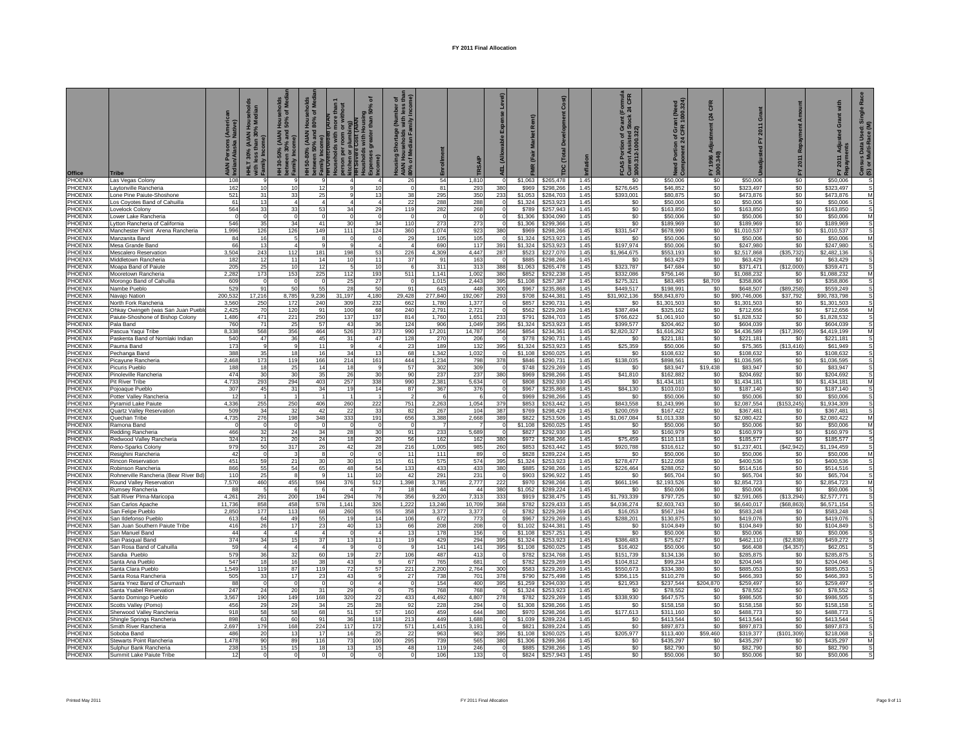| <b>Office</b>                    | <b>Tribe</b>                                                | (Americ<br>Native)<br><b>AIAN Persons</b><br>Indian/Alaska I | ahold<br><b>HHLT 30% (AIAN Hous</b><br>mily Ine | 를 호<br><b>Hous</b><br>50%<br>between 30%<br>Family Incom<br>130-50% | seholds<br>, of Medi<br>Hous<br>80%<br>1 50-80% (AIAN H<br>tween 50% and 8<br>ឌ ឌ | withou<br>ŏ<br>림<br>etween 50?<br>amily Inco<br>H Overcro<br>ouseholds<br>arson per 1<br>tchen or p | ৽<br>(AIAN<br>Housing<br>er than 50° | $5E$ $\frac{1}{2}$<br>tage<br>Die Far<br><b>Pa</b><br>B<br>B<br>B<br><b>AIAN</b><br>80% c |                 |                           |                                |                    | Cost)                          | flatior      | (Formula<br>: 24 CFR<br>FCAS Portion of Gra<br>Current Assisted Sto<br>1000.312-1000.322) | nt (Need<br>1000.324)<br>f Gra<br>CFR<br>৳<br>Component 24<br>곴 | CFR<br>$\mathbf{z}$ | Grant<br>2011<br>$\geq$   | ā                      | with<br>rant <sup>1</sup><br>ō<br>2011 | nsus Data Used: Sir<br>or Multi-Race (M)<br>ලි ග |
|----------------------------------|-------------------------------------------------------------|--------------------------------------------------------------|-------------------------------------------------|---------------------------------------------------------------------|-----------------------------------------------------------------------------------|-----------------------------------------------------------------------------------------------------|--------------------------------------|-------------------------------------------------------------------------------------------|-----------------|---------------------------|--------------------------------|--------------------|--------------------------------|--------------|-------------------------------------------------------------------------------------------|-----------------------------------------------------------------|---------------------|---------------------------|------------------------|----------------------------------------|--------------------------------------------------|
| PHOENIX                          | Las Vegas Colony                                            | 108                                                          | -9                                              | 9                                                                   |                                                                                   | $\overline{a}$                                                                                      |                                      | -26                                                                                       | 54              | 1,810                     | $\circ$                        |                    |                                | 1.45         | SO.                                                                                       | \$50,006                                                        | \$0                 | \$50,006                  | \$0                    | \$50,006                               | -S                                               |
| PHOENIX                          | Laytonville Rancheria                                       | 162                                                          | 10                                              | 10                                                                  | 12                                                                                | 9                                                                                                   | 10                                   |                                                                                           | 81              | 293                       | 380                            | \$969              | \$298,266                      | 1.45         | \$276,645                                                                                 | \$46,852                                                        | \$0                 | \$323,497                 | \$0                    | \$323,497                              | s                                                |
| <b>PHOENIX</b><br><b>PHOENIX</b> | one Pine Paiute-Shoshone<br>os Coyotes Band of Cahuilla     | 521<br>61                                                    | 31<br>13                                        | 33<br>$\overline{4}$                                                | 25                                                                                | $\alpha$<br>$\sqrt{4}$                                                                              | 13                                   | 38<br>$^{22}$                                                                             | 295<br>288      | 350<br>288                | 233<br>$^{\circ}$              | \$1.053<br>\$1,324 | \$284.703<br>\$253,923         | 1.45<br>1.45 | \$393,001<br>S <sub>0</sub>                                                               | \$80,875<br>\$50,006                                            | \$0<br>\$0          | \$473,876<br>\$50,006     | \$0<br>\$0             | \$473.876<br>\$50,006                  | M<br>S                                           |
| <b>HOENIX</b>                    | ovelock Colony                                              | 564                                                          | 33                                              | 33                                                                  | 53                                                                                | 34                                                                                                  | 29                                   | 119                                                                                       | 282             | 268                       | $^{\circ}$                     | \$789              | \$257,943                      | 1.45         | \$0                                                                                       | \$163,850                                                       | \$0                 | \$163,850                 | \$0                    | \$163,850                              | s                                                |
| <b>PHOENIX</b>                   | Lower Lake Rancheria                                        | $\Omega$                                                     | $\Omega$                                        | $\Omega$                                                            |                                                                                   | $\Omega$                                                                                            |                                      |                                                                                           | $\cap$          | $\Omega$                  | $\circ$                        | \$1,306            | \$304,090                      | 1.45         | \$0                                                                                       | \$50,006                                                        | \$0                 | \$50,006                  | \$0                    | \$50,006                               | M                                                |
| <b>PHOENIX</b>                   | Lytton Rancheria of California                              | 546                                                          | 35                                              | 34                                                                  | 41                                                                                | 30                                                                                                  | 34                                   | 110                                                                                       | 273             | 273                       | $\Omega$                       | \$1,306            | \$299,366                      | 1.45         | \$0                                                                                       | \$189,969                                                       | \$0                 | \$189,969                 | \$0                    | \$189,969                              | s                                                |
| PHOENIX                          | Manchester Point Arena Rancheria                            | 1,996                                                        | 126                                             | 126                                                                 | 149                                                                               | 111                                                                                                 | 124                                  | 360                                                                                       | 1,074           | 923                       | 380                            | \$969              | \$298,266                      | 1.45         | \$331,547                                                                                 | \$678,990                                                       | \$0                 | \$1,010,537               | \$0                    | \$1,010,537                            |                                                  |
| PHOENIX<br>PHOENIX               | Manzanita Band<br>Mesa Grande Band                          | 84<br>66                                                     | 16<br>13                                        | 5<br>$\overline{4}$                                                 |                                                                                   | $\mathbf 0$<br>9                                                                                    | $^{\circ}$<br>$\overline{4}$         | 29                                                                                        | 105<br>690      | 105<br>117                | 391                            | \$1,324            | \$253,923<br>\$1,324 \$253,923 | 1.45<br>1.45 | \$0<br>\$197,974                                                                          | \$50,006<br>\$50,006                                            | \$0<br>\$0          | \$50,006<br>\$247,980     | \$0<br>\$0             | \$50,006<br>\$247,980                  | M<br>s                                           |
| PHOFNIX                          | Mescalero Reservation                                       | 3.504                                                        | 243                                             | 112                                                                 | 181                                                                               | 198                                                                                                 | 53                                   | 226                                                                                       | 4,309           | 4.447                     | 287                            | \$523              | \$227,070                      | 1.45         | \$1,964,675                                                                               | \$553.193                                                       | \$0                 | \$2.517.868               | (S35, 732)             | \$2,482,136                            | S                                                |
| <b>PHOENIX</b>                   | Middletown Rancheria                                        | 182                                                          | 12                                              | 11                                                                  | 14                                                                                | 10                                                                                                  | 11                                   | 37                                                                                        | 91              | 163                       | $\Omega$                       | \$885              | \$298,266                      | 1.45         | \$0                                                                                       | \$63,429                                                        | \$0                 | \$63,429                  | \$0                    | \$63,429                               | s                                                |
| PHOENIX                          | Moapa Band of Paiute                                        | 205                                                          | 25                                              | 10                                                                  | 12                                                                                | 5                                                                                                   | 10                                   |                                                                                           | 311             | 313                       | 388                            | \$1,063            | \$265,478                      | 1.45         | \$323,787                                                                                 | \$47,684                                                        | \$0                 | \$371.471                 | (\$12,000]             | \$359,471                              | S                                                |
| PHOENIX                          | Mooretown Rancheria                                         | 2,282                                                        | 173                                             | 153                                                                 | 225                                                                               | 112                                                                                                 | 193                                  | 511                                                                                       | 1,141           | 1,002                     | 380                            |                    | \$852 \$292,238                | 1.45         | \$332,086                                                                                 | \$756,146                                                       | \$0                 | \$1,088,232               | \$0                    | \$1,088,232                            | M                                                |
| <b>PHOENIX</b>                   | Morongo Band of Cahuilla                                    | 609                                                          | $\Omega$<br>91                                  | $\overline{0}$                                                      |                                                                                   | 25                                                                                                  | 27<br>50                             | 91                                                                                        | 1,015           | 2,443<br>448              | 395                            | \$1,108            | \$257,387                      | 1.45         | \$275,321                                                                                 | \$83,485                                                        | \$8,709             | \$358,806                 | \$0                    | \$358,806                              | S.                                               |
| <b>HOENIX</b><br><b>PHOENIX</b>  | Nambe Pueblo<br>Navaio Nation                               | 529<br>200,532                                               | 17,216                                          | 50<br>8,785                                                         | 55<br>9,236                                                                       | 28<br>31,197                                                                                        | 4,180                                | 29,428                                                                                    | 643<br>277,840  | 192,067                   | 300<br>293                     | \$967              | \$235,868<br>\$708 \$244,381   | 1.45<br>1.45 | \$449,517<br>\$31,902,136                                                                 | \$198,991<br>\$58,843,870                                       | \$0<br>\$0          | \$648,507<br>\$90,746,006 | (S89, 258)<br>\$37,792 | \$559,249<br>\$90,783,798              | s                                                |
| <b>HOENIX</b>                    | North Fork Rancheria                                        | 3,560                                                        | 250                                             | 172                                                                 | 240                                                                               | 309                                                                                                 | 232                                  | 662                                                                                       | 1,780           | 1,377                     | $\mathbf{O}$                   | \$857              | \$290,731                      | 1.45         | \$0                                                                                       | \$1,301,503                                                     | \$0                 | \$1,301,503               | \$0                    | \$1,301,503                            | s                                                |
| PHOENIX                          | Ohkay Owingeh (was San Juan Pueblo                          | 2.425                                                        | 70                                              | 120                                                                 | 91                                                                                | 100                                                                                                 | 68                                   | 240                                                                                       | 2.791           | 2,721                     | $\Omega$                       | \$562              | \$229,269                      | 1.45         | \$387.494                                                                                 | \$325,162                                                       | \$0                 | \$712,656                 | \$0                    | \$712,656                              | M                                                |
| <b>HOENIX</b>                    | Paiute-Shoshone of Bishop Colony                            | 1,486                                                        | 471                                             | 221                                                                 | 250                                                                               | 137                                                                                                 | 137                                  | 814                                                                                       | 1,760           | 1,651                     | 233                            | \$791              | \$284,703                      | 1.45         | \$766,622                                                                                 | \$1,061,910                                                     | \$0                 | \$1,828,532               | \$0                    | \$1,828,532                            | s                                                |
| <b>HOENIX</b>                    | Pala Band                                                   | 760                                                          | 71                                              | 25                                                                  | 57                                                                                | 43                                                                                                  | 36                                   | 124                                                                                       | 906             | 1,049                     | 395                            | \$1,324            | \$253,923                      | 1.45         | \$399,577                                                                                 | \$204.462                                                       | \$0                 | \$604.039                 | \$0                    | \$604.039                              | s                                                |
| <b>HOENIX</b><br><b>PHOENIX</b>  | Pascua Yaqui Tribe<br>Paskenta Band of Nomlaki Indian       | 8,338<br>540                                                 | 568<br>47                                       | 356<br>36                                                           | 464<br>45                                                                         | 526<br>31                                                                                           | 373<br>47                            | 990<br>128                                                                                | 17,201<br>270   | 14,787<br>20 <sub>6</sub> | 356<br>$\Omega$                | \$854<br>\$778     | \$234,361<br>\$290,731         | 1.45<br>1.45 | \$2,820,327<br>\$0                                                                        | \$1,616,262<br>\$221,181                                        | \$0<br>\$0          | \$4,436,589<br>\$221,181  | (S17, 390)<br>\$0      | \$4,419,199<br>\$221,181               | M<br><b>S</b>                                    |
| <b>HOENIX</b>                    | Pauma Band                                                  | 173                                                          | $\mathbf{9}$                                    | 9                                                                   | 11                                                                                | $\mathbf{9}$                                                                                        |                                      | 23                                                                                        | 189             | 132                       | 395                            | \$1,324            | \$253,923                      | 1.45         | \$25,359                                                                                  | \$50,006                                                        | \$0                 | \$75,365                  | (S13, 416)             | \$61,949                               | s                                                |
| PHOENIX                          | Pechanga Band                                               | 388                                                          | 35                                              | 18                                                                  | 16                                                                                | 34                                                                                                  | 13                                   | 68                                                                                        | 1,342           | 1,032                     | $\Omega$                       | \$1,108            | \$260,025                      | 1.45         | \$0                                                                                       | \$108,632                                                       | \$0                 | \$108,632                 | \$0                    | \$108,632                              |                                                  |
| PHOENIX                          | Picayune Rancheria                                          | 2.468                                                        | 173                                             | 119                                                                 | 166                                                                               | 214                                                                                                 | 161                                  | 444                                                                                       | 1,234           | 798                       | 378                            |                    | \$846 \$290,731                | 1.45         | \$138,035                                                                                 | \$898,561                                                       | \$0                 | \$1,036,595               | \$0                    | \$1,036,595                            | s                                                |
| PHOENIX                          | Picuris Pueblo                                              | 188                                                          | 18                                              | 25                                                                  | 14                                                                                | 18                                                                                                  | -9                                   | 57                                                                                        | 302             | 309                       | $^{\circ}$                     | \$748              | \$229,269                      | 1.45         | S <sub>0</sub>                                                                            | \$83.947                                                        | \$19,438            | \$83,947                  | \$0                    | \$83,947                               | s                                                |
| PHOENIX<br>PHOENIX               | Pinoleville Rancheria<br><sup>2</sup> it River Tribe        | 474<br>4,733                                                 | 30<br>293                                       | 30<br>294                                                           | 35<br>403                                                                         | 26<br>257                                                                                           | 30<br>338                            | 90<br>990                                                                                 | 237<br>2.381    | 237<br>5,634              | 380<br>$^{\circ}$              | \$969<br>\$808     | \$298,266<br>\$292,930         | 1.45<br>1.45 | \$41,810<br>S <sub>0</sub>                                                                | \$162,882<br>\$1,434,181                                        | \$0<br>\$0          | \$204.692<br>\$1,434,181  | \$0<br>\$0             | \$204,692<br>\$1,434,181               | S.<br>M                                          |
| <b>PHOENIX</b>                   | Pojoaque Pueblo                                             | 307                                                          | 45                                              | 31                                                                  | 34                                                                                | 19                                                                                                  | 14                                   | 87                                                                                        | 367             | 376                       | $\Omega$                       | \$967              | \$235,868                      | 1.45         | \$84,130                                                                                  | \$103,010                                                       | \$0                 | \$187,140                 | \$0                    | \$187,140                              |                                                  |
| <b>PHOENIX</b>                   | Potter Valley Rancheria                                     | 12                                                           | $\overline{1}$                                  | $\overline{1}$                                                      |                                                                                   | $\blacktriangleleft$                                                                                |                                      |                                                                                           | -6              | -6                        | $\Omega$                       | \$969              | \$298,266                      | 1.45         | \$0                                                                                       | \$50,006                                                        | \$0                 | \$50,006                  | \$0                    | \$50,006                               | S.                                               |
| <b>HOENIX</b>                    | <b>Pyramid Lake Paiute</b>                                  | 4,336                                                        | 255                                             | 250                                                                 | 406                                                                               | 260                                                                                                 | 222                                  | 751                                                                                       | 2,263           | 1,054                     | 379                            | \$853              | \$263,442                      | 1.45         | \$843,558                                                                                 | \$1,243,996                                                     | \$0                 | \$2,087,554               | (\$153, 245)           | \$1,934,309                            | s                                                |
| <b>PHOENIX</b>                   | Quartz Valley Reservation                                   | 509                                                          | 34                                              | 32                                                                  | 42                                                                                | 22                                                                                                  | 33                                   | 82                                                                                        | 267             | 104                       | 387                            | \$769              | \$298,429                      | 1.45         | \$200,059                                                                                 | \$167,422                                                       | \$0                 | \$367,481                 | \$0                    | \$367,481                              |                                                  |
| <b>PHOENIX</b><br><b>HOENIX</b>  | Quechan Tribe<br>Ramona Band                                | 4,735                                                        | 276<br>$\overline{\mathbf{0}}$                  | 198<br>$\mathbf 0$                                                  | 348                                                                               | 333<br>$\circ$                                                                                      | 191<br>$\overline{0}$                | 656                                                                                       | 3,388           | 2,668                     | 389<br>$\overline{\mathbf{0}}$ | \$822<br>\$1,108   | \$253,506<br>\$260,025         | 1.45<br>1.45 | \$1,067,084<br>\$0                                                                        | \$1,013,338<br>\$50,006                                         | \$0<br>\$0          | \$2,080,422<br>\$50,006   | \$0<br>\$0             | \$2,080,422<br>\$50,006                | M<br>M                                           |
| <b>PHOENIX</b>                   | Redding Rancheria                                           | 466                                                          | 32                                              | 24                                                                  | 34                                                                                | 28                                                                                                  | 30                                   | 91                                                                                        | 233             | 5.689                     | $\Omega$                       | \$827              | \$292,930                      | 1.45         | \$0                                                                                       | \$160.979                                                       | \$0                 | \$160.979                 | \$0                    | \$160.979                              | S                                                |
| <b>HOENIX</b>                    | Redwood Valley Rancheria                                    | 324                                                          | 21                                              | 20                                                                  | 24                                                                                | 18                                                                                                  | 20                                   | 56                                                                                        | 162             | 162                       | 380                            | \$972              | \$298,266                      | 1.45         | \$75,459                                                                                  | \$110,118                                                       | \$0                 | \$185,577                 | \$0                    | \$185,577                              | s                                                |
| <b>HOENIX</b>                    | Reno-Sparks Colony                                          | 979                                                          | 50                                              | 317                                                                 | 26                                                                                | 42                                                                                                  | 28                                   | 216                                                                                       | 1,005           | 985                       | 260                            | \$853              | \$263,442                      | 1.45         | \$920,788                                                                                 | \$316,612                                                       | \$0                 | \$1,237,401               | (\$42,942              | \$1.194.459                            | S                                                |
| PHOENIX                          | Resighini Rancheria                                         | 42                                                           | $\Omega$                                        | $\mathbf{3}$                                                        | $\mathbf{R}$                                                                      | $\Omega$                                                                                            | $\Omega$                             | 11                                                                                        | 111             | 89                        | $\Omega$                       | \$828              | \$289,224                      | 1.45         | S <sub>0</sub>                                                                            | \$50,006                                                        | \$0                 | \$50,006                  | \$0                    | \$50,006                               | M                                                |
| PHOENIX<br><b>PHOENIX</b>        | <b>Rincon Reservation</b>                                   | 451<br>866                                                   | 59<br>55                                        | 21<br>54                                                            | 30<br>65                                                                          | 30<br>48                                                                                            | 15<br>54                             | 61<br>133                                                                                 | 575<br>433      | 574<br>433                | 395<br>380                     | \$1,324<br>\$885   | \$253,923<br>\$298,266         | 1.45<br>1.45 | \$278,477                                                                                 | \$122,058<br>\$288,052                                          | \$0<br>\$0          | \$400,536<br>\$514,516    | \$0<br>\$0             | \$400,536<br>\$514,516                 | S                                                |
| PHOENIX                          | Robinson Rancheria<br>Rohnerville Rancheria (Bear River Bd) | 110                                                          | 25                                              | 8                                                                   |                                                                                   | 11                                                                                                  | 10                                   | -42                                                                                       | 291             | 231                       | $\overline{0}$                 |                    | \$903 \$296,922                | 1.45         | \$226,464<br>\$0                                                                          | \$65,704                                                        | \$0                 | \$65,704                  | \$0                    | \$65,704                               | S                                                |
| PHOENIX                          | Round Valley Reservation                                    | 7,570                                                        | 460                                             | 455                                                                 | 594                                                                               | 376                                                                                                 | 512                                  | 1,398                                                                                     | 3,785           | 2,777                     | 222                            | \$970              | \$298,266                      | 1.45         | \$661,196                                                                                 | \$2,193,526                                                     | \$0                 | \$2,854,723               | \$0                    | \$2,854,723                            | M                                                |
| PHOFNIX                          | Rumsey Rancheria                                            | 88                                                           | 5                                               | - 6                                                                 |                                                                                   | $\Delta$                                                                                            |                                      | 18                                                                                        | 44              | 44                        | 380                            | \$1,052            | \$289,224                      | 1.45         | S <sub>0</sub>                                                                            | \$50,006                                                        | \$0                 | \$50,006                  | \$0                    | \$50,006                               | S                                                |
| <b>PHOENIX</b>                   | Salt River PIma-Maricopa                                    | 4,261                                                        | 291                                             | 200                                                                 | 194                                                                               | 294                                                                                                 | 76                                   | 356                                                                                       | 9,220           | 7,313                     | 333                            | \$919              | \$238,475                      | 1.45         | \$1,793,339                                                                               | \$797,725                                                       | \$0                 | \$2,591,065               | (S13, 294)             | \$2,577,771                            |                                                  |
| PHOENIX<br>PHOENIX               | San Carlos Apache<br>San Felipe Pueblo                      | 11.736<br>2,850                                              | 858<br>177                                      | 458<br>113                                                          | 578<br>68                                                                         | 1,141<br>260                                                                                        | 326<br>55                            | 1,222<br>358                                                                              | 13,246<br>3,377 | 10,709<br>3,377           | 368<br>$\Omega$                | \$782<br>\$782     | \$229,433<br>\$229,269         | 1.45<br>1.45 | \$4,036,274<br>\$16,053                                                                   | \$2.603.743<br>\$567,194                                        | \$0<br>\$0          | \$6,640,017<br>\$583,248  | (\$68,863<br>\$0       | \$6.571.154<br>\$583,248               |                                                  |
| <b>PHOENIX</b>                   | San Ildefonso Pueblo                                        | 613                                                          | 64                                              | 49                                                                  | 55                                                                                | 19                                                                                                  | 14                                   | 106                                                                                       | 672             | 773                       | $\Omega$                       | \$967              | \$229,269                      | 1.45         | \$288,201                                                                                 | \$130,875                                                       | \$0                 | \$419.076                 | \$0                    | \$419,076                              | S                                                |
| <b>HOENIX</b>                    | San Juan Southern Paiute Tribe                              | 416                                                          | 26                                              | 17                                                                  | 23                                                                                | 40                                                                                                  | 13                                   | 66                                                                                        | 208             | 208                       | $\Omega$                       | \$1,102            | \$244,381                      | 1.45         | \$0                                                                                       | \$104,849                                                       | \$0                 | \$104,849                 | \$0                    | \$104,849                              |                                                  |
| <b>PHOENIX</b>                   | San Manuel Band                                             | 44                                                           | $\overline{4}$                                  | $\overline{4}$                                                      |                                                                                   | $\Omega$                                                                                            |                                      | 13                                                                                        | 178             | 156                       | $\Omega$                       | \$1.108            | \$257,251                      | 1.45         | \$0                                                                                       | \$50,006                                                        | \$0                 | \$50,006                  | \$0                    | \$50,006                               |                                                  |
| <b>PHOENIX</b>                   | San Pasqual Band                                            | 374                                                          | 34                                              | 15                                                                  | 37                                                                                | 13                                                                                                  | 11                                   | 19                                                                                        | 429             | 294                       | 395                            |                    | \$1,324 \$253,923              | 1.45         | \$386,483                                                                                 | \$75,627                                                        | \$0                 | \$462,110                 | (S2, 838)              | \$459,272                              |                                                  |
| PHOENIX<br><b>PHOENIX</b>        | San Rosa Band of Cahuilla<br>Sandia Pueblo                  | 59<br>579                                                    | $\overline{4}$<br>36                            | $\overline{4}$<br>32                                                | 60                                                                                | 9<br>19                                                                                             | $\Omega$<br>27                       | 106                                                                                       | 141<br>487      | 141<br>413                | 395<br>$\Omega$                | \$1,108<br>\$782   | \$260,025<br>\$234,768         | 1.45<br>1.45 | \$16,402<br>\$151.739                                                                     | \$50,006<br>\$134.136                                           | \$0<br>\$0          | \$66,408<br>\$285.875     | (S4, 357)<br>\$0       | \$62,051<br>\$285.875                  | s<br>S.                                          |
| <b>PHOENIX</b>                   | anta Ana Pueblo                                             | 547                                                          | 18                                              | 16                                                                  | 38                                                                                | 43                                                                                                  |                                      | 67                                                                                        | 765             | 681                       | $^{\circ}$                     | \$782              | \$229,269                      | 1.45         | \$104,812                                                                                 | \$99,234                                                        | \$0                 | \$204.046                 | \$0                    | \$204.046                              | s                                                |
| <b>PHOENIX</b>                   | Santa Clara Pueblo                                          | 1,549                                                        | 119                                             | 87                                                                  | 119                                                                               | 72                                                                                                  | 57                                   | 221                                                                                       | 2,200           | 2,764                     | 300                            | \$583              | \$229,269                      | 1.45         | \$550,673                                                                                 | \$334,380                                                       | \$0                 | \$885,053                 | \$0                    | \$885,053                              | s                                                |
| <b>PHOENIX</b>                   | Santa Rosa Rancheria                                        | 505                                                          | 33                                              | 17                                                                  | 23                                                                                | 43                                                                                                  | <b>q</b>                             | 27                                                                                        | 738             | 701                       | 378                            | \$790              | \$275,498                      | 1.45         | \$356,115                                                                                 | \$110,278                                                       | \$0                 | \$466,393                 | \$0                    | \$466,393                              | s                                                |
| <b>PHOENIX</b>                   | Santa Ynez Band of Chumash                                  | 88                                                           | $\circ$                                         | $\overline{0}$                                                      |                                                                                   | $\Omega$                                                                                            | 4                                    |                                                                                           | 154             | 400                       | 395                            | \$1,259            | \$294,030                      | 1.45         | \$21,953                                                                                  | \$237,544                                                       | \$204,870           | \$259,497                 | \$0                    | \$259,497                              | s                                                |
| PHOFNIX<br>PHOENIX               | Santa Ysabel Reservation                                    | 247<br>3,567                                                 | 24<br>190                                       | 20<br>149                                                           | 31<br>168                                                                         | 29<br>320                                                                                           | 22                                   | 75<br>433                                                                                 | 768<br>4,492    | 768<br>4,807              | 278                            | \$1.324<br>\$782   | \$253,923<br>\$229,269         | 1.45<br>1.45 | \$0<br>\$338,930                                                                          | \$78,552<br>\$647,575                                           | \$0<br>\$0          | \$78,552<br>\$986,505     | \$0<br>\$0             | \$78,552<br>\$986,505                  | s                                                |
| PHOENIX                          | Santo Domingo Pueblo<br>Scotts Valley (Pomo)                | 456                                                          | 29                                              | 29                                                                  | 34                                                                                | 25                                                                                                  | 28                                   | 92                                                                                        | 228             | 294                       | $\overline{0}$                 |                    | \$1,308 \$298,266              | 1.45         | \$0                                                                                       | \$158,158                                                       | \$0                 | \$158,158                 | \$0                    | \$158,158                              | s                                                |
| PHOENIX                          | Sherwood Valley Rancheria                                   | 918                                                          | 58                                              | 58                                                                  | 68                                                                                | 51                                                                                                  | 57                                   | 160                                                                                       | 459             | 644                       | 380                            | \$970              | \$298.266                      | 1.45         | \$177,613                                                                                 | \$311.160                                                       | \$0                 | \$488.773                 | \$0                    | \$488.773                              | S                                                |
| <b>HOENIX</b>                    | Shingle Springs Rancheria                                   | 898                                                          | 63                                              | 60                                                                  | 91                                                                                | 36                                                                                                  | 118                                  | 213                                                                                       | 449             | 1,688                     | $\Omega$                       | \$1,039            | \$289,224                      | 1.45         | \$0                                                                                       | \$413,544                                                       | \$0                 | \$413,544                 | \$0                    | \$413,544                              | S                                                |
| <b>PHOENIX</b>                   | Smith River Rancheria                                       | 2.697                                                        | 179                                             | 168                                                                 | 224                                                                               | 117                                                                                                 | 172                                  | 57                                                                                        | 1.415           | 3.191                     |                                | \$821              | \$289,224                      | 1.45         | \$0                                                                                       | \$897.873                                                       | \$0                 | \$897,873                 | \$0                    | \$897,873                              |                                                  |
| PHOENIX<br>PHOENIX               | Soboba Band<br>Stewarts Point Rancheria                     | 486<br>1,478                                                 | 20<br>90                                        | 13<br>89                                                            | 17<br>116                                                                         | 16<br>73                                                                                            | -25<br>100                           | 22<br>295                                                                                 | 963<br>739      | 963<br>565                | 395<br>380                     | \$1,108<br>\$1,306 | \$260,025<br>\$299,366         | 1.45<br>1.45 | \$205,977<br>\$0                                                                          | \$113,400<br>\$435,297                                          | \$59,460<br>\$0     | \$319,377<br>\$435,297    | (\$101,309)<br>\$0     | \$218,068<br>\$435,297                 | s<br>M                                           |
| <b>PHOENIX</b>                   | Sulphur Bank Rancheria                                      | 238                                                          | 15                                              | 15                                                                  | 18                                                                                | 13                                                                                                  | 15                                   | 48                                                                                        | 119             | 246                       |                                | \$885              | \$298,266                      | 1.45         | \$0                                                                                       | \$82,790                                                        | \$0                 | \$82,790                  | \$0                    | \$82,790                               |                                                  |
| PHOENIX                          | Summit Lake Paiute Tribe                                    | 12                                                           |                                                 | $^{\circ}$                                                          |                                                                                   |                                                                                                     |                                      |                                                                                           | 106             | 133                       | $\mathbf{0}$                   | \$824              | \$257,943                      | 1.45         | \$0                                                                                       | \$50,006                                                        | \$0                 | \$50,006                  | \$0                    | \$50,006                               |                                                  |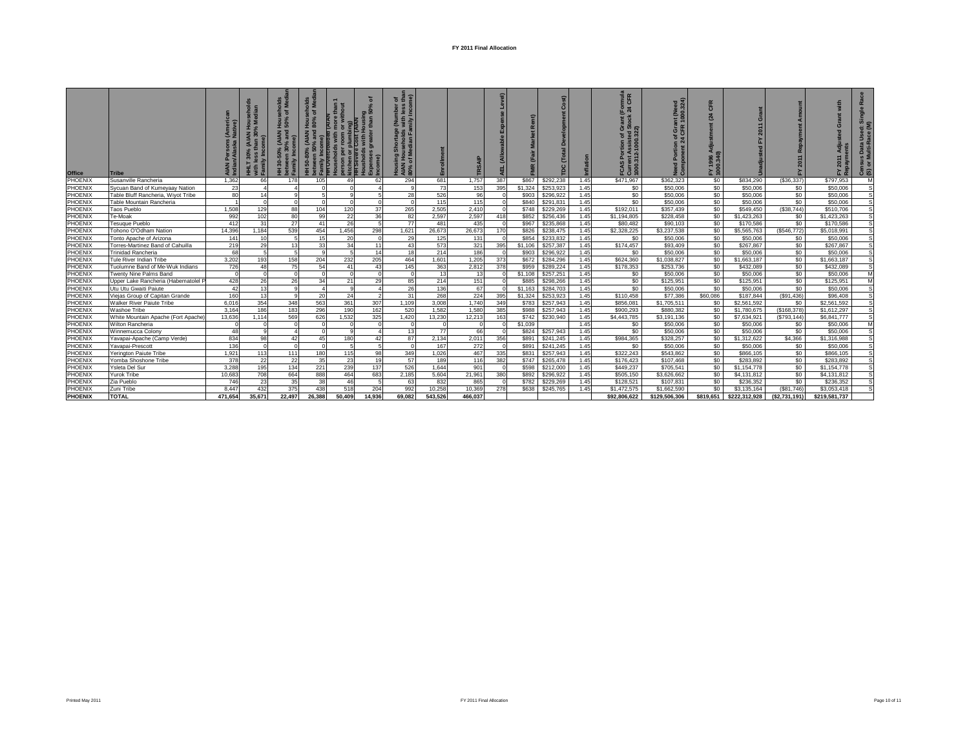| Office         | <b>Tribe</b>                        | ិ       | $\overline{a}$ | ᅙᄛ<br>ㅎㅎ<br>$rac{1}{2}$ is<br><b>AIAN</b><br>로 효 준 | es<br>S<br>(AIAN | kitchen<br>HH Seve | ৽<br><u>ចូ ឆ្ន</u> | $\widehat{\bullet}$<br>ㅎ ㅎ<br>€. | 面       | E        |                | $\alpha$ | $\mathbf{ii}$<br>È |      | True<br>CFR<br>ជ្ជ ទី ទី | aed<br>324)<br>Žg<br>ತಿ ಕಿ | CFR<br>(24)<br>FY 1996<br>1000.34 | $\bar{c}$<br>2011 |              |               | Used: Si<br>tace (M)<br>IS Data<br>Multi-Ra<br>품<br>යි ග |
|----------------|-------------------------------------|---------|----------------|----------------------------------------------------|------------------|--------------------|--------------------|----------------------------------|---------|----------|----------------|----------|--------------------|------|--------------------------|----------------------------|-----------------------------------|-------------------|--------------|---------------|----------------------------------------------------------|
| PHOENIX        | Susanville Rancheria                | 1.362   | 66             | 178                                                | 105              | 49                 | 62                 | 294                              | 681     | 1,757    | 387            | \$867    | \$292,238          | 1.45 | \$471,967                | \$362,323                  | \$0                               | \$834.290         | (S36, 337)   | \$797.953     | M                                                        |
| PHOENIX        | Sycuan Band of Kumeyaay Nation      | 23      |                |                                                    |                  |                    |                    |                                  | 73      | 153      | 395            | \$1,324  | \$253,923          | 1.45 | \$0                      | \$50,006                   | \$0                               | \$50,006          | \$0          | \$50,006      |                                                          |
| <b>PHOENIX</b> | Table Bluff Rancheria, Wiyot Tribe  | 80      | 14             |                                                    |                  |                    |                    | 28                               | 526     | 96       | $\Omega$       | \$903    | \$296,922          | 1.45 | \$0                      | \$50,006                   | \$0                               | \$50,006          | \$0          | \$50,006      |                                                          |
| <b>PHOENIX</b> | Table Mountain Rancheria            |         |                | $\Omega$                                           |                  |                    |                    | $\Omega$                         | 115     | 115      | $\Omega$       | \$840    | \$291.831          | 1.45 | \$0                      | \$50,006                   | \$0                               | \$50,006          | \$0          | \$50,006      |                                                          |
| PHOENIX        | <b>Taos Pueblo</b>                  | 1.508   | 129            | 88                                                 | 104              | 120                | 37                 | 265                              | 2,505   | 2,410    | $\Omega$       | \$748    | \$229,269          | 1.45 | \$192,011                | \$357,439                  | \$0                               | \$549,450         | (\$38,744)   | \$510,706     |                                                          |
| <b>PHOENIX</b> | Te-Moak                             | 992     | 102            | 80                                                 | 99               | 22                 | 36                 | 82                               | 2.597   | 2,597    | 418            | \$852    | \$256,436          | 1.45 | \$1,194,805              | \$228,458                  | \$0                               | \$1,423,263       | \$0          | \$1,423,263   |                                                          |
| PHOENIX        | Tesuque Pueblo                      | 412     | 31             | 27                                                 | 41               | 26                 |                    | 77                               | 481     | 435      | $\overline{0}$ | \$967    | \$235,868          | 1.45 | \$80,482                 | \$90,103                   | \$0                               | \$170,586         | \$0          | \$170,586     |                                                          |
| PHOENIX        | Tohono O'Odham Nation               | 14.396  | 1,184          | 539                                                | 454              | 1,456              | 298                | 1,621                            | 26,673  | 26,673   | 170            | \$826    | \$238,475          | 1.45 | \$2,328,225              | \$3,237,538                | \$0                               | \$5,565,763       | (\$546,772)  | \$5,018,991   |                                                          |
| PHOENIX        | Tonto Apache of Arizona             | 141     | 10             |                                                    | 15               | 20                 |                    | 29                               | 125     | 131      | $\Omega$       | \$854    | \$233,832          | 1.45 | \$0                      | \$50,006                   | \$0                               | \$50,006          | \$0          | \$50,006      |                                                          |
| PHOENIX        | Torres-Martinez Band of Cahuilla    | 219     | 29             | 13                                                 | 33               | 34                 | 11                 | 43                               | 573     | 321      | 395            | \$1,106  | \$257,387          | 1.45 | \$174,457                | \$93,409                   | \$0                               | \$267,867         | \$0          | \$267,867     |                                                          |
| <b>PHOENIX</b> | Trinidad Rancheria                  | 68      |                |                                                    |                  |                    | 14                 | 18                               | 214     | 186      | $\overline{0}$ | \$903    | \$296,922          | 1.45 | S <sub>0</sub>           | \$50,006                   | \$0                               | \$50,006          | \$0          | \$50,006      |                                                          |
| PHOENIX        | Tule River Indian Tribe             | 3.202   | 193            | 158                                                | 204              | 232                | 205                | 464                              | 1,601   | 1,205    | 373            | \$672    | \$284,296          | 1.45 | \$624,360                | \$1,038,827                | \$0                               | \$1,663,187       | \$0          | \$1,663,187   |                                                          |
| <b>PHOENIX</b> | Tuolumne Band of Me-Wuk Indians     | 726     | 48             | 75                                                 | 54               | 41                 | 43                 | 145                              | 363     | 2,812    | 378            | \$959    | \$289,224          | 1.45 | \$178,353                | \$253,736                  | \$0                               | \$432,089         | \$0          | \$432,089     |                                                          |
| PHOENIX        | Twenty Nine Palms Band              |         |                | $\Omega$                                           |                  |                    |                    | $\Omega$                         | 13      | 13       |                | \$1,108  | \$257,251          | 1.45 | \$0                      | \$50,006                   | \$0                               | \$50,006          | \$0          | \$50,006      |                                                          |
| PHOENIX        | Upper Lake Rancheria (Habematolel P | 428     | 26             | 26                                                 | 34               | 21                 | 29                 | 85                               | 214     | 151      |                | \$885    | \$298,266          | 1.45 | \$0                      | \$125,951                  | \$0                               | \$125,951         | \$0          | \$125,951     | M                                                        |
| PHOENIX        | Utu Utu Gwaiti Paiute               | 42      | 13             |                                                    |                  |                    |                    | 26                               | 136     | 67       |                | \$1,163  | \$284,703          | 1.45 | \$0                      | \$50,006                   | \$0                               | \$50,006          | \$0          | \$50,006      |                                                          |
| <b>PHOENIX</b> | Viejas Group of Capitan Grande      | 160     | 13             | $^{\circ}$                                         | 20               | 24                 |                    | 31                               | 268     | 224      | 395            | \$1,324  | \$253,923          | 1.45 | \$110,458                | \$77,386                   | \$60,086                          | \$187,844         | (S91.436)    | \$96,408      |                                                          |
| PHOENIX        | Walker River Paiute Tribe           | 6.016   | 354            | 348                                                | 563              | 361                | 307                | 1,109                            | 3,008   | 1,740    | 349            | \$783    | \$257,943          | 1.45 | \$856,081                | \$1,705,511                | \$0                               | \$2,561,592       | \$0          | \$2,561,592   |                                                          |
| PHOENIX        | Washoe Tribe                        | 3.164   | 186            | 183                                                | 296              | 190                | 162                | 520                              | 1.582   | 1,580    | 385            | \$988    | \$257,943          | 1.45 | \$900.293                | \$880,382                  | \$0                               | \$1,780,675       | (\$168,378)  | \$1,612,297   |                                                          |
| PHOENIX        | White Mountain Apache (Fort Apache) | 13.636  | 1.114          | 569                                                | 626              | 1,532              | 325                | 1.420                            | 13.230  | 12.213   | 163            | \$742    | \$230,940          | 1.45 | \$4,443,785              | \$3,191,136                | \$0                               | \$7,634,921       | (\$793.144)  | \$6,841,777   |                                                          |
| PHOENIX        | <b>Wilton Rancheria</b>             |         |                |                                                    |                  |                    |                    |                                  |         | $\Omega$ | $\Omega$       | \$1,039  |                    | 1.45 | S <sub>0</sub>           | \$50,006                   | \$0                               | \$50,006          | \$0          | \$50,006      | M                                                        |
| PHOENIX        | Winnemucca Colony                   | 48      |                |                                                    |                  |                    |                    | 13                               | 77      | 66       |                | \$824    | \$257,943          | 1.45 | S <sub>0</sub>           | \$50,006                   | \$0                               | \$50,006          | \$0          | \$50,006      |                                                          |
| PHOENIX        | Yavapai-Apache (Camp Verde)         | 834     | 98             | 42                                                 | 45               | 180                | 42                 | 87                               | 2,134   | 2,011    | 356            | \$891    | \$241,245          | 1.45 | \$984,365                | \$328,257                  | \$0                               | \$1,312,622       | \$4,366      | \$1,316,988   |                                                          |
| PHOENIX        | Yavapai-Prescott                    | 136     |                |                                                    |                  |                    |                    |                                  | 167     | 272      | $\circ$        | \$891    | \$241,245          | 1.45 | \$0                      | \$50,006                   | \$0                               | \$50,006          | \$0          | \$50,006      |                                                          |
| PHOENIX        | Yerington Paiute Tribe              | 1,921   | 113            | 111                                                | 180              | 115                | 98                 | 349                              | 1,026   | 467      | 335            | \$831    | \$257,943          | 1.45 | \$322,243                | \$543,862                  | \$0                               | \$866,105         | \$0          | \$866,105     |                                                          |
| PHOENIX        | Yomba Shoshone Tribe                | 378     | 22             | 22                                                 | 35               | 23                 | 19                 | 57                               | 189     | 116      | 382            | \$747    | \$265,478          | 1.45 | \$176,423                | \$107,468                  | \$0                               | \$283.892         | \$0          | \$283.892     | <b>S</b>                                                 |
| PHOENIX        | Ysleta Del Sur                      | 3.288   | 195            | 134                                                | 221              | 239                | 137                | 526                              | 1.644   | 901      | $\Omega$       | \$598    | \$212,000          | 1.45 | \$449,237                | \$705.541                  | \$0                               | \$1,154,778       | \$0          | \$1,154,778   | S                                                        |
| PHOENIX        | <b>Yurok Tribe</b>                  | 10.683  | 708            | 664                                                | 888              | 464                | 683                | 2,185                            | 5.604   | 21,961   | 380            | \$892    | \$296,922          | 1.45 | \$505,150                | \$3,626,662                | \$0                               | \$4,131,812       | \$0          | \$4,131,812   | S                                                        |
| PHOENIX        | Zia Pueblo                          | 746     | 23             | 35                                                 | 38               | 46                 |                    | 63                               | 832     | 865      |                | \$782    | \$229,269          | 1.45 | \$128,521                | \$107,831                  | \$0                               | \$236,352         | \$0          | \$236,352     |                                                          |
| PHOENIX        | Zuni Tribe                          | 8.447   | 432            | 375                                                | 438              | 518                | 204                | 992                              | 10,258  | 10,369   | 278            | \$638    | \$245,765          | 1.45 | \$1,472,575              | \$1,662,590                | \$0                               | \$3,135,164       | (S81,746)    | \$3,053,418   |                                                          |
| <b>PHOENIX</b> | <b>TOTAL</b>                        | 471.654 | 35,671         | 22.497                                             | 26,388           | 50,409             | 14.936             | 69,082                           | 543.526 | 466.037  |                |          |                    |      | \$92.806.622             | \$129,506,306              | \$819,651                         | \$222,312,928     | (\$2,731,191 | \$219,581,737 |                                                          |